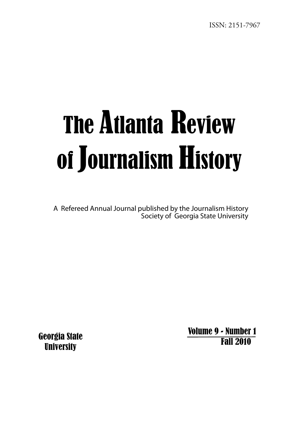# The Atlanta Review of Journalism History

A Refereed Annual Journal published by the Journalism History Society of Georgia State University

> Volume 9 - Number 1 Fall 2010

Georgia State **University**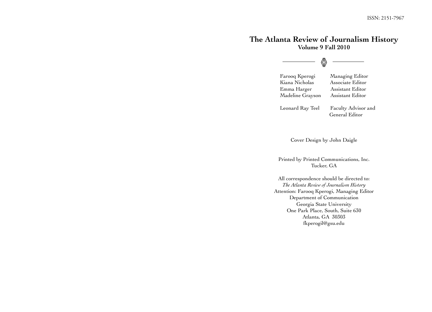# **The Atlanta Review of Journalism History Volume 9 Fall 2010**

$$
\overline{\textcolor{blue}{\bullet}}
$$

 Farooq Kperogi Managing Editor Kiana Nicholas Associate Editor Emma Harger Assistant Editor Madeline Grayson Assistant Editor

 Leonard Ray Teel Faculty Advisor and General Editor

Cover Design by John Daigle

Printed by Printed Communications, Inc. Tucker, GA

All correspondence should be directed to: *The Atlanta Review of Journalism History* Attention: Farooq Kperogi, Managing Editor Department of Communication Georgia State University One Park Place, South, Suite 630 Atlanta, GA 30303 fkperogil@gsu.edu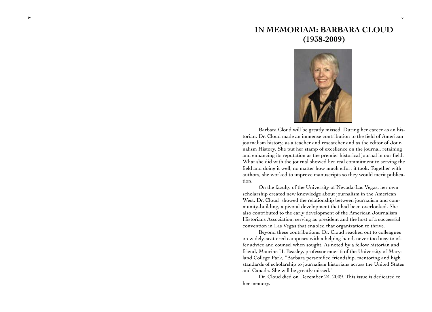# **IN MEMORIAM: BARBARA CLOUD (1938-2009)**

v



Barbara Cloud will be greatly missed. During her career as an his torian, Dr. Cloud made an immense contribution to the field of American journalism history, as a teacher and researcher and as the editor of Jour nalism History. She put her stamp of excellence on the journal, retaining and enhancing its reputation as the premier historical journal in our field. What she did with the journal showed her real commitment to serving the field and doing it well, no matter how much effort it took. Together with authors, she worked to improve manuscripts so they would merit publica tion.

On the faculty of the University of Nevada-Las Vegas, her own scholarship created new knowledge about journalism in the American West. Dr. Cloud showed the relationship between journalism and community-building, a pivotal development that had been overlooked. She also contributed to the early development of the American Journalism Historians Association, serving as president and the host of a successful convention in Las Vegas that enabled that organization to thrive.

Beyond these contributions, Dr. Cloud reached out to colleagues on widely-scattered campuses with a helping hand, never too busy to offer advice and counsel when sought. As noted by a fellow historian and friend, Maurine H. Beasley, professor emeriti of the University of Mary land College Park, "Barbara personified friendship, mentoring and high standards of scholarship to journalism historians across the United States and Canada. She will be greatly missed."

Dr. Cloud died on December 24, 2009. This issue is dedicated to her memory.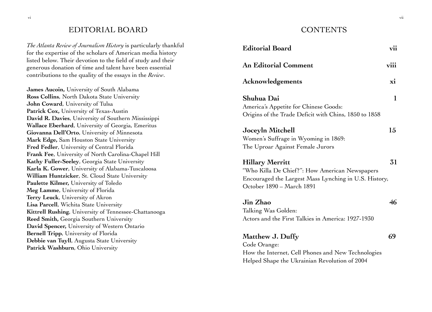# EDITORIAL BOARD

*The Atlanta Review of Journalism History* is particularly thankful for the expertise of the scholars of American media history listed below. Their devotion to the field of study and their generous donation of time and talent have been essential contributions to the quality of the essays in the *Review*.

**James Aucoin,** University of South Alabama **Ross Collins**, North Dakota State University **John Coward**, University of Tulsa **Patrick Cox,** University of Texas-Austin **David R. Davies**, University of Southern Mississippi **Wallace Eberhard**, University of Georgia, Emeritus **Giovanna Dell'Orto**, University of Minnesota **Mark Edge,** Sam Houston State University **Fred Fedler**, University of Central Florida **Frank Fee**, University of North Carolina-Chapel Hill **Kathy Fuller-Seeley**, Georgia State University **Karla K. Gower**, University of Alabama-Tuscaloosa **William Huntzicker**, St. Cloud State University **Paulette Kilmer,** University of Toledo **Meg Lamme**, University of Florida **Terry Leuck**, University of Akron **Lisa Parcell**, Wichita State University **Kittrell Rushing**, University of Tennessee-Chattanooga **Reed Smith,** Georgia Southern University **David Spencer,** University of Western Ontario **Bernell Tripp**, University of Florida **Debbie van Tuyll**, Augusta State University **Patrick Washburn**, Ohio University

# CONTENTS

| <b>Editorial Board</b>                                                                                                                                         | vii                |
|----------------------------------------------------------------------------------------------------------------------------------------------------------------|--------------------|
| <b>An Editorial Comment</b>                                                                                                                                    | viii               |
| <b>Acknowledgements</b>                                                                                                                                        | $\dot{\mathbf{x}}$ |
| Shuhua Dai<br>America's Appetite for Chinese Goods:<br>Origins of the Trade Deficit with Chins, 1850 to 1858                                                   | 1                  |
| Joceyln Mitchell<br>Women's Suffrage in Wyoming in 1869:<br>The Uproar Against Female Jurors                                                                   | 15                 |
| <b>Hillary Merritt</b><br>"Who Killa De Chief?": How American Newspapers<br>Encouraged the Largest Mass Lynching in U.S. History,<br>October 1890 - March 1891 | 31                 |
| Jin Zhao<br>Talking Was Golden:<br>Actors and the First Talkies in America: 1927-1930                                                                          | 46                 |
| <b>Matthew J. Duffy</b><br>Code Orange:<br>How the Internet, Cell Phones and New Technologies<br>Helped Shape the Ukrainian Revolution of 2004                 | 69                 |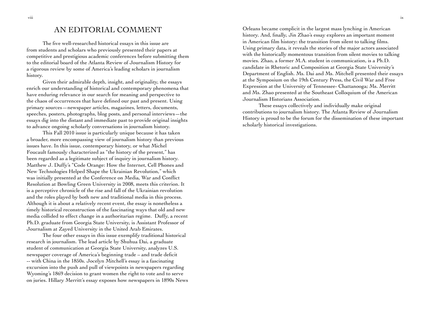# AN EDITORIAL COMMENT

The five well-researched historical essays in this issue are from students and scholars who previously presented their papers at competitive and prestigious academic conferences before submitting them to the editorial board of the Atlanta Review of Journalism History for a rigorous review by some of America's leading scholars in journalism history.

Given their admirable depth, insight, and originality, the essays enrich our understanding of historical and contemporary phenomena that have enduring relevance in our search for meaning and perspective to the chaos of occurrences that have defined our past and present. Using primary sources—newspaper articles, magazines, letters, documents, speeches, posters, photographs, blog posts, and personal interviews—the essays dig into the distant and immediate past to provide original insights to advance ongoing scholarly conversations in journalism history.

This Fall 2010 issue is particularly unique because it has taken a broader, more encompassing view of journalism history than previous issues have. In this issue, contemporary history, or what Michel Foucault famously characterized as "the history of the present," has been regarded as a legitimate subject of inquiry in journalism history. Matthew J. Duffy's "Code Orange: How the Internet, Cell Phones and New Technologies Helped Shape the Ukrainian Revolution," which was initially presented at the Conference on Media, War and Conflict Resolution at Bowling Green University in 2008, meets this criterion. It is a perceptive chronicle of the rise and fall of the Ukrainian revolution and the roles played by both new and traditional media in this process. Although it is about a relatively recent event, the essay is nonetheless a timely historical reconstruction of the fascinating ways that old and new media collided to effect change in a authoritarian regime. Duffy, a recent Ph.D. graduate from Georgia State University, is Assistant Professor of Journalism at Zayed University in the United Arab Emirates.

The four other essays in this issue exemplify traditional historical research in journalism. The lead article by Shuhua Dai, a graduate student of communication at Georgia State University, analyzes U.S. newspaper coverage of America's beginning trade – and trade deficit -- with China in the 1850s. Jocelyn Mitchell's essay is a fascinating excursion into the push and pull of viewpoints in newspapers regarding Wyoming's 1869 decision to grant women the right to vote and to serve on juries. Hillary Merritt's essay exposes how newspapers in 1890s News Orleans became complicit in the largest mass lynching in American history. And, finally, Jin Zhao's essay explores an important moment in American film history: the transition from silent to talking films. Using primary data, it reveals the stories of the major actors associated with the historically momentous transition from silent movies to talking movies. Zhao, a former M.A. student in communication, is a Ph.D. candidate in Rhetoric and Composition at Georgia State University's Department of English. Ms. Dai and Ms. Mitchell presented their essays at the Symposium on the 19th Century Press, the Civil War and Free Expression at the University of Tennessee- Chattanooga; Ms. Merritt and Ms. Zhao presented at the Southeast Colloquium of the American Journalism Historians Association.

These essays collectively and individually make original contributions to journalism history. The Atlanta Review of Journalism History is proud to be the forum for the dissemination of these important scholarly historical investigations.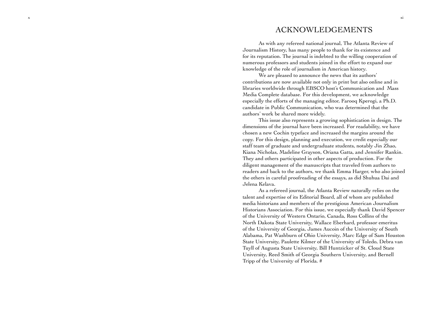# ACKNOWLEDGEMENTS

As with any refereed national journal, The Atlanta Review of Journalism History, has many people to thank for its existence and for its reputation. The journal is indebted to the willing cooperation of numerous professors and students joined in the effort to expand our knowledge of the role of journalism in American history.

We are pleased to announce the news that its authors' contributions are now available not only in print but also online and in libraries worldwide through EBSCO host's Communication and Mass Media Complete database. For this development, we acknowledge especially the efforts of the managing editor, Farooq Kperogi, a Ph.D. candidate in Public Communication, who was determined that the authors' work be shared more widely.

This issue also represents a growing sophistication in design. The dimensions of the journal have been increased. For readability, we have chosen a new Cochin typeface and increased the margins around the copy. For this design, planning and execution, we credit especially our staff team of graduate and undergraduate students, notably Jin Zhao, Kiana Nicholas, Madeline Grayson, Oriana Gatta, and Jennifer Rankin. They and others participated in other aspects of production. For the diligent management of the manuscripts that traveled from authors to readers and back to the authors, we thank Emma Harger, who also joined the others in careful proofreading of the essays, as did Shuhua Dai and Jelena Kelava.

As a refereed journal, the Atlanta Review naturally relies on the talent and expertise of its Editorial Board, all of whom are published media historians and members of the prestigious American Journalism Historians Association. For this issue, we especially thank David Spencer of the University of Western Ontario, Canada, Ross Collins of the North Dakota State University, Wallace Eberhard, professor emeritus of the University of Georgia, James Aucoin of the University of South Alabama, Pat Washburn of Ohio University, Marc Edge of Sam Houston State University, Paulette Kilmer of the University of Toledo, Debra van Tuyll of Augusta State University, Bill Huntzicker of St. Cloud State University, Reed Smith of Georgia Southern University, and Bernell Tripp of the University of Florida. #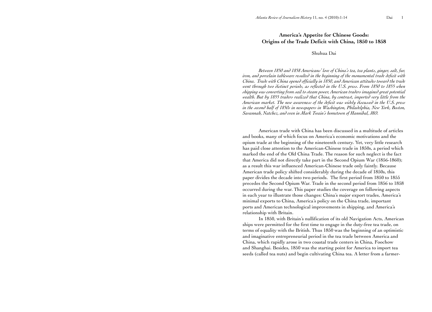# **America's Appetite for Chinese Goods: Origins of the Trade Deficit with China, 1850 to 1858**

## Shuhua Dai

*Between 1850 and 1858 Americans' love of China's tea, tea plants, ginger, salt, fur, iron, and porcelain tableware resulted in the beginning of the monumental trade deficit with China. Trade with China opened officially in 1850, and American attitudes toward the trade went through two distinct periods, as reflected in the U.S. press. From 1850 to 1855 when shipping was converting from sail to steam power, American traders imagined great potential wealth. But by 1855 traders realized that China, by contrast, imported very little from the American market. The new awareness of the deficit was widely discussed in the U.S. press in the second half of 1850s in newspapers in Washington, Philadelphia, New York, Boston, Savannah, Natchez, and even in Mark Twain's hometown of Hannibal, MO.* 

 American trade with China has been discussed in a multitude of articles and books, many of which focus on America's economic motivations and the opium trade at the beginning of the nineteenth century. Yet, very little research has paid close attention to the American-Chinese trade in 1850s, a period which marked the end of the Old China Trade. The reason for such neglect is the fact that America did not directly take part in the Second Opium War (1856-1860); as a result this war influenced American-Chinese trade only faintly. Because American trade policy shifted considerably during the decade of 1850s, this paper divides the decade into two periods. The first period from 1850 to 1855 precedes the Second Opium War. Trade in the second period from 1856 to 1858 occurred during the war. This paper studies the coverage on following aspects in each year to illustrate those changes: China's major export trades, America's minimal exports to China, America's policy on the China trade, important ports and American technological improvements in shipping, and America's relationship with Britain.

In 1850, with Britain's nullification of its old Navigation Acts, American ships were permitted for the first time to engage in the duty-free tea trade, on terms of equality with the British. Thus 1850 was the beginning of an optimistic and imaginative entrepreneurial period in the tea trade between America and China, which rapidly arose in two coastal trade centers in China, Foochow and Shanghai. Besides, 1850 was the starting point for America to import tea seeds (called tea nuts) and begin cultivating China tea. A letter from a farmer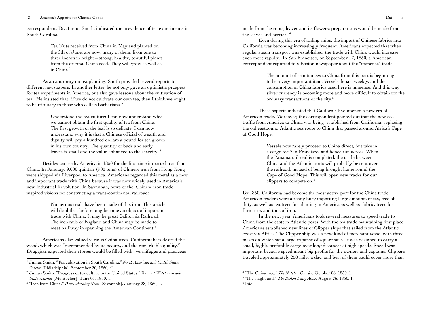correspondent, Dr. Junius Smith, indicated the prevalence of tea experiments in South Carolina:

> Tea Nuts received from China in May and planted on the 5th of June, are now, many of them, from one to three inches in height – strong, healthy, beautiful plants from the original China seed. They will grow as well as in China.<sup>1</sup>

As an authority on tea planting, Smith provided several reports to different newspapers. In another letter, he not only gave an optimistic prospect for tea experiments in America, but also gave lessons about the cultivation of tea. He insisted that "if we do not cultivate our own tea, then I think we ought to be tributary to those who call us barbarians."

> Understand the tea culture: I can now understand why we cannot obtain the first quality of tea from China. The first growth of the leaf is so delicate. I can now understand why it is that a Chinese official of wealth and dignity will pay a hundred dollars a pound for tea grown in his own country. The quantity of buds and early leaves is small and the value enhanced to the scarcity.<sup>2</sup>

Besides tea seeds, America in 1850 for the first time imported iron from China. In January, 9,000 quintals (900 tons) of Chinese iron from Hong Kong were shipped via Liverpool to America. Americans regarded this metal as a new and important trade with China because it was now widely used in America's new Industrial Revolution. In Savannah, news of the Chinese iron trade inspired visions for constructing a trans-continental railroad:

> Numerous trials have been made of this iron. This article will doubtless before long become an object of important trade with China. It may be great California Railroad. The iron rails of England and China may be made to meet half way in spanning the American Continent.<sup>3</sup>

 Americans also valued various China trees. Cabinetmakers desired the wood, which was "recommended by its beauty, and the remarkable quality." Druggists expected their stories would be filled with "vermifuges and panaceas made from the roots, leaves and its flowers; preparations would be made from the leaves and berries."4

Even during this era of sailing ships, the import of Chinese fabrics into California was becoming increasingly frequent. Americans expected that when regular steam transport was established, the trade with China would increase even more rapidly. In San Francisco, on September 17, 1850, a American correspondent reported to a Boston newspaper about the "immense" trade.

> The amount of remittances to China from this port is beginning to be a very important item. Vessels depart weekly, and the consumption of China fabrics used here is immense. And this way silver currency is becoming more and more difficult to obtain for the ordinary transactions of the city.<sup>5</sup>

These aspects indicated that California had opened a new era of American trade. Moreover, the correspondent pointed out that the new sea traffic from America to China was being established from California, replacing the old eastbound Atlantic sea route to China that passed around Africa's Cape of Good Hope.

> Vessels now rarely proceed to China direct, but take in a cargo for San Francisco, and hence run across. When the Panama railroad is completed, the trade between China and the Atlantic ports will probably be sent over the railroad, instead of being brought home round the Cape of Good Hope. This will open new tracks for our clippers to compete on. 6

By 1850, California had become the most active port for the China trade. American traders were already busy importing large amounts of tea, free of duty, as well as tea trees for planting in America as well as fabric, trees for furniture, and tons of iron.

In the next year, Americans took several measures to speed trade to China from the eastern Atlantic ports. With the tea trade maintaining first place, Americans established new lines of Clipper ships that sailed from the Atlantic coast via Africa. The Clipper ship was a new kind of merchant vessel with three masts on which sat a large expanse of square sails. It was designed to carry a small, highly profitable cargo over long distances at high speeds. Speed was important because speed meant big profits for the owners and captains. Clippers traveled approximately 250 miles a day, and best of them could cover more than

<sup>1</sup> Junius Smith. "Tea cultivation in South Carolina." *North American and United States Gazette* [Philadelphia], September 20, 1850, 41.

<sup>2</sup> Junius Smith. "Progress of tea culture in the United States." *Vermont Watchman and State Journal* [Montpelier], June 06, 1850, 1.

<sup>&</sup>lt;sup>3</sup> "Iron from China." *Daily Morning News* [Savannah], January 28, 1850, 1.

<sup>&</sup>lt;sup>4</sup> "The China tree," The Natchez Courier, October 08, 1850, 1.

<sup>&</sup>lt;sup>5</sup> "The staghound," *The Boston Daily Atlas*, August 26, 1850, 1. <sup>6</sup> Ibid.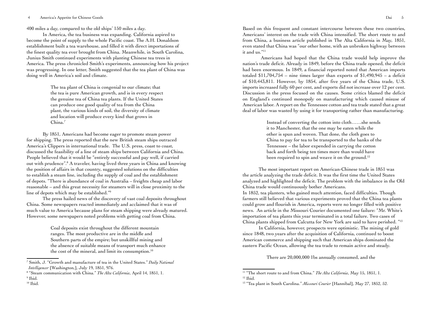400 miles a day, compared to the old ships' 150 miles a day.

In America, the tea business was expanding. California aspired to become the point of supply to the whole Pacific coast. The A.H. Donaldson establishment built a tea warehouse, and filled it with direct importations of the finest quality tea ever brought from China. Meanwhile, in South Carolina, Junius Smith continued experiments with planting Chinese tea trees in America. The press chronicled Smith's experiments, announcing how his project was progressing. In one letter, Smith suggested that the tea plant of China was doing well in America's soil and climate.

> The tea plant of China is congenial to our climate; that the tea is pure American growth, and is in every respect the genuine tea of China tea plants. If the United States can produce one good quality of tea from the China plant, the various kinds of soil, the diversity of climate and location will produce every kind that grows in China.<sup>7</sup>

By 1851, Americans had become eager to promote steam power for shipping. The press reported that the new British steam ships outraced America's Clippers in international trade. The U.S. press, coast to coast, discussed the feasibility of a line of steam ships between California and China. People believed that it would be "entirely successful and pay well, if carried out with prudence".8 A traveler, having lived three years in China and knowing the position of affairs in that country, suggested solutions on the difficulties to establish a steam line, including the supply of coal and the establishment of depots. "There is abundance of coal in Australia – freights cheap and labor reasonable – and this great necessity for steamers will in close proximity to the line of depots which may be established."9

The press hailed news of the discovery of vast coal deposits throughout China. Some newspapers reacted immediately and acclaimed that it was of much value to America because plans for steam shipping were already matured. However, some newspapers noted problems with getting coal from China.

> Coal deposits exist throughout the different mountain ranges. The most productive are in the middle and Southern parts of the empire; but unskillful mining and the absence of suitable means of transport much enhance the cost of the mineral, and limit its consumption.<sup>10</sup>

Based on this frequent and constant intercourse between these two countries, Americans' interest on the trade with China intensified. The short route to and from China, a business article published in The Alta California in May, 1851, even stated that China was "our other home, with an unbroken highway between it and us."11

 Americans had hoped that the China trade would help improve the nation's trade deficit. Already in 1849, before the China trade opened, the deficit had been enormous. In 1849, a financial reported noted that American imports totaled \$11,704,754 – nine times larger than exports of \$1,490,945 – a deficit of \$10,443,811. However, by 1854, after five years of the China trade, U.S. imports increased fully 60 per cent, and exports did not increase over 12 per cent. Discussion in the press focused on the causes. Some critics blamed the deficit on England's continued monopoly on manufacturing which caused misuse of American labor. A report on the Tennessee cotton and tea trade stated that a great deal of labor was wasted by using it for transporting rather than manufacturing.

> Instead of converting the cotton into cloth……she sends it to Manchester, that the one may be eaten while the other is spun and woven. That done, the cloth goes to China to pay for tea to be transported to the banks of the Tennessee – the labor expended in carrying the cotton back and forth being ten times more than would have been required to spin and weave it on the ground.<sup>12</sup>

The most important report on American-Chinese trade in 1851 was the article analyzing the trade deficit. It was the first time the United States analyzed and highlighted the deficit. The problem with the imbalance in the Old China trade would continuously bother Americans.

In 1852, tea planters, who gained much attention, faced difficulties. Though farmers still believed that various experiments proved that the China tea plants could grow and flourish in America, reports were no longer filled with positive news. An article in the Missouri Courier documented one failure: "Mr. White's importation of tea plants this year terminated in a total failure. Two cases of China plants shipped from Calcutta for New York are said to have perished. "13

In California, however, prospects were optimistic. The mining of gold since 1848, two years after the acquisition of California, continued to boost American commerce and shipping such that American ships dominated the eastern Pacific Ocean, allowing the tea trade to remain active and steady.

There are 20,000,000 1bs annually consumed, and the

<sup>7</sup> Smith, J. "Growth and manufacture of tea in the United States." *Daily National Intelligencer* [Washington,], July 19, 1851, 976.

<sup>8</sup> "Steam communication with China." *The Alta California*, April 14, 1851, 1.

<sup>&</sup>lt;sup>9</sup> Ibid.

 $10$  Ibid.

<sup>&</sup>lt;sup>11</sup> "The short route to and from China." *The Alta California*, May 15, 1851, 1.<br><sup>12</sup> Ibid.

<sup>&</sup>lt;sup>13</sup> "Tea plant in South Carolina." Missouri Courier [Hannibal], May 27, 1852, 52.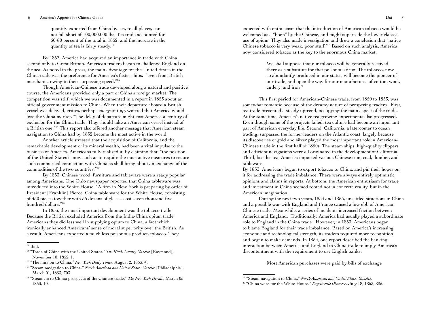#### 6 America's Appetite for Chinese Goods Dai 7

quantity exported from China by sea, to all places, can not fall short of 100,000,000 lbs. Tea trade accounted for 60-80 percent of the total in 1852, and the increase in the quantity of tea is fairly steady.14

 By 1852, America had acquired an importance in trade with China second only to Great Britain. American traders began to challenge England on the sea. As noted in the press, the main advantage for the United States in the China trade was the preference for America's faster ships, "even from British merchants, owing to their surpassing speed."15

Though American-Chinese trade developed along a natural and positive course, the Americans provided only a part of China's foreign market. The competition was stiff, which we was documented in a report in 1853 about an official government mission to China. When their departure aboard a British vessel was delayed, critics, perhaps exaggerating, worried that America would lose the China market. "The delay of departure might cost America a century of exclusion for the China trade. They should take an American vessel instead of a British one."16 This report also offered another message that American steam navigation to China had by 1852 become the most active in the world.

Another article stressed that the acquisition of California, and the remarkable development of its mineral wealth, had been a vital impulse to the business of America. Americans fully realized it, by claiming that "the position of the United States is now such as to require the most active measures to secure such commercial connection with China as shall bring about an exchange of the commodities of the two countries."17

By 1853, Chinese wood, furniture and tableware were already popular among Americans. One Ohio newspaper reported that China tableware was introduced into the White House. "A firm in New York is preparing by order of President [Franklin] Pierce, China table ware for the White House, consisting of 450 pieces together with 55 dozens of glass – cost seven thousand five hundred dollars."18

In 1853, the most important development was the tobacco trade. Because the British excluded America from the India-China opium trade, Americans they did less well in supplying opium to China, a fact which ironically enhanced Americans' sense of moral superiority over the British. As a result, Americans exported a much less poisonous product, tobacco. They

expected with enthusiasm that the introduction of American tobacco would be welcomed as a "boon" by the Chinese, and might supersede the lower classes' use of opium. They also made investigation and drew a conclusion that "native Chinese tobacco is very weak, poor stuff."19 Based on such analysis, America now considered tobacco as the key to the enormous China market:

> We shall suppose that our tobacco will be generally received there as a substitute for that poisonous drug. The tobacco, now so abundantly produced in our states, will become the pioneer of our trade, and open the way for our manufactures of cotton, wool, cutlery, and iron 20

This first period for American-Chinese trade, from 1850 to 1853, was somewhat romantic because of the dreamy nature of prospering traders. First, tea trade presented a steady uptrend, occupying the main aspect of the trade. At the same time, America's native tea growing experiments also progressed. Even though some of the projects failed, tea culture had become an important part of American everyday life. Second, California, a latercomer to ocean trading, surpassed the former leaders on the Atlantic coast, largely because its discoveries of gold and silver played the most important role in American-Chinese trade in the first half of 1850s. The steam ships, high-quality clippers and efficient navigations were all originated in the development of California. Third, besides tea, America imported various Chinese iron, coal, lumber, and tableware.

By 1853, Americans began to export tobacco to China, and pin their hopes on it for addressing the trade imbalance. There were always entirely optimistic opinions and claims in reports. At bottom, the American enthusiasm for trade and investment in China seemed rooted not in concrete reality, but in the American imagination.

 During the next two years, 1854 and 1855, unsettled situations in China and a possible war with England and France caused a low ebb of American-Chinese trade. Meanwhile, a series of incidents increased friction between America and England. Traditionally, America had usually played a subordinate role to England in the China trade. However, in 1853, Americans began to blame England for their trade imbalance. Based on America's increasing economic and technological strength, its traders required more recognition and began to make demands. In 1854, one report described the banking interaction between America and England in China trade to imply America's discontentment with the requirement to use English banks:

Most American purchases were paid by bills of exchange

<sup>&</sup>lt;sup>14</sup> Ibid.

<sup>15 &</sup>quot;Trade of China with the United States." *The Hinds County Gazette* [Raymond], November 18, 1852, 1.

<sup>16 &</sup>quot;The mission to China." *New York Daily Times*, August 2, 1853, 4.

<sup>17 &</sup>quot;Steam navigation to China." *North American and United States Gazette* [Philadelphia], March 01, 1853, 703.

<sup>18 &</sup>quot;Steamers to China: prospects of the Chinese trade." *The New York Herald*, March 05, 1853, 10.

<sup>19 &</sup>quot;Steam navigation to China." *North American and United States Gazette.*

<sup>20 &</sup>quot;China ware for the White House." *Fayetteville Observer*. July 18, 1853, 885.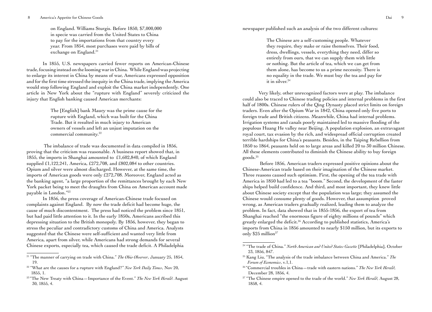on England. Williams Sturgis. Before 1850, \$7,000,000 in specie was carried from the United States to China to pay for the importations from that country every year. From 1854, most purchases were paid by bills of exchange on England.<sup>21</sup>

In 1855, U.S. newspapers carried fewer reports on American-Chinese trade, focusing instead on the looming war in China. While England was projecting to enlarge its interest in China by means of war, Americans expressed opposition and for the first time stressed the inequity in the China trade, implying the America would stop following England and exploit the China market independently. One article in New York about the "rupture with England" severely criticized the injury that English banking caused American merchants:

> The [English] bank Maury was the prime cause for the rupture with England, which was built for the China Trade. But it resulted in much injury to American owners of vessels and left an unjust imputation on the commercial community.22

 The imbalance of trade was documented in data compiled in 1856, proving that the criticism was reasonable. A business report showed that, in 1855, the imports in Shanghai amounted to £1,602,840, of which England supplied £1,122,241, America, £272,708, and £802,084 to other countries. Opium and silver were almost discharged. However, at the same time, the imports of American goods were only £272,708. Moreover, England acted as the banking agent, "a large proportion of the remittances brought by each New York packet being to meet the draughts from China on American account made payable in London."23

In 1856, the press coverage of American-Chinese trade focused on complaints against England. By now the trade deficit had become huge, the cause of much discontentment. The press had noticed the problem since 1851, but had paid little attention to it. In the early 1850s, Americans ascribed this depressing situation to the British monopoly. By 1856, however, they began to stress the peculiar and contradictory customs of China and America. Analysts suggested that the Chinese were self-sufficient and wanted very little from America, apart from silver, while Americans had strong demands for several Chinese exports, especially tea, which caused the trade deficit. A Philadelphia

newspaper published such an analysis of the two different cultures:

The Chinese are a self-customing people. Whatever they require, they make or raise themselves. Their food, dress, dwellings, vessels, everything they need, differ so entirely from ours, that we can supply them with little or nothing. But the article of tea, which we can get from them alone, has become to us a prime necessity. There is no equality in the trade. We must buy the tea and pay for it in silver.<sup>24</sup>

Very likely, other unrecognized factors were at play. The imbalance could also be traced to Chinese trading policies and internal problems in the first half of 1800s. Chinese rulers of the Qing Dynasty placed strict limits on foreign traders. Even after the Opium War in 1842, China opened only five ports to foreign trade and British citizens. Meanwhile, China had internal problems. Irrigation systems and canals poorly maintained led to massive flooding of the populous Huang He valley near Beijing. A population explosion, an extravagant royal court, tax evasion by the rich, and widespread official corruption created terrible hardships for China's peasants. Besides, in the Taiping Rebellion from 1850 to 1864, peasants held on to large areas and killed 20 to 30 million Chinese. All these elements contributed to diminish the Chinese ability to buy foreign goods.25

 Before 1856, American traders expressed positive opinions about the Chinese-American trade based on their imagination of the Chinese market. Three reasons caused such optimism. First, the opening of the tea trade with America in 1850 had led to a tea "boom." Second, the development of the faster ships helped build confidence. And third, and most important, they knew little about Chinese society except that the population was large; they assumed the Chinese would consume plenty of goods. However, that assumption proved wrong, as American traders gradually realized, leading them to analyze the problem. In fact, data showed that in 1855-1856, the export of tea from Shanghai reached "the enormous figure of eighty millions of pounds" which greatly enlarged the deficit.26 According to published statistics, America's imports from China in 1856 amounted to nearly \$150 million, but its exports to only  $$25$  million<sup>27</sup>

<sup>21 &</sup>quot;The manner of carrying on trade with China." *The Ohio Observer*, January 25, 1854, 19.

<sup>22 &</sup>quot;What are the causes for a rupture with England?" *New York Daily Times*, Nov 20, 1855, 1.

<sup>23 &</sup>quot;The New Treaty with China—Importance of the Event." *The New York Herald*. August 30, 1855, 4.

<sup>24 &</sup>quot;The trade of China." *North American and United States Gazette* [Philadelphia], October 23, 1856, 847.

<sup>25</sup> Kang Liu, "The analysis of the trade imbalance between China and America." *The Forum of Economics*, v.1,1.

<sup>26 &</sup>quot;Commercial troubles in China—trade with eastern nations." *The New York Herald*, December 28, 1856, 4.

<sup>27 &</sup>quot;The Chinese empire opened to the trade of the world." *New York Herald*, August 28, 1858, 4.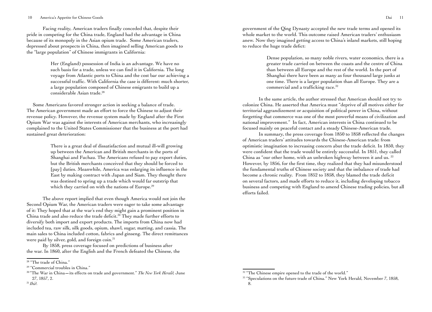#### 10 America's Appetite for Chinese Goods Dai 11

Facing reality, American traders finally conceded that, despite their pride in competing for the China trade, England had the advantage in China because of its monopoly in the Asian opium trade. Some American traders, depressed about prospects in China, then imagined selling American goods to the "large population" of Chinese immigrants in California:

> Her (England) possession of India is an advantage. We have no such basis for a trade, unless we can find it in California. The long voyage from Atlantic ports to China and the cost bar our achieving a successful traffic. With California the case is different: much shorter, a large population composed of Chinese emigrants to build up a considerable Asian trade.28

 Some Americans favored stronger action in seeking a balance of trade. The American government made an effort to force the Chinese to adjust their revenue policy. However, the revenue system made by England after the First Opium War was against the interests of American merchants, who increasingly complained to the United States Commissioner that the business at the port had sustained great deterioration:

> There is a great deal of dissatisfaction and mutual ill-will growing up between the American and British merchants in the ports of Shanghai and Fuchau. The Americans refused to pay export duties, but the British merchants conceived that they should be forced to [pay] duties. Meanwhile, America was enlarging its influence in the East by making contract with Japan and Siam. They thought there was destined to spring up a trade which would far outstrip that which they carried on with the nations of Europe.<sup>29</sup>

The above report implied that even though America would not join the Second Opium War, the American traders were eager to take some advantage of it: They hoped that at the war's end they might gain a prominent position in China trade and also reduce the trade deficit.<sup>30</sup> They made further efforts to diversify both import and export products. The imports from China now had included tea, raw silk, silk goods, opium, shawl, sugar, matting, and cassia. The main sales to China included cotton, fabrics and ginseng. The direct remittances were paid by silver, gold, and foreign coin.<sup>31</sup>

By 1858, press coverage focused on predictions of business after the war. In 1860, after the English and the French defeated the Chinese, the

31 *Ibid*.

government of the Qing Dynasty accepted the new trade terms and opened its whole market to the world. This outcome raised American traders' enthusiasm anew. Now they imagined getting access to China's inland markets, still hoping to reduce the huge trade defict:

> Dense population, so many noble rivers, water economics, there is a greater trade carried on between the coasts and the centre of China than between all Europe and the rest of the world. In the port of Shanghai there have been as many as four thousand large junks at one time. There is a larger population than all Europe. They are a commercial and a trafficking race.<sup>32</sup>

In the same article, the author stressed that American should not try to colonize China. He asserted that America must "deprive of all motives either for territorial aggrandizement or acquisition of political power in China, without forgetting that commerce was one of the most powerful means of civilization and national improvement." In fact, American interests in China continued to be focused mainly on peaceful contact and a steady Chinese-American trade.

In summary, the press coverage from 1850 to 1858 reflected the changes of American traders' attitudes towards the Chinese-American trade: from optimistic imagination to increasing concern abut the trade deficit. In 1850, they were confident that the trade would be entirely successful. In 1851, they called China as "our other home, with an unbroken highway between it and us. <sup>33</sup> However, by 1856, for the first time, they realized that they had misunderstood the fundamental truths of Chinese society and that the imbalance of trade had become a chronic reality. From 1852 to 1858, they blamed the trade deficit on several factors, and made efforts to reduce it, including developing tobacco business and competing with England to amend Chinese trading policies, but all efforts failed.

<sup>&</sup>lt;sup>28</sup> "The trade of China."

<sup>&</sup>lt;sup>29</sup> "Commercial troubles in China."

<sup>30 &</sup>quot;The War in China**—**its effects on trade and government." *The New York Herald,* June 27, 1857, 2.

<sup>&</sup>lt;sup>32</sup> "The Chinese empire opened to the trade of the world."

<sup>&</sup>lt;sup>33</sup> "Speculations on the future trade of China." New York Herald, November 7, 1858, 8.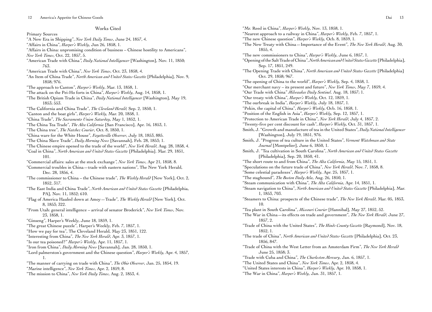## Works Cited Primary Sources "A New Era in Shipping", *New York Daily Times*, June 24, 1857, 4. "Affairs in China", *Harper's Weekly*, Jun 26, 1858, 1. "Affairs in China: unpromising condition of business – Chinese hostility to Americans", *New York Times*, Oct. 22, 1857, 5. "American Trade with China*", Daily National Intelligencer* [Washington], Nov. 11, 1850; 763. "American Trade with China", *New York Times*, Oct. 23, 1858, 4. "An Item of China Trade", *North American and United States Gazette* [Philadelphia], Nov. 9, 1858; 976. "The approach to Canton", *Harper's Weekly*, Mar. 13, 1858, 1. "The attack on the Pei-Ho forts in China", *Harper's Weekly*, Aug. 14, 1858, 1. "The British Opium Trade in China", *Daily National Intelligencer* [Washington], May 19, 1853; 553. "The California and China Trade", *The Cleveland Herald,* Sep. 2, 1850, 1. "Canton and the boat girls", *Harper's Weekly*, Mar. 20, 1858, 1. "China Trade", *The Sacramento Union Saturday*, May 1, 1852, 1. "The China Tea Trade", *The Alta California* [San Francisco], Apr. 16, 1853, 1. "The China tree", *The Natchez Courier*, Oct. 8, 1850, 1. "China ware for the White House", *Fayetteville Observer*, July 18, 1853, 885. "The China Slave Trade", *Daily Morning News* [Savannah], Feb. 28, 1853; 1. "The Chinese empire opened to the trade of the world", *New York Herald*, Aug. 28, 1858, 4. "Coal in China", *North American and United States Gazette* [Philadelphia]. Mar. 29, 1851, 101. "Commercial affairs: sales at the stock exchange*", New York Times*, Apr 21, 1858, 8. "Commercial troubles in China—trade with eastern nations", The New York Herald, Dec. 28, 1856, 4. "The commissioner to China – the Chinese trade", *The Weekly Herald* [New York], Oct. 2, 1852, 317. "The East India and China Trade", *North American and United States Gazette* [Philadelphia, PA], Nov. 11, 1852; 610. "Flag of America Hauled down at Amoy—Trade", *The Weekly Herald* [New York], Oct. 8, 1853; 322. "From Utah: general intelligence – arrival of senator Broderick", *New York Times*, Nov. 23, 1858, 1. "Ginseng", Harper's Weekly, June 18, 1859, 1. "The great Chinese puzzle", Harper's Weekly, Feb. 7, 1857, 1. "How we pay for tea", The Cleveland Herald, May 23, 1851, 122. "Interesting from China", *The New York Herald*, Apr. 3, 1857, 1. "Is our tea poisoned?" *Harper's Weekly*, Apr. 11, 1857, 1. "Iron from China", *Daily Morning News* [Savannah], Jan. 28, 1850, 1. "Lord palmerston's government and the Chinese question", *Harper's Weekly*, Apr. 4, 1857, 1. "The manner of carrying on trade with China", *The Ohio Observer*, Jan. 25, 1854, 19. "Marine intelligence", *New York Times*, Apr. 2, 1859, 8.

"The mission to China", *New York Daily Times*, Aug. 2, 1853, 4.

"Mr. Reed in China", *Harper's Weekly*, Nov. 13, 1858, 1. "Nearest approach to a railway in China", *Harper's Weekly*, Feb. 7, 1857, 1. "The new Chinese question", *Harper's Weekly*, Ocb. 8, 1859, 1. "The New Treaty with China—Importance of the Event", *The New York Herald*, Aug. 30, 1855, 4. "The new commissioners to China", *Harper's Weekly*, June 6, 1857, 1. "Opening of the Salt Trade of China", *North American and United States Gazette* [Philadelphia], Sep. 17, 1851, 249. "The Opening Trade with China", *North American and United States Gazette* [Philadelphia] Oct. 29, 1858; 967. "The opening of China to the world", *Harper's Weekly*, Sep. 4, 1858, 1. "Our merchant navy – its present and future", *New York Times*, May 7, 1859, 4. "Our Trade with China" *Milwaukee Daily Sentinel*. Aug. 18, 1857; 1. "Our treaty with China", *Harper's Weekly*, Oct. 12, 1859, 1. "The ourbreak in India", *Harper's Weekly*, July 18, 1857, 1. "Pekin, the capital of China", *Harper's Weekly*, Ocb. 16, 1858, 1. "Position of the English in Asia", *Harper's Weekly*, Sep. 12, 1857, 1. "Protection to American Trade in China", *New York Herald*, July 4, 1857, 2. "Twenty-five per cent discount for cash", *Harper's Weekly*, Oct. 31, 1857, 1. Smith, J. "Growth and manufacture of tea in the United States", *Daily National Intelligencer* [Washington], July 19, 1851, 976. Smith, J. "Progress of tea culture in the United States", *Vermont Watchman and State Journal* [Montpelier], June 6, 1850, 1. Smith, J. "Tea cultivation in South Carolina", *North American and United States Gazette* [Philadelphia], Sep. 20, 1850, 41. "The short route to and from China", *The Alta California*, May 15, 1851, 1. "Speculations on the future trade of China", *New York Herald*, Nov. 7, 1858, 8. "Some celestial paradoxes", *Harper's Weekly*, Apr. 25, 1857, 1. "The staghound", *The Boston Daily Atla*, Aug. 26, 1850, 1. "Steam communication with China", *The Alta California*, Apr. 14, 1851, 1. "Steam navigation to China", *North American and United States Gazette* [Philadelphia], Mar. 1, 1853, 703. "Steamers to China: prospects of the Chinese trade", *The New York Herald*, Mar. 05, 1853, 10. "Tea plant in South Carolina", *Missouri Courier* [Hannibal], May 27, 1852, 52. "The War in China—its effects on trade and government", *The New York Herald*, June 27, 1857, 2. "Trade of China with the United States", *The Hinds County Gazette* [Raymond], Nov. 18, 1852, 1. "The trade of China", *North American and United States Gazette* [Philadelphia], Oct. 23, 1856, 847. "Trade of China with the West Letter from an Amsterdam Firm", *The New York Herald* June 25, 1858; 3. "Trade with Cuba and China", *The Charleston Mercury*, Jan. 6, 1857, 1. "The United States and China", *New York Times*, Apr. 2, 1858, 4.

- "United States interests in China", *Harper's Weekly*, Apr. 10, 1858, 1.
- "The War in China", *Harper's Weekly*, Jan. 31, 1857, 1.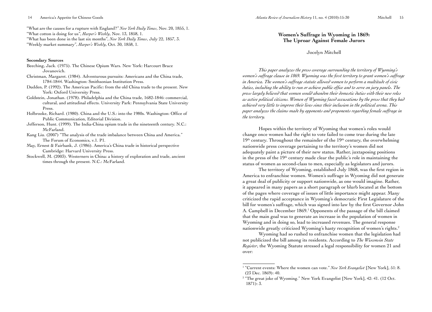"What are the causes for a rupture with England?" *New York Daily Times*, Nov. 20, 1855, 1. "What cotton is doing for us", *Harper's Weekly*, Nov. 13, 1858, 1. "What has been done in the last six months", *New York Daily Times*, July 22, 1857, 3. "Weekly market summary", *Harper's Weekly*, Oct. 30, 1858, 1.

#### **Secondary Sources**

14 America's Appetite for Chinese Goods

- Beeching, Jack. (1975). The Chinese Opium Wars. New York: Harcourt Brace Jovanovich.
- Christman, Margaret. (1984). Adventurous pursuits: Americans and the China trade, 1784-1844. Washington: Smithsonian Institution Press.
- Dudden, P. (1992). The American Pacific: from the old China trade to the present. New York: Oxford University Press.
- Goldstein, Jonathan. (1978). Philadelphia and the China trade, 1682-1846: commercial, cultural, and attitudinal effects. University Park: Pennsylvania State University Press.
- Holbrooke, Richard. (1980). China and the U.S.: into the 1980s. Washington: Office of Public Communication, Editorial Division.
- Jefferson, Hunt. (1999). The India-China opium trade in the nineteenth century. N.C.: McFarland.
- Kang Liu. (2007) "The analysis of the trade imbalance between China and America." The Forum of Economics, v.1. P1.
- May, Ernest & Fairbank, J. (1986). America's China trade in historical perspective Cambridge: Harvard University Press.
- Stockwell, M. (2003). Westerners in China: a history of exploration and trade, ancient times through the present. N.C.: McFarland.

# **Women's Suffrage in Wyoming in 1869: The Uproar Against Female Jurors**

#### Jocelyn Mitchell

*This paper analyzes the press coverage surrounding the territory of Wyoming's women's suffrage clause in 1869. Wyoming was the first territory to grant women's suffrage in America. The women's suffrage statute allowed women to perform a multitude of civic duties, including the ability to run or achieve public office and to serve on jury panels. The press largely believed that women would abandon their domestic duties with their new roles as active political citizens. Women of Wyoming faced accusations by the press that they had achieved very little to improve their lives since their inclusion in the political arena. This paper analyzes the claims made by opponents and proponents regarding female suffrage in the territory.* 

Hopes within the territory of Wyoming that women's roles would change once women had the right to vote failed to come true during the late  $19<sup>th</sup>$  century. Throughout the remainder of the  $19<sup>th</sup>$  century, the overwhelming nationwide press coverage pertaining to the territory's women did not adequately paint a picture of their new status. Rather, juxtaposing positions in the press of the 19<sup>th</sup> century made clear the public's role in maintaining the status of women as second-class to men, especially as legislators and jurors.

The territory of Wyoming, established July 1868, was the first region in America to enfranchise women. Women's suffrage in Wyoming did not generate a great deal of publicity or support nationwide, as one would imagine. Rather, it appeared in many papers as a short paragraph or blurb located at the bottom of the pages where coverage of issues of little importance might appear. Many criticized the rapid acceptance in Wyoming's democratic First Legislature of the bill for women's suffrage, which was signed into law by the first Governor John A. Campbell in December 1869.<sup>1</sup> Opponents of the passage of the bill claimed that the main goal was to generate an increase in the population of women in Wyoming and in doing so, lead to increased revenues. The general response nationwide greatly criticized Wyoming's hasty recognition of women's rights.2

Wyoming had so rushed to enfranchise women that the legislation had not publicized the bill among its residents. According to *The Wisconsin State Register*, the Wyoming Statute stressed a legal responsibility for women 21 and over:

<sup>&</sup>lt;sup>1</sup> "Current events: Where the women can vote." *New York Evangelist* [New York], 51: 8. (23 Dec. 1869): 40.

<sup>&</sup>lt;sup>2</sup> "The great joke of Wyoming." New York Evangelist [New York], 42: 41. (12 Oct. 1871): 3.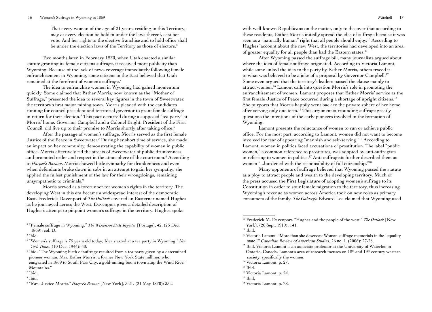#### 16 Women's Suffrage in Wyoming in 1869 Mitchell 17

That every woman of the age of 21 years, residing in this Territory, may at every election be holden under the laws thereof, cast her vote. And her rights to the elective franchise and to hold office shall be under the election laws of the Territory as those of electors.<sup>3</sup>

Two months later, in February 1870, when Utah enacted a similar statute granting its female citizens suffrage, it received more publicity than Wyoming. Because of the lack of news coverage immediately following female enfranchisement in Wyoming, some citizens in the East believed that Utah remained at the forefront of women's suffrage.4

The idea to enfranchise women in Wyoming had gained momentum quickly. Some claimed that Esther Morris, now known as the "Mother of Suffrage," presented the idea to several key figures in the town of Sweetwater, the territory's first major mining town. Morris pleaded with the candidates running for council president and territorial governor to grant female suffrage in return for their election.5 This pact occurred during a supposed "tea party" at Morris' home. Governor Campbell and a Colonel Bright, President of the First Council, did live up to their promise to Morris shortly after taking office.<sup>6</sup>

After the passage of women's suffrage, Morris served as the first female Justice of the Peace in Sweetwater.7 During her short time of service, she made an impact on her community, demonstrating the capability of women in public office. Morris effectively rid the streets of Sweetwater of public drunkenness and promoted order and respect in the atmosphere of the courtroom.8 According to *Harper's Bazaar*, Morris showed little sympathy for drunkenness and even when defendants broke down in sobs in an attempt to gain her sympathy, she applied the fullest punishment of the law for their wrongdoings, remaining unsympathetic to criminals.<sup>9</sup>

Morris served as a forerunner for women's rights in the territory. The developing West in this era became a widespread interest of the democratic East. Frederick Davenport of *The Outlook* covered an Easterner named Hughes as he journeyed across the West. Davenport gives a detailed description of Hughes's attempt to pinpoint women's suffrage in the territory. Hughes spoke

with well-known Republicans on the matter, only to discover that according to these residents, Esther Morris initially spread the idea of suffrage because it was seen as a "naturally human" right that all people should enjoy.10 According to Hughes' account about the new West, the territories had developed into an area of greater equality for all people than had the Eastern states.<sup>11</sup>

After Wyoming passed the suffrage bill, many journalists argued about where the idea of female suffrage originated. According to Victoria Lamont, while some linked the idea to the party by Esther Morris, others traced it to what was believed to be a joke of a proposal by Governor Campbell.<sup>12</sup> Some even argued that the territory's leaders passed the clause mainly to attract women.13 Lamont calls into question Morris's role in promoting the enfranchisement of women. Lamont proposes that Esther Morris' service as the first female Justice of Peace occurred during a shortage of upright citizens.<sup>14</sup> She purports that Morris happily went back to the private sphere of her home after serving only one term.15 This argument surrounding suffrage greatly questions the intentions of the early pioneers involved in the formation of Wyoming.

Lamont presents the reluctance of women to run or achieve public office. For the most part, according to Lamont, women did not want to become involved for fear of appearing "mannish and self-serving."16 According to Lamont, women in politics faced accusations of prostitution. The label "public women," a common reference to prostitutes, was adopted by anti-suffragists in referring to women in politics.<sup>17</sup> Anti-suffragists further described them as women "...burdened with the responsibility of full citizenship."<sup>18</sup>

Many opponents of suffrage believed that Wyoming passed the statute as a ploy to attract people and wealth to the developing territory. Much of the press accused the First Legislature of adopting women's suffrage to its Constitution in order to spur female migration to the territory, thus increasing Wyoming's revenue as women across America took on new roles as primary consumers of the family. *The Galaxy's* Edward Lee claimed that Wyoming used

<sup>3</sup> "Female suffrage in Wyoming." *The Wisconsin State Register* [Portage], 42. (25 Dec. 1869): col. D.

<sup>4</sup> Ibid.

<sup>5</sup> "Women's suffrage is 75 years old today; Idea started at a tea party in Wyoming." *New York Times*. (10 Dec. 1944): 48.

<sup>&</sup>lt;sup>6</sup> Ibid. "The Wyoming birth of suffrage resulted from a tea party given by a determined pioneer woman, Mrs. Esther Morris, a former New York State milliner, who emigrated in 1869 to South Pass City, a gold-mining boom town atop the Wind River Mountains."

<sup>7</sup> Ibid.

<sup>8</sup> Ibid.

<sup>&</sup>lt;sup>9</sup> "Mrs. Justice Morris." *Harper's Bazaar* [New York], 3:21. (21 May 1870): 332.

<sup>10</sup> Frederick M. Davenport. "Hughes and the people of the west." *The Outlook* [New York]. (20 Sept. 1919): 141.

 $11$  Ibid.

 $12$  Victoria Lamont. "More than she deserves: Woman suffrage memorials in the 'equality state.'" *Canadian Review of American Studies*, 26 no. 1. (2006): 27-28.

<sup>&</sup>lt;sup>13</sup> Ibid. Victoria Lamont is an associate professor at the University of Waterloo in Ontario, Canada. Lamont's area of research focuses on 18<sup>th</sup> and 19<sup>th</sup> century western society, specifically the women.

<sup>&</sup>lt;sup>14</sup> Victoria Lamont. p. 27.

<sup>15</sup> Ibid.

<sup>&</sup>lt;sup>16</sup> Victoria Lamont. p. 24.

 $17$  Ibid.

<sup>18</sup> Victoria Lamont. p. 28.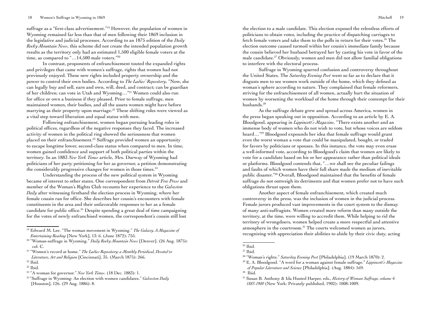suffrage as a "first-class advertisement."19 However, the population of women in Wyoming remained far less than that of men following their 1869 inclusion in the legislative and judicial processes. According to an 1875 edition of the *Daily Rocky Mountain News*, this scheme did not create the intended population growth results as the territory only had an estimated 1,500 eligible female voters at the time, as compared to "...14,500 male voters."<sup>20</sup>

In contrast, proponents of enfranchisement touted the expanded rights and privileges that came with women's suffrage, rights that women had not previously enjoyed. These new rights included property ownership and the power to control their own bodies. According to *The Ladies' Repository*, "Now, she can legally buy and sell, earn and own, will, deed, and contract; can be guardian of her children; can vote in Utah and Wyoming…"21 Women could also run for office or own a business if they pleased. Prior to female suffrage, men maintained women, their bodies, and all the assets women might have before marrying as their property upon marriage.<sup>22</sup> These shifting roles were viewed as a vital step toward liberation and equal status with men.

Following enfranchisement, women began pursuing leading roles in political offices, regardless of the negative responses they faced. The increased activity of women in the political ring showed the seriousness that women placed on their enfranchisement.23 Suffrage provided women an opportunity to escape longtime lower, second-class status when compared to men. In time, women gained confidence and support of both political parties within the territory. In an 1883 *New York Times* article, Mrs. Durway of Wyoming had politicians of her party petitioning for her as governor, a petition demonstrating the considerably progressive changes for women in those times.<sup>24</sup>

Understanding the process of the new political system in Wyoming became of interest to other states. One correspondent from *Detroit Free Press* and member of the Woman's Rights Club recounts her experience to the *Galveston Daily* after witnessing firsthand the election process in Wyoming, where her female cousin ran for office. She describes her cousin's encounters with female constituents in the area and their unfavorable responses to her as a female candidate for public office.<sup>25</sup> Despite spending a great deal of time campaigning for the votes of newly enfranchised women, the correspondent's cousin still lost

the election to a male candidate. This election exposed the relentless efforts of politicians to obtain votes, including the practice of dispatching carriages to fetch female voters and take them to the polls in return for their votes.<sup>26</sup> The election outcome caused turmoil within her cousin's immediate family because the cousin believed her husband betrayed her by casting his vote in favor of the male candidate.27 Obviously, women and men did not allow familial obligations to interfere with the electoral process.

Suffrage in Wyoming spurred confusion and controversy throughout the United States. The *Saturday Evening Post* went so far as to declare that it disgusts men to see women work outside of the home, which they defined as woman's sphere according to nature. They complained that female reformers, striving for the enfranchisement of all women, actually hurt the situation of women by worsening the workload of the home through their contempt for their husbands.<sup>28</sup>

As the suffrage debate grew and spread across America, women in the press began speaking out in opposition. According to an article by E. A. Bloodgood, appearing in *Lippincott's Magazine*, "There exists another and an immense body of women who do not wish to vote, but whose voices are seldom heard…"29 Bloodgood expounds her idea that female suffrage would grant even the worst woman a vote that could be manipulated, bought, or traded for favors by politicians or spouses. In this instance, the vote may even erase a well-informed vote, according to Bloodgood's claim that women are likely to vote for a candidate based on his or her appearance rather than political ideals or platforms. Bloodgood contends that, "…we shall see the peculiar failings and faults of which women have their full share made the medium of inevitable public disaster."30 Overall, Bloodgood maintained that the benefits of female suffrage do not outweigh its detriments and that women prefer not to have such obligations thrust upon them.

Another aspect of female enfranchisement, which created much controversy in the press, was the inclusion of women in the judicial process. Female jurors produced vast improvements in the court system to the dismay of many anti-suffragists. Women created more reform than many outside the territory, at the time, were willing to accredit them. While helping to rid the territory of wrongdoers, women helped create a more respectful and attentive atmosphere in the courtroom.31 The courts welcomed women as jurors, recognizing with appreciation their abilities to abide by their civic duty, acting

<sup>19</sup> Edward M. Lee. "The woman movement in Wyoming." *The Galaxy. A Magazine of Entertaining Reading* [New York], 13: 6. (June 1872): 755.<br><sup>20</sup> "Woman-suffrage in Wyoming." *Daily Rocky Mountain News* [Denver]. (26 Aug. 1875):

col. C.

<sup>21 &</sup>quot;Women's record at home." *The Ladies Repository; a Monthly Periodical, Devoted to Literature, Art and Religion* [Cincinnati], 35. (March 1875): 266.

 $22$  Ibid.

 $23$  Ibid.

<sup>24 &</sup>quot;A woman for governor." *New York Times*. (18 Dec. 1883): 1.

<sup>25 &</sup>quot;Suffrage in Wyoming: An election with women candidates." *Galveston Daily* [Houston], 126. (29 Aug. 1886): 8.

<sup>26</sup> Ibid.

 $27$  Ibid.

<sup>28 &</sup>quot;Woman's rights." *Saturday Evening Post* [Philadelphia]. (19 March 1870): 2.

<sup>29</sup> E. A. Bloodgood. "A word for a woman against female suffrage." *Lippincott's Magazine of Popular Literature and Science* [Philadelphia]. (Aug. 1884): 169.

 $30$  Ibid.

<sup>31</sup> Susan B. Anthony & Ida Husted Harper, eds., *History of Woman Suffrage, volume 4: 1883-1900* (New York: Privately published, 1902): 1008-1009.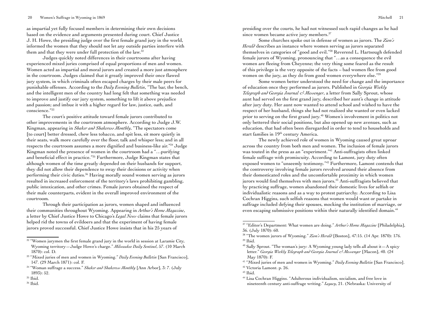#### 20 Women's Suffrage in Wyoming in 1869 Mitchell 21

as impartial yet fully focused members in determining their own decisions based on the evidence and arguments presented during court. Chief Justice J. H. Howe, the presiding judge over the first female grand jury in the world, informed the women that they should not let any outside parties interfere with them and that they were under full protection of the law.<sup>32</sup>

Judges quickly noted differences in their courtrooms after having experienced mixed juries comprised of equal proportions of men and women. Women acted as impartial and moral jurors and created a more just atmosphere in the courtroom. Judges claimed that it greatly improved their once flawed jury system, in which criminals often escaped charges by their male peers for punishable offenses. According to the *Daily Evening Bulletin*, "The bar, the bench, and the intelligent men of the country had long felt that something was needed to improve and justify our jury system, something to lift it above prejudice and passion; and imbue it with a higher regard for law, justice, oath, and conscience."33

The court's positive attitude toward female jurors contributed to other improvements in the courtroom atmosphere. According to Judge J.W. Kingman, appearing in *Shaker and Shakeress Monthly*, "The spectators come [to court] better dressed, chew less tobacco, and spit less, sit more quietly in their seats, walk more carefully over the floor, talk and whisper less; and in all respects the courtroom assumes a more dignified and business-like air."34 Judge Kingman noted the presence of women in the courtroom had a "…purifying and beneficial effect in practice."35 Furthermore, Judge Kingman states that although women of the time greatly depended on their husbands for support, they did not allow their dependence to sway their decisions or activity when performing their civic duties.36 Having morally sound women serving as jurors resulted in increased enforcement of the territory's laws prohibiting gambling, public intoxication, and other crimes. Female jurors obtained the respect of their male counterparts, evident in the overall improved environment of the courtroom.

Through their participation as jurors, women shaped and influenced their communities throughout Wyoming. Appearing in *Arthur's Home Magazine*, a letter by Chief Justice Howe to Chicago's *Legal News* claims that female jurors helped rid the towns of evildoers and that the experiment of having female jurors proved successful. Chief Justice Howe insists that in his 25 years of

presiding over the courts, he had not witnessed such rapid changes as he had since women became active jury members.<sup>37</sup>

Some churches spoke out in defense of women as jurors. The *Zion's Herald* describes an instance where women serving as jurors separated themselves in categories of "good and evil."38 Reverend L. Hartsough defended female jurors of Wyoming, pronouncing that "…as a consequence the evil women are fleeing from Cheyenne; the very thing some feared as the result of this privilege is the very opposite of the facts – bad women flee from good women on the jury, as they do from good women everywhere else."39

Some women better understood the need for change and the importance of education once they performed as jurors. Published in *Georgia Weekly Telegraph and Georgia Journal & Messenger*, a letter from Sally Sprout, whose aunt had served on the first grand jury, described her aunt's change in attitude after jury duty. Her aunt now wanted to attend school and wished to have the respect of her husband, things she had not realized she wanted or even lacked prior to serving on the first grand jury.<sup>40</sup> Women's involvement in politics not only bettered their social positions, but also opened up new avenues, such as education, that had often been disregarded in order to tend to households and start families in 19<sup>th</sup> century America.

The newly achieved role of women in Wyoming caused great uproar across the country from both men and women. The inclusion of female jurors was touted in the press as an "experiment."<sup>41</sup> Anti-suffragists often linked female suffrage with promiscuity. According to Lamont, jury duty often exposed women to "unseemly testimony."42 Furthermore, Lamont contends that the controversy involving female jurors revolved around their absence from their domesticated roles and the uncomfortable proximity in which women jurors would find themselves with men jurors.<sup>43</sup> Anti-suffragists believed that by practicing suffrage, women abandoned their domestic lives for selfish or individualistic reasons and as a way to protest patriarchy. According to Lisa Cochran Higgins, such selfish reasons that women would want or partake in suffrage included defying their spouses, mocking the institution of marriage, or even escaping submissive positions within their naturally identified domain.<sup>44</sup>

<sup>&</sup>lt;sup>32</sup> "Women jurymen the first female grand jury in the world in session at Laramie City, Wyoming territory—Judge Howe's charge." *Milwaukee Daily Sentinel*, 57. (10 March 1870): col. D.

<sup>33 &</sup>quot;Mixed juries of men and women in Wyoming." *Daily Evening Bulletin* [San Francisco], 147. (29 March 1871): col. F.

<sup>34 &</sup>quot;Woman suffrage a success." *Shaker and Shakeress Monthly* [Ann Arbor], 3: 7. (July 1893): 52.

<sup>35</sup> Ibid.

<sup>36</sup> Ibid.

<sup>37 &</sup>quot;Editor's Department: What women are doing." *Arthur's Home Magazine* [Philadelphia], 36. (July 1870): 60.

<sup>38 &</sup>quot;The women jurors of Wyoming." *Zion's Herald* [Boston], 47:15. (14 Apr. 1870): 176.  $39$  Ibid.

<sup>&</sup>lt;sup>40</sup> Sally Sprout. "The woman's jury: A Wyoming young lady tells all about it  $-A$  spicy letter." *Georgia Weekly Telegraph and Georgia Journal & Messenger* [Macon], 40. (24 May 1870): F.

<sup>41 &</sup>quot;Mixed juries of men and women in Wyoming." *Daily Evening Bulletin* [San Francisco]. 42 Victoria Lamont. p. 26.

 $43$  Ibid.

<sup>&</sup>lt;sup>44</sup> Lisa Cochran Higgins. "Adulterous individualism, socialism, and free love in nineteenth century anti-suffrage writing." *Legacy*, 21. (Nebraska: University of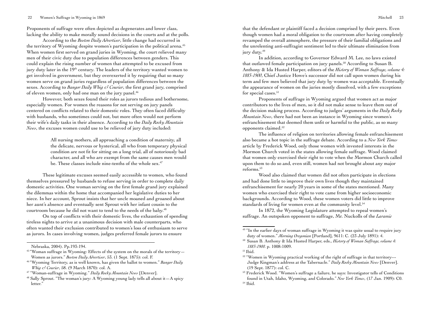Proponents of suffrage were often depicted as degenerates and lower class, lacking the ability to make morally sound decisions in the courts and at the polls.

According to the *Boston Daily Advertiser*, little change had occurred in the territory of Wyoming despite women's participation in the political arena.<sup>45</sup> When women first served on grand juries in Wyoming, the court relieved many men of their civic duty due to population differences between genders. This could explain the rising number of women that attempted to be excused from jury duty later in the 19<sup>th</sup> century. The leaders of the territory wanted women to get involved in government, but they overexerted it by requiring that so many women serve on grand juries regardless of population differences between the sexes. According to *Bangor Daily Whig & Courier*, the first grand jury, comprised of eleven women, only had one man on the jury panel.<sup>46</sup>

However, both sexes found their roles as jurors tedious and bothersome, especially women. For women the reasons for not serving on jury panels centered on conflicts related to their domestic roles. They often faced difficulty with husbands, who sometimes could not, but more often would not perform their wife's daily tasks in their absence. According to the *Daily Rocky Mountain News*, the excuses women could use to be relieved of jury duty included:

> All nursing mothers, all approaching a condition of maternity, all the delicate, nervous or hysterical, all who from temporary physical condition are not fit for sitting on a long trial, all of notoriously bad character, and all who are exempt from the same causes men would be. These classes include nine-tenths of the whole sex.<sup>47</sup>

These legitimate excuses seemed easily accessible to women, who found themselves pressured by husbands to refuse serving in order to complete daily domestic activities. One woman serving on the first female grand jury explained the dilemmas within the home that accompanied her legislative duties to her niece. In her account, Sprout insists that her uncle moaned and groaned about her aunt's absence and eventually sent Sprout with her infant cousin to the courtroom because he did not want to tend to the needs of the baby.48

On top of conflicts with their domestic lives, the exhaustion of spending tireless nights to arrive at a unanimous decision with male counterparts, who often wanted their exclusion contributed to women's loss of enthusiasm to serve as jurors. In cases involving women, judges preferred female jurors to ensure

that the defendant or plaintiff faced a decision comprised by their peers. Even though women had a moral obligation to the courtroom after having completely revamped the overall atmosphere, the pressure of their familial obligations and the unrelenting anti-suffragist sentiment led to their ultimate elimination from jury duty.<sup>49</sup>

In addition, according to Governor Edward M. Lee, no laws existed that outlawed female participation on jury panels.<sup>50</sup> According to Susan B. Anthony & Ida Husted Harper, editors of the *History of Woman Suffrage, volume 4: 1883-1900*, Chief Justice Howe's successor did not call upon women during his term and few men believed that jury duty by women was acceptable. Eventually the appearance of women on the juries mostly dissolved, with a few exceptions for special cases.<sup>51</sup>

Proponents of suffrage in Wyoming argued that women act as major contributors to the lives of men, so it did not make sense to leave them out of the decision making process. According to judges' arguments in the *Daily Rocky Mountain News*, there had not been an instance in Wyoming since women's enfranchisement that deemed them unfit or harmful to the public, as so many opponents claimed.52

The influence of religion on territories allowing female enfranchisement also became a hot topic in the suffrage debate. According to a *New York Times* article by Frederick Wood, only those women with invested interests in the Mormon Church voted in the states allowing female suffrage. Wood claimed that women only exercised their right to vote when the Mormon Church called upon them to do so and, even still, women had not brought about any major reforms.<sup>53</sup>

Wood also claimed that women did not often participate in elections and had done little to improve their own lives though they maintained enfranchisement for nearly 20 years in some of the states mentioned. Many women who exercised their right to vote came from higher socioeconomic backgrounds. According to Wood, these women voters did little to improve standards of living for women even at the community level.<sup>54</sup>

In 1872, the Wyoming Legislature attempted to repeal women's suffrage. An outspoken opponent to suffrage, Mr. Nuckolls of the *Laramie* 

Nebraska, 2004). Pp.193-194.

 $45$  "Woman suffrage in Wyoming: Effects of the system on the morals of the territory  $-$ Women as jurors." *Boston Daily Advertiser*, 53. (1 Sept. 1875): col. F.<br><sup>46</sup> "Wyoming Territory, as is well known, has given the ballot to women." *Bangor Daily* 

*Whig & Courier*, 58. (9 March 1870): col. A.

<sup>47 &</sup>quot;Woman-suffrage in Wyoming." *Daily Rocky Mountain News* [Denver]. 48 Sally Sprout. "The woman's jury: A Wyoming young lady tells all about it—A spicy letter."

<sup>&</sup>lt;sup>49</sup> "In the earlier days of woman suffrage in Wyoming it was quite usual to require jury duty of women." *Morning Oregonian* [Portland], 9611: C. (23 July 1891): 4.

<sup>50</sup> Susan B. Anthony & Ida Husted Harper, eds., *History of Woman Suffrage, volume 4: 1883-1900.* p. 1008-1009.

 $51$  Ibid.

<sup>&</sup>lt;sup>52</sup> "Women in Wyoming practical working of the right of suffrage in that territory--- Judge Kingman's address at the Tabernacle." *Daily Rocky Mountain News* [Denver]. (19 Sept. 1877): col. C.

<sup>53</sup> Frederick Wood. "Women's suffrage a failure, he says: Investigator tells of Conditions found in Utah, Idaho, Wyoming, and Colorado." *New York Times*, (17 Jan. 1909): C0. 54 Ibid.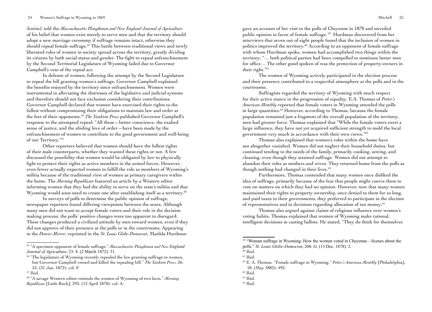*Sentinel*, told the *Massachusetts Ploughman and New England Journal of Agriculture*  of his belief that women exist merely to serve men and that the territory should adopt a new marriage ceremony if suffrage remains intact, otherwise they should repeal female suffrage.<sup>55</sup> This battle between traditional views and newly liberated roles of women in society spread across the territory, greatly dividing its citizens by both social status and gender. The fight to repeal enfranchisement by the Second Territorial Legislature of Wyoming failed due to Governor Campbell's veto of the repeal act.

In defense of women, following the attempt by the Second Legislature to repeal the bill granting women's suffrage, Governor Campbell explained the benefits enjoyed by the territory since enfranchisement. Women were instrumental in alleviating the distresses of the legislative and judicial systems and therefore should not face exclusion considering their contributions. Governor Campbell declared that women have exercised their rights to the fullest without compromising their obligations to maintain law and order at the feet of their opponents.56 *The Yankton Press* published Governor Campbell's response to the attempted repeal: "All these—better conscience, the exalted sense of justice, and the abiding love of order—have been made by the enfranchisement of women to contribute to the good government and well-being of our Territory."57

Other reporters believed that women should have the fullest rights of their male counterparts, whether they wanted these rights or not. A few discussed the possibility that women would be obligated by law to physically fight to protect their rights as active members in the armed forces. However, even fewer actually expected women to fulfill the role as members of Wyoming's militia because of the traditional view of women as primary caregivers within the home. The *Morning Republican* featured an article by a Western editor informing women that they had the ability to serve on the state's militia and that Wyoming would soon need to create one after establishing itself as a territory.<sup>58</sup>

In surveys of polls to determine the public opinion of suffrage, newspaper reporters found differing viewpoints between the sexes. Although many men did not want to accept female voters and their role in the decision making process, the polls' positive changes were too apparent to disregard. These changes produced a civilized attitude by men toward women, even if they did not approve of their presence at the polls or in the courtrooms. Appearing in the *Denver Mirror*, reprinted in the *St. Louis Globe-Democrat*, Matilda Hurdman

55 "A specimen opponent of female suffrage." *Massachusetts Ploughman and New England Journal of Agriculture*, 23: 4. (2 March 1872): 31.

gave an account of her visit to the polls of Cheyenne in 1878 and unveiled public opinion in favor of female suffrage. 59 Hurdman discovered from her interviews that seven out of eight people found that the inclusion of women in politics improved the territory.<sup>60</sup> According to an opponent of female suffrage with whom Hurdman spoke, women had accomplished two things within the territory: "… both political parties had been compelled to nominate better men for office… The other good spoken of was the protection of property-owners in their right."61

The women of Wyoming actively participated in the election process and their presence contributed to a respectful atmosphere at the polls and in the courtrooms.

Suffragists regarded the territory of Wyoming with much respect for their active stance in the progression of equality. E.A. Thomas of *Potter's American Monthly* reported that female voters in Wyoming attended the polls in large quantities.62 However, according to Thomas, because the female population remained just a fragment of the overall population of the territory, men had greater force. Thomas explained that "While the female voters exert a large influence, they have not yet acquired sufficient strength to mold the local government very much in accordance with their own views."63

Thomas also explained that women's roles within the home have not altogether vanished. Women did not neglect their household duties, but continued tending to the needs of the family, primarily cooking, sewing, and cleaning, even though they attained suffrage. Women did not attempt to abandon their roles as mothers and wives. They returned home from the polls as though nothing had changed in their lives.<sup>64</sup>

Furthermore, Thomas contended that many women once disliked the idea of suffrage, primarily because of the fear that people might coerce them to vote on matters on which they had no opinion. However, now that many women maintained their rights to property ownership, once denied to them for so long, and paid taxes to their governments, they preferred to participate in the election of representatives and in decisions regarding allocation of tax money.65

Thomas also argued against claims of religious influence over women's voting habits. Thomas explained that women of Wyoming make rational, intelligent decisions in casting ballots. He stated, "They do think for themselves

<sup>&</sup>lt;sup>56</sup> "The legislature of Wyoming recently repealed the law granting suffrage to women, but Governor Campbell vetoed and killed the repealing bill." *The Yankton Press*, 26: 53. (31 Jan. 1872): col. F.

<sup>57</sup> Ibid.

<sup>58 &</sup>quot;A savage Western editor reminds the women of Wyoming of two facts." *Morning Republican* [Little Rock], 293. (13 April 1870): col. A.

<sup>&</sup>lt;sup>59</sup> "Woman suffrage in Wyoming: How the women voted in Cheyenne—Scenes about the polls." *St. Louis Globe-Democrat*, 206: G. (13 Dec. 1878): 2.

 $60$  Ibid.

 $61$  Ibid.

<sup>62</sup> E. A. Thomas. "Female suffrage in Wyoming." *Potter's American Monthly* [Philadelphia], 18. (May 1882): 492.

<sup>63</sup> Ibid.

<sup>64</sup> Ibid*.*

 $65$  Ibid.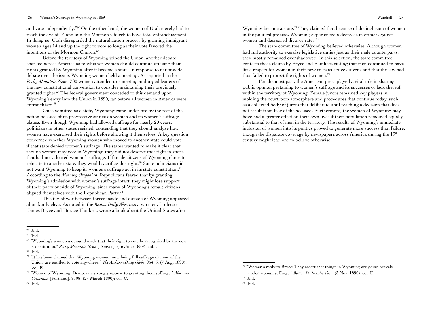#### 26 Women's Suffrage in Wyoming in 1869 Mitchell 27

and vote independently."66 On the other hand, the women of Utah merely had to reach the age of 14 and join the Mormon Church to have total enfranchisement. In doing so, Utah disregarded the naturalization process by granting immigrant women ages 14 and up the right to vote so long as their vote favored the intentions of the Mormon Church.<sup>67</sup>

Before the territory of Wyoming joined the Union, another debate sparked across America as to whether women should continue utilizing their rights granted by Wyoming after it became a state. In response to nationwide debate over the issue, Wyoming women held a meeting. As reported in the *Rocky Mountain News*, 700 women attended this meeting and urged leaders of the new constitutional convention to consider maintaining their previously granted rights.68 The federal government conceded to this demand upon Wyoming's entry into the Union in 1890, far before all women in America were enfranchised.69

Once admitted as a state, Wyoming came under fire by the rest of the nation because of its progressive stance on women and its women's suffrage clause. Even though Wyoming had allowed suffrage for nearly 20 years, politicians in other states resisted, contending that they should analyze how women have exercised their rights before allowing it themselves. A key question concerned whether Wyoming women who moved to another state could vote if that state denied women's suffrage. The states wanted to make it clear that though women may vote in Wyoming, they did not deserve that right in states that had not adopted woman's suffrage. If female citizens of Wyoming chose to relocate to another state, they would sacrifice this right.70 Some politicians did not want Wyoming to keep its women's suffrage act in its state constitution.<sup>71</sup> According to the *Morning Oregonian*, Republicans feared that by granting Wyoming's admission with women's suffrage intact, they might lose support of their party outside of Wyoming, since many of Wyoming's female citizens aligned themselves with the Republican Party.72

This tug of war between forces inside and outside of Wyoming appeared abundantly clear. As noted in the *Boston Daily Advertiser*, two men, Professor James Bryce and Horace Plunkett, wrote a book about the United States after

 $69$  Ibid.

Wyoming became a state.<sup>73</sup> They claimed that because of the inclusion of women in the political process, Wyoming experienced a decrease in crimes against women and decreased divorce rates.74

The state committee of Wyoming believed otherwise. Although women had full authority to exercise legislative duties just as their male counterparts, they mostly remained overshadowed. In this selection, the state committee contests those claims by Bryce and Plunkett, stating that men continued to have little respect for women in their new roles as active citizens and that the law had thus failed to protect the rights of women.75

For the most part, the American press played a vital role in shaping public opinion pertaining to women's suffrage and its successes or lack thereof within the territory of Wyoming. Female jurors remained key players in molding the courtroom atmosphere and procedures that continue today, such as a collected body of jurors that deliberate until reaching a decision that does not result from fear of the accused. Furthermore, the women of Wyoming may have had a greater effect on their own lives if their population remained equally substantial to that of men in the territory. The results of Wyoming's immediate inclusion of women into its politics proved to generate more success than failure, though the disparate coverage by newspapers across America during the 19<sup>th</sup> century might lead one to believe otherwise.

<sup>66</sup> Ibid.

 $67$  Ibid.

<sup>&</sup>lt;sup>68</sup> "Wyoming's women a demand made that their right to vote be recognized by the new Constitution." *Rocky Mountain News* [Denver]. (16 June 1889): col. C.

<sup>70 &</sup>quot;It has been claimed that Wyoming women, now being full suffrage citizens of the Union, are entitled to vote anywhere." *The Atchison Daily Globe*, 954: 3. (7 Aug. 1890): col. E.

<sup>71 &</sup>quot;Women of Wyoming: Democrats strongly oppose to granting them suffrage." *Morning Oregonian* [Portland], 9198. (27 March 1890): col. C.

 $72$  Ibid.

<sup>&</sup>lt;sup>73</sup> "Women's reply to Bryce: They assert that things in Wyoming are going bravely under woman suffrage." *Boston Daily Advertiser*. (3 Nov. 1890): col. F.

<sup>74</sup> Ibid.

<sup>75</sup> Ibid.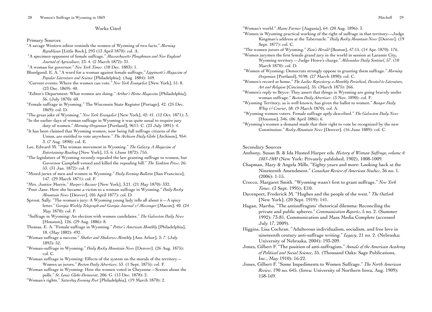## Works Cited

#### Primary Sources

- "A savage Western editor reminds the women of Wyoming of two facts." *Morning Republican* [Little Rock], 293 (13 April 1870): col. A.
- "A specimen opponent of female suffrage." *Massachusetts Ploughman and New England Journal of Agriculture*, 23: 4. (2 March 1872): 31.
- "A woman for governor." *New York Times*. (18 Dec. 1883): 1.
- Bloodgood, E. A. "A word for a woman against female suffrage." *Lippincott's Magazine of Popular Literature and Science* [Philadelphia]. (Aug. 1884): 169.
- "Current events: Where the women can vote." *New York Evangelist* [New York], 51: 8. (23 Dec. 1869): 40.
- "Editor's Department: What women are doing." *Arthur's Home Magazine* [Philadelphia], 36. (July 1870): 60.
- "Female suffrage in Wyoming." The Wisconsin State Register [Portage], 42. (25 Dec. 1869): col. D.
- "The great joke of Wyoming." *New York Evangelist* [New York], 42: 41. (12 Oct. 1871): 3.
- "In the earlier days of woman suffrage in Wyoming it was quite usual to require jury duty of women." *Morning Oregonian* [Portland], 9611: C. (23 July 1891): 4.
- "It has been claimed that Wyoming women, now being full suffrage citizens of the Union, are entitled to vote anywhere." *The Atchison Daily Globe* [Atchison], 954: 3. (7 Aug. 1890): col. E.
- Lee, Edward M. "The woman movement in Wyoming." *The Galaxy. A Magazine of Entertaining Reading* [New York], 13: 6. (June 1872): 755.
- "The legislature of Wyoming recently repealed the law granting suffrage to women, but Governor Campbell vetoed and killed the repealing bill." *The Yankton Press*, 26: 53. (31 Jan. 1872): col. F.
- "Mixed juries of men and women in Wyoming." *Daily Evening Bulletin* [San Francisco], 147. (29 March 1871): col. F.
- "Mrs. Justice Morris." *Harper's Bazaar* [New York], 3:21. (21 May 1870): 332.
- "Poor Jane. How she became a victim to a woman suffrage in Wyoming." *Daily Rocky Mountain News* [Denver]. (05 April 1877): col. D.
- Sprout, Sally. "The woman's jury: A Wyoming young lady tells all about it—A spicy letter." *Georgia Weekly Telegraph and Georgia Journal & Messenger* [Macon], 40. (24 May 1870): col. F.
- "Suffrage in Wyoming: An election with women candidates." *The Galveston Daily News* [Houston], 126. (29 Aug. 1886): 8.
- Thomas, E. A. "Female suffrage in Wyoming." *Potter's American Monthly* [Philadelphia], 18. (May 1882): 492.
- "Woman suffrage a success." *Shaker and Shakeress Monthly* [Ann Arbor], 3: 7. (July 1893): 52.
- "Woman-suffrage in Wyoming." *Daily Rocky Mountain News* [Denver]. (26 Aug. 1875): col. C.
- "Woman suffrage in Wyoming: Effects of the system on the morals of the territory  $-$ Women as jurors." *Boston Daily Advertiser*, 53. (1 Sept. 1875): col. F.
- "Woman suffrage in Wyoming: How the women voted in Cheyenne—Scenes about the polls." *St. Louis Globe-Democrat*, 206: G. (13 Dec. 1878): 2.
- "Woman's rights." *Saturday Evening Post* [Philadelphia]. (19 March 1870): 2.

"Woman's world." *Maine Farmer* [Augusta], 64. (20 Aug. 1896): 3.

- "Women in Wyoming practical working of the right of suffrage in that territory---Judge Kingman's address at the Tabernacle." *Daily Rocky Mountain News* [Denver]. (19 Sept. 1877): col. C.
- "The women jurors of Wyoming." *Zion's Herald* [Boston], 47:15. (14 Apr. 1870): 176.
- "Women jurymen the first female grand jury in the world in session at Laramie City, Wyoming territory—Judge Howe's charge." *Milwaukee Daily Sentinel*, 57. (10 March 1870): col. D.
- "Women of Wyoming: Democrats strongly oppose to granting them suffrage." *Morning Oregonian* [Portland], 9198. (27 March 1890): col. C.
- "Women's record at home." *The Ladies Repository; a Monthly Periodical, Devoted to Literature, Art and Religion* [Cincinnati], 35. (March 1875): 266.
- "Women's reply to Bryce: They assert that things in Wyoming are going bravely under woman suffrage." *Boston Daily Advertiser*. (3 Nov. 1890): col. F.
- "Wyoming Territory, as is well known, has given the ballot to women." *Bangor Daily Whig & Courier*, 58. (9 March 1870), col. A.
- "Wyoming women voters. Female suffrage aptly described." *The Galveston Daily News* [Houston], 346. (06 April 1886): 6.
- "Wyoming's women a demand made that their right to vote be recognized by the new Constitution." *Rocky Mountain News* [Denver]. (16 June 1889): col. C.

## Secondary Sources

- Anthony, Susan B. & Ida Husted Harper eds. *History of Woman Suffrage, volume 4: 1883-1900* (New York: Privately published, 1902), 1008-1009.
- Chapman, Mary & Angela Mills. "Eighty years and more: Looking back at the Nineteenth Amendment." *Canadian Review of American Studies*, 36 no. 1. (2006): 1-15.
- Crocco, Margaret Smith. "Wyoming wasn't first to grant suffrage." *New York Times*. (3 Sept. 1995): E10.
- Davenport, Frederick M. "Hughes and the people of the west." *The Outlook* [New York]. (20 Sept. 1919): 141.
- Hagan, Martha. "The antisuffragists' rhetorical dilemma: Reconciling the private and public spheres." *Communication Reports*, 5 no. 2. (Summer 1992): 73-81, Communication and Mass Media Complete (accessed July 17, 2009).
- Higgins, Lisa Cochran. "Adulterous individualism, socialism, and free love in nineteenth century anti-suffrage writing." *Legacy*, 21 no. 2. (Nebraska: University of Nebraska, 2004): 193-209.
- Jones, Gilbert F. "The position of anti-suffragists." *Annals of the American Academy of Political and Social Science*, 35. (Thousand Oaks: Sage Publications, Inc., May 1910): 16-22.
- Jones, Gilbert F. "Some Impediments to Women Suffrage." *The North American Review*, 190 no. 645. (Iowa: University of Northern Iowa, Aug. 1909): 158-169.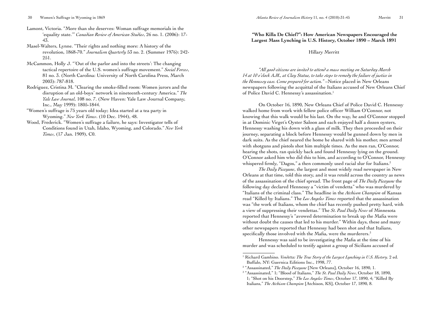- Lamont, Victoria. "More than she deserves: Woman suffrage memorials in the 'equality state.'" *Canadian Review of American Studies*, 26 no. 1. (2006): 17- 43.
- Masel-Walters, Lynne. "Their rights and nothing more: A history of the revolution, 1868-70." *Journalism Quarterly* 53 no. 2. (Summer 1976): 242- 251.
- McCammon, Holly J. "'Out of the parlor and into the streets': The changing tactical repertoire of the U.S. women's suffrage movement." *Social Forces*, 81 no. 3. (North Carolina: University of North Carolina Press, March 2003): 787-818.
- Rodriguez, Cristina M. "Clearing the smoke-filled room: Women jurors and the disruption of an old-boys' network in nineteenth-century America." *The Yale Law Journal*, 108 no. 7. (New Haven: Yale Law Journal Company, Inc., May 1999): 1805-1844.
- "Women's suffrage is 75 years old today; Idea started at a tea party in Wyoming." *New York Times*. (10 Dec. 1944), 48.
- Wood, Frederick. "Women's suffrage a failure, he says: Investigator tells of Conditions found in Utah, Idaho, Wyoming, and Colorado." *New York Times*, (17 Jan. 1909), C0.

# **"Who Killa De Chief?": How American Newspapers Encouraged the Largest Mass Lynching in U.S. History, October 1890 – March 1891**

#### Hillary Merritt

*"All good citizens are invited to attend a mass meeting on Saturday March 14 at 10 o'clock A.M., at Clay Statue, to take steps to remedy the failure of justice in the Hennessy case. Come prepared for action."* –Notice placed in New Orleans newspapers following the acquittal of the Italians accused of New Orleans Chief of Police David C. Hennessy's assassination.<sup>1</sup>

On October 16, 1890, New Orleans Chief of Police David C. Hennessy walked home from work with fellow police officer William O'Connor, not knowing that this walk would be his last. On the way, he and O'Connor stopped in at Dominic Virget's Oyster Saloon and each enjoyed half a dozen oysters, Hennessy washing his down with a glass of milk. They then proceeded on their journey, separating a block before Hennessy would be gunned down by men in dark suits. As the chief neared the home he shared with his mother, men armed with shotguns and pistols shot him multiple times. As the men ran, O'Connor, hearing the shots, ran quickly back and found Hennessy lying on the ground. O'Connor asked him who did this to him, and according to O'Connor, Hennessy whispered firmly, "Dagos," a then commonly used racial slur for Italians.<sup>2</sup>

*The Daily Picayune*, the largest and most widely read newspaper in New Orleans at that time, told this story, and it was retold across the country as news of the assassination of the chief spread. The front page of *The Daily Picayune* the following day declared Hennessy a "victim of vendetta" who was murdered by "Italians of the criminal class." The headline in the *Atchison Champion* of Kansas read "Killed by Italians." The *Los Angeles Times* reported that the assassination was "the work of Italians, whom the chief has recently pushed pretty hard, with a view of suppressing their vendettas." The *St. Paul Daily News* of Minnesota reported that Hennessy's "avowed determination to break up the Mafia were without doubt the causes that led to his murder." Within days, these and many other newspapers reported that Hennessy had been shot and that Italians, specifically those involved with the Mafia, were the murderers.<sup>3</sup>

Hennessy was said to be investigating the Mafia at the time of his murder and was scheduled to testify against a group of Sicilians accused of

<sup>&</sup>lt;sup>1</sup> Richard Gambino. *Vendetta: The True Story of the Largest Lynching in U.S. History.* 2 ed. Buffalo, NY: Guernica Editions Inc., 1998, 77.

<sup>&</sup>lt;sup>2</sup> "Assassinated," The Daily Picayune [New Orleans], October 16, 1890, 1.

<sup>3</sup> "Assassinated," 1; "Blood of Italians," *The St. Paul Daily News*, October 18, 1890, 1; "Shot on his Doorstep," *The Los Angeles Times*, October 17, 1890, 4; "Killed By Italians," *The Atchison Champion* [Atchison, KS], October 17, 1890, 8.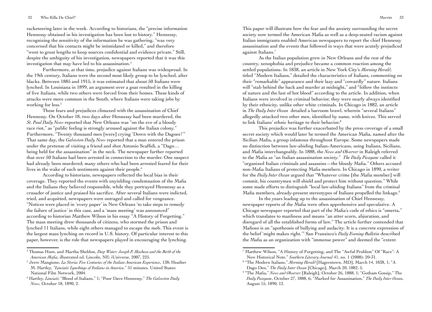racketeering later in the week. According to historians, the "precise information Hennessy obtained in his investigation has been lost to history." Hennessy, recognizing the sensitivity of the information he was gathering, "was very concerned that his contacts might be intimidated or killed," and therefore "went to great lengths to keep sources confidential and evidence private." Still, despite the ambiguity of his investigation, newspapers reported that it was this investigation that may have led to his assassination.4

Furthermore, at that time, prejudice against Italians was widespread. In the 19th century, Italians were the second most likely group to be lynched, after blacks. Between 1885 and 1915, it was estimated that about 50 Italians were lynched. In Louisiana in 1899, an argument over a goat resulted in the killing of five Italians, while two others were forced from their homes. These kinds of attacks were more common in the South, where Italians were taking jobs by working for less.<sup>5</sup>

These fears and prejudices climaxed with the assassination of Chief Hennessy. On October 18, two days after Hennessy had been murdered, the *St. Paul Daily News* reported that New Orleans was "on the eve of a bloody race riot," as "public feeling is strongly aroused against the Italian colony." Furthermore, "Twenty thousand men [were] crying 'Down with the Dagoes!'" That same day, the *Galveston Daily News* reported that a man entered the prison under the pretense of visiting a friend and shot Antonio Scaffidi, a "Dago… being held for the assassination" in the neck. The newspaper further reported that over 50 Italians had been arrested in connection to the murder. One suspect had already been murdered; many others who had been arrested feared for their lives in the wake of such sentiments against their people.<sup>6</sup>

According to historians, newspapers reflected the local bias in their coverage. They reported the events with unyielding condemnation of the Mafia and the Italians they believed responsible, while they portrayed Hennessy as a crusader of justice and praised his sacrifice. After several Italians were indicted, tried, and acquitted, newspapers were outraged and called for vengeance. "Notices were placed in 'every paper' in New Orleans 'to take steps to remedy the failure of justice' in this case, and a 'mass meeting' was announced" according to historian Matthew Wilson in his essay "A History of Forgetting." The mass meeting drew thousands of citizens, who stormed the prison and lynched 11 Italians, while eight others managed to escape the mob. This event is the largest mass lynching on record in U.S. history. Of particular interest to this paper, however, is the role that newspapers played in encouraging the lynching.

This paper will illustrate how the fear and the anxiety surrounding the secret society now termed the American Mafia as well as a deep-seated racism against Italian immigrants enabled American newspapers to report the chief Hennessy assassination and the events that followed in ways that were acutely prejudiced against Italians.<sup>7</sup>

As the Italian population grew in New Orleans and the rest of the country, xenophobia and prejudice became a common reaction among the settled populations. In 1838, an article in New York City's *Morning Herald*, titled "Modern Italians," detailed the characteristics of Italians, commenting on their "remarkable" appearance and their lazy and "cowardly" nature. Italians will "stab behind the back and murder at midnight," and "follow the instincts of nature and the lust of hot blood" according to the article. In addition, when Italians were involved in criminal behavior, they were nearly always identified by their ethnicity, unlike other white criminals. In Chicago in 1882, an article in *The Daily Inter Ocean* detailed a barroom brawl, wherein "several Italians" allegedly attacked two other men, identified by name, with knives. This served to link Italians' ethnic heritage to their behavior.<sup>8</sup>

This prejudice was further exacerbated by the press coverage of a small secret society which would later be termed the American Mafia, named after the Sicilian Mafia, a group infamous throughout Europe. Some newspapers made no distinction between law-abiding Italian-Americans, using Italians, Sicilians, and Mafia interchangeably. In 1888, the *News and Observer* in Raleigh referred to the Mafia as "an Italian assassination society." *The Daily Picayune* called it "organized Italian criminals and assassins—the bloody Mafia." Others accused non-Mafia Italians of protecting Mafia members. In Chicago in 1890, a writer for the *Daily Inter Ocean* argued that "Whatever crime [the Mafia member] will commit, his countrymen will shield and protect him without question." While some made efforts to distinguish "local law-abiding Italians" from the criminal Mafia members, already-present stereotypes of Italians propelled the linkage.<sup>9</sup>

In the years leading up to the assassination of Chief Hennessy, newspaper reports of the Mafia were often apprehensive and speculative. A Chicago newspaper reported that part of the Mafia's code of ethics is "omerta," which translates to manliness and means "an utter scorn, abjuration, and disregard of all the established forms of law." The article further contended that Mafioso is an "apotheosis of bullying and audacity. It is a concrete expression of the belief 'might makes right.'" San Fransisco's *Daily Evening Bulletin* described the Mafia as an organization with "immense power" and deemed the "extent

<sup>4</sup> Thomas Hunt, and Martha Sheldon, *Deep Water: Joseph P. Macheca and the Birth of the American Mafia*, illustrated ed. Lincoln, NE: iUniverse, 2007, 225.

<sup>5</sup> Jerre Mangione, *La Storia: Five Centuries of the Italian American Experience*, 138; Heather M. Hartley, *"Linciati: Lynchings of Italians in America*." 51 minutes. United States: National Film Network, 2004.

<sup>6</sup> Hartley, *Linciati*; "Blood of Italians," 1; "Poor Dave Hennessy," *The Galveston Daily News*, October 18, 1890, 2.

<sup>7</sup> Matthew Wilson, "A History of Forgetting, and The "Awful Problem" Of "Race": A New Historical Note." *Southern Literary Journal* 41, no. 1 (2008): 20-31.

<sup>8</sup> "The Modern Italians," *Morning Herald* [Hagerstown, MD], March 14, 1838, 1; "A Dago Den," *The Daily Inter Ocean* [Chicago], March 20, 1882, 5.

<sup>&</sup>lt;sup>9</sup> "The Mafia," *News and Observer* [Raleigh], October 26, 1888, 1; "Gotham Gossip," The *Daily Picayune*, October 27, 1888, 6; "Marked for Assassination," *The Daily Inter Ocean*, August 15, 1890, 12.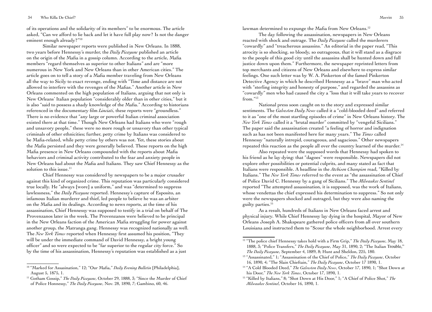of its operations and the solidarity of its members" to be enormous. The article asked, "Can we afford to lie back and let it have full play now? Is not the danger eminent enough already?"10

Similar newspaper reports were published in New Orleans. In 1888, two years before Hennessy's murder, the *Daily Picayune* published an article on the origin of the Mafia in a gossip column. According to the article, Mafia members "regard themselves as superior to other Italians" and are "more numerous in New York and New Orleans than in other American cities." The article goes on to tell a story of a Mafia member traveling from New Orleans all the way to Sicily to exact revenge, ending with "Time and distance are not allowed to interfere with the revenges of the Mafias." Another article in New Orleans commented on the high population of Italians, arguing that not only is New Orleans' Italian population "considerably older than in other cities," but it is also "said to possess a shady knowledge of the Mafia." According to historians referenced in the documentary film *Linciati*, these reports were "groundless." There is no evidence that "any large or powerful Italian criminal association existed there at that time." Though New Orleans had Italians who were "rough and unsavory people," these were no more rough or unsavory than other typical criminals of other ethnicities; further, petty crime by Italians was considered to be Mafia-related, while petty crime by others was not. Yet, these stories about the Mafia persisted and they were generally believed. These reports on the high Mafia presence in New Orleans compounded with the reports about Mafia behaviors and criminal activity contributed to the fear and anxiety people in New Orleans had about the Mafia and Italians. They saw Chief Hennessy as the solution to this issue.<sup>11</sup>

Chief Hennessy was considered by newspapers to be a major crusader against this kind of organized crime. This reputation was particularly considered true locally. He "always [wore] a uniform," and was "determined to suppress lawlessness," the *Daily Picayune* reported. Hennessy's capture of Esposito, an infamous Italian murderer and thief, led people to believe he was an arbiter on the Mafia and its dealings. According to news reports, at the time of his assassination, Chief Hennessy was supposed to testify in a trial on behalf of The Provenzanos later in the week. The Provenzanos were believed to be principal in the New Orleans faction of the American Mafia struggling for power against another group, the Matranga gang. Hennessy was recognized nationally as well. The *New York Times* reported when Hennessy first assumed his position, "They will be under the immediate command of David Hennessy, a bright young officer" and so were expected to be "far superior to the regular city force." So by the time of his assassination, Hennessy's reputation was established as a just

lawman determined to expunge the Mafia from New Orleans.<sup>12</sup>

The day following the assassination, newspapers in New Orleans reacted with shock and outrage. The *Daily Picayune* called the murderers "cowardly" and "treacherous assassins." An editorial in the paper read, "This atrocity is so shocking, so bloody, so outrageous, that it will stand as a disgrace to the people of this good city until the assassins shall be hunted down and full justice down upon them." Furthermore, the newspaper reprinted letters from top merchants and citizens of New Orleans and elsewhere to express similar feelings. One such letter was by W. A. Pinkerton of the famed Pinkerton Detective Agency in which he described Hennessy as a "brave" man who acted with "sterling integrity and honesty of purpose," and regarded the assassins as "cowardly" men who had caused the city a "loss that it will take years to recover from."13

National press soon caught on to the story and expressed similar sentiments. The *Galveston Daily News* called it a "cold-blooded deed" and referred to it as "one of the most startling episodes of crime" in New Orleans history. The *New York Times* called it a "brutal murder" committed by "vengeful Sicilians." The paper said the assassination created "a feeling of horror and indignation such as has not been manifested here for many years." The *Times* called Hennessy "naturally intrepid, courageous, and sagacious." Other newspapers repeated this reaction as the people all over the country learned of the murder.<sup>14</sup>

Also repeated were the supposed words that Hennessy had spoken to his friend as he lay dying: that "dagoes" were responsible. Newspapers did not explore other possibilities or potential culprits, and many stated as fact that Italians were responsible. A headline in the *Atchison Champion* read, "Killed by Italians." The *New York Times* referred to the event as "the assassination of Chief of Police David C. Hennessy by a gang of Sicilians." The *Milwaukee Sentinel*  reported "The attempted assassination, it is supposed, was the work of Italians, whose vendettas the chief expressed his determination to suppress." So not only were the newspapers shocked and outraged, but they were also naming the guilty parties.15

As a result, hundreds of Italians in New Orleans faced arrest and physical injury. While Chief Hennessy lay dying in the hospital, Mayor of New Orleans Joseph A. Shakspeare gathered police officers from all over southern Louisiana and instructed them to "Scour the whole neighborhood. Arrest every

<sup>10</sup> "Marked for Assasination," 12; "Our Mafia," *Daily Evening Bulletin* [Philadelphia], August 5, 1875, 1.

<sup>11</sup> Gotham Gossip," *The Daily Picayune*, October 29, 1888, 3; "Since the Murder of Chief of Police Honnessy," *The Daily Picayune*, Nov. 28, 1890, 7; Gambino, 60, 46.

<sup>&</sup>lt;sup>12</sup> "The police chief Hennessy takes hold with a Firm Grip," *The Daily Picayune*, May 18, 1888, 3; "Police Transfers," *The Daily Picayune*, May 31, 1890, 2; "The Italian Trouble," *The Daily Picayune*, September 4, 1889, 8; Hunt and Sheldon, 225, 180.

<sup>13 &</sup>quot;Assassinated," 1; "Assassination of the Chief of Police," *The Daily Picayune*, October 16, 1890, 4; "The Slain Chieftain," *The Daily Picayune*, October 17 1890, 1.

<sup>14 &</sup>quot;A Cold Blooded Deed," *The Galveston Daily News*, October 17, 1890, 1; "Shot Down at his Door," *The New York Times*, October 17, 1890, 1.

<sup>15 &</sup>quot;Killed by Italians," 8; "Shot Down at His Door," 1; "A Chief of Police Shot," *The Milwaukee Sentinel*, October 16, 1890, 1.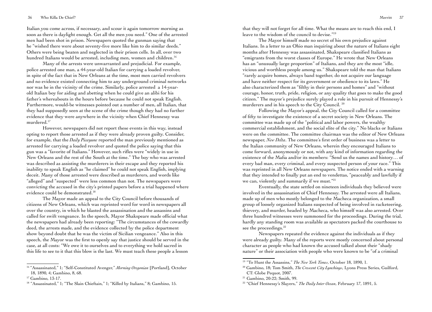Italian you come across, if necessary, and scour it again tomorrow morning as soon as there is daylight enough. Get all the men you need." One of the arrested men had been shot in prison. Newspapers quoted the gunman saying that he "wished there were about seventy-five more like him to do similar deeds." Others were being beaten and neglected in their prison cells. In all, over two hundred Italians would be arrested, including men, women and children.<sup>16</sup>

Many of the arrests were unwarranted and prejudicial. For example, police arrested one man, a 44-year-old Italian for carrying a loaded revolver, in spite of the fact that in New Orleans at the time, most men carried revolvers and no evidence existed connecting him to any underground criminal networks nor was he in the vicinity of the crime. Similarly, police arrested a 14-yearold Italian boy for aiding and abetting when he could give an alibi for his father's whereabouts in the hours before because he could not speak English. Furthermore, would-be witnesses pointed out a number of men, all Italian, that they had supposedly seen at the scene of the crime though they had no further evidence that they were anywhere in the vicinity when Chief Hennessy was murdered.17

However, newspapers did not report these events in this way, instead opting to report those arrested as if they were already proven guilty. Consider, for example, that the *Daily Picayune* reported the man previously mentioned as arrested for carrying a loaded revolver and quoted the police saying that this gun was a "favorite of Italians." However, such rifles were "widely in use in New Orleans and the rest of the South at the time." The boy who was arrested was described as assisting the murderers in their escape and they reported his inability to speak English as "he claimed" he could not speak English, implying deceit. Many of those arrested were described as murderers, and words like "alleged" and "suspected" were less common than not. The newspapers were convicting the accused in the city's printed papers before a trial happened where evidence could be demonstrated.18

The Mayor made an appeal to the City Council before thousands of citizens of New Orleans, which was reprinted word for word in newspapers all over the country, in which he blasted the assassination and the assassins and called for swift vengeance. In the speech, Mayor Shakspeare made official what the newspapers had already been reporting: "The circumstances of the cowardly deed, the arrests made, and the evidence collected by the police department show beyond doubt that he was the victim of Sicilian vengeance." Also in this speech, the Mayor was the first to openly say that justice should be served in the case, at all costs: "We owe it to ourselves and to everything we hold sacred in this life to see to it that this blow is the last. We must teach these people a lesson

that they will not forget for all time. What the means are to reach this end, I leave to the wisdom of the council to devise."19

The Mayor himself made no secret of his own prejudice against Italians. In a letter to an Ohio man inquiring about the nature of Italians eight months after Hennessy was assassinated, Shakspeare classified Italians as "emigrants from the worst classes of Europe." He wrote that New Orleans has an "unusually large proportion" of Italians, and they are the most "idle, vicious and worthless people among us." Shakspeare told the man that Italians "rarely acquire homes, always band together, do not acquire our language and have neither respect for its government or obedience to its laws." He also characterized them as "filthy in their persons and homes" and "without courage, honor, truth, pride, religion, or any quality that goes to make the good citizen." The mayor's prejudice surely played a role in his pursuit of Hennessy's murderers and in his speech to the City Council. 20

Following the Mayor's appeal, the City Council called for a committee of fifty to investigate the existence of a secret society in New Orleans. The committee was made up of the "political and labor powers, the wealthy commercial establishment, and the social elite of the city." No blacks or Italians were on the committee. The committee chairman was the editor of New Orleans newspaper, *New Delta*. The committee's first order of business was a letter to the Italian community of New Orleans, wherein they encouraged Italians to come forward, anonymously or not, with any kind of information regarding the existence of the Mafia and/or its members: "Send us the names and history… of every bad man, every criminal, and every suspected person of your race." This was reprinted in all New Orleans newspapers. The notice ended with a warning that they intended to finally put an end to vendettas, "peaceably and lawfully if we can, violently and summarily if we must."<sup>21</sup>

Eventually, the state settled on nineteen individuals they believed were involved in the assassination of Chief Hennessy. The arrested were all Italians, made up of men who mostly belonged to the Macheca organization, a small group of loosely organized Italians suspected of being involved in racketeering, thievery, and murder, headed by Macheca, who himself was also arrested. Over three hundred witnesses were summoned for the proceedings. During the trial, hardly any standing room was available as spectators packed the courthouse to see the proceedings.<sup>22</sup>

Newspapers repeated the evidence against the individuals as if they were already guilty. Many of the reports were mostly concerned about personal character as people who had known the accused talked about their "shady nature" or their association with people who were known to be "of a criminal

<sup>21</sup> Gambino, 20-22; Smith, 99.

<sup>16 &</sup>quot;Assassinated," 1; "Self-Constituted Avenger," *Morning Oregonian* [Portland], October 18, 1890, 4; Gambino, 8, 68.

<sup>17</sup> Gambino, 13-17.

<sup>&</sup>lt;sup>18</sup> "Assassinated," 1; "The Slain Chieftain," 1; "Killed by Italians," 8; Gambino, 15.

<sup>19</sup> "To Hunt the Assassins," *The New York Times*, October 18, 1890, 1.

<sup>&</sup>lt;sup>20</sup> Gambino, 18; Tom Smith, *The Crescent City Lynchings*, Lyons Press Series, Guilford, CT: Globe Pequot, 2007.

<sup>22</sup> "Chief Hennessy's Slayers," *The Daily Inter Ocean*, February 17, 1891, 5.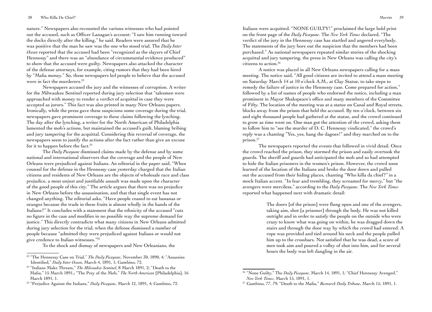nature." Newspapers also recounted the various witnesses who had pointed out the accused, such as Officer Lanagan's account: "I saw him running toward the docks directly after the killing," he said. Readers were assured that he was positive that the man he saw was the one who stood trial. The *Daily Inter Ocean* reported that the accused had been "recognized as the slayers of Chief Hennessy" and there was an "abundance of circumstantial evidence produced" to show that the accused were guilty. Newspapers also attacked the character of the defense attorneys, for example, citing rumors that they had been hired by "Mafia money." So, these newspapers led people to believe that the accused were in fact the murderers.<sup>23</sup>

Newspapers accused the jury and the witnesses of corruption. A writer for the Milwaukee Sentinel reported during jury selection that "talesmen were approached with money to render a verdict of acquittal in case they were accepted as jurors." This fact was also printed in many New Orleans papers. Ironically, while the press gave these suspicions some coverage during the trial, newspapers gave prominent coverage to these claims following the lynching. The day after the lynching, a writer for the North American of Philadelphia lamented the mob's actions, but maintained the accused's guilt, blaming bribing and jury tampering for the acquittal. Considering this reversal of coverage, the newspapers seem to justify the actions after the fact rather than give an excuse for it to happen before the fact.<sup>24</sup>

The *Daily Picayune* dismissed claims made by the defense and by some national and international observers that the coverage and the people of New Orleans were prejudiced against Italians. An editorial in the paper said, "When counsel for the defense in the Hennessy case yesterday charged that the Italian citizens and residents of New Orleans are the objects of wholesale race and class prejudice, a most unjust and justifiable assault was made upon the character of the good people of this city." The article argues that there was no prejudice in New Orleans before the assassination, and that that single event has not changed anything. The editorial asks, "Have people ceased to eat bananas or oranges because the trade in these fruits is almost wholly in the hands of the Italians?" It concludes with a statement that the ethnicity of the accused "cuts no figure in the case and modifies in no possible way the supreme demand for justice." This directly contradicts what many citizens in New Orleans admitted during jury selection for the trial, when the defense dismissed a number of people because "admitted they were prejudiced against Italians or would not give credence to Italian witnesses."25

To the shock and dismay of newspapers and New Orleanians, the

Italians were acquitted. "NONE GUILTY!" proclaimed the large bold print on the front page of the *Daily Picayune*. The *New York Times* declared, "The verdict of the jury in the Hennessy case has startled and angered everybody. The statements of the jury bore out the suspicion that the members had been purchased." As national newspapers repeated similar stories of the shocking acquittal and jury tampering, the press in New Orleans was calling the city's citizens to action.<sup>26</sup>

A notice was placed in all New Orleans newspapers calling for a mass meeting. The notice said, "All good citizens are invited to attend a mass meeting on Saturday March 14 at 10 o'clock A.M., at Clay Statue, to take steps to remedy the failure of justice in the Hennessy case. Come prepared for action," followed by a list of names of people who endorsed the notice, including a man prominent in Mayor Shakspeare's office and many members of the Committee of Fifty. The location of the meeting was at a statue on Canal and Royal streets, blocks away from the prison that held the accused. By ten o'clock, between six and eight thousand people had gathered at the statue, and the crowd continued to grow as time went on. One man got the attention of the crowd, asking them to follow him to "see the murder of D. C. Hennessy vindicated," the crowd's reply was a chanting "Yes, yes, hang the dagoes!" and they marched on to the prison.27

The newspapers reported the events that followed in vivid detail. Once the crowd reached the prison, they stormed the prison and easily overtook the guards. The sheriff and guards had anticipated the mob and so had attempted to hide the Italian prisoners in the women's prison. However, the crowd soon learned of the location of the Italians and broke the door down and pulled out the accused from their hiding places, chanting "Who killa da chief?" in a mock Italian accent. "In fear and trembling, they screamed for mercy," but "the avengers were merciless," according to the *Daily Picayune*. The *New York Times* reported what happened next with dramatic detail:

> The doors [of the prison] were flung open and one of the avengers, taking aim, shot [a prisoner] through the body. He was not killed outright and in order to satisfy the people on the outside who were crazy to know what was going on within, he was dragged down the stairs and through the door way by which the crowd had entered. A rope was provided and tied around his neck and the people pulled him up to the crossbars. Not satisfied that he was dead, a score of men took aim and poured a volley of shot into him, and for several hours the body was left dangling in the air.

<sup>23 &</sup>quot;The Hennessy Case on Trial," *The Daily Picayune*, November 30, 1890, 4; "Assassins Identified," *Daily Inter Ocean*, March 4, 1891, 1; Gambino, 72.

<sup>24 &</sup>quot;Italians Make Threats," *The Milwaukee Sentinel*, 8 March 1891, 2; "Death to the Mafia," 15 March 1891,; "The Prey of the Mob," *The North American* [Philadelphia], 16 March 1891, 1.

<sup>25 &</sup>quot;Prejudice Against the Italians," *Daily Picayune*, March 12, 1891, 4; Gambino, 72.

<sup>&</sup>lt;sup>26</sup> "None Guilty," The *Daily Picayune*, March 14, 1891, 1; "Chief Hennessy Avenged," *New York Times*, March 15, 1891, 1.

<sup>&</sup>lt;sup>27</sup> Gambino, 77, 79; "Death to the Mafia," *Bismarck Daily Tribune*, March 15, 1891, 1.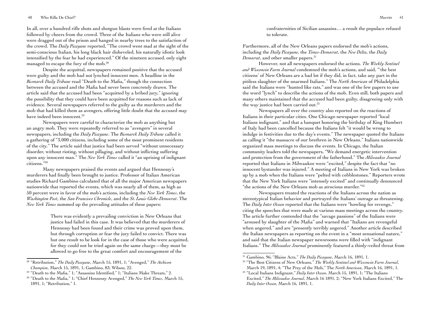In all, over a hundred rifle shots and shotgun blasts were fired at the Italians followed by cheers from the crowd. Three of the Italians who were still alive were dragged out of the prison and hanged in nearby trees to the satisfaction of the crowd. The *Daily Picayune* reported, "The crowd went mad at the sight of the semi-conscious Italian, his long black hair disheveled, his naturally idiotic look intensified by the fear he had experienced." Of the nineteen accused, only eight managed to escape the fury of the mob.28

Despite the acquittal, newspapers remained positive that the accused were guilty and the mob had not lynched innocent men. A headline in the *Bismarck Daily Tribune* read "Death to the Mafia," though the connection between the accused and the Mafia had never been concretely drawn. The article said that the accused had been "acquitted by a bribed jury," ignoring the possibility that they could have been acquitted for reasons such as lack of evidence. Several newspapers referred to the guilty as the murderers and the mob that had killed them as avengers, offering little doubt that the accused may have indeed been innocent.<sup>29</sup>

Newspapers were careful to characterize the mob as anything but an angry mob. They were repeatedly referred to as "avengers" in several newspapers, including the *Daily Picayune*. The *Bismarck Daily Tribune* called it a gathering of "3,000 citizens, including some of the most prominent residents of the city." The article said that justice had been served "without unnecessary disorder, without rioting, without pillaging, and without inflicting suffering upon any innocent man." The *New York Times* called it "an uprising of indignant citizens."30

Many newspapers praised the events and argued that Hennessy's murderers had finally been brought to justice. Professor of Italian American studies Richard Gambino calculated that of all the major American newspapers nationwide that reported the events, which was nearly all of them, as high as 50 percent were in favor of the mob's actions, including the *New York Times*, the *Washington Post*, the *San Francisco Chronicle*, and the *St. Louis Globe-Democrat*. The *New York Times* summed up the prevailing attitudes of these papers:

> There was evidently a prevailing conviction in New Orleans that justice had failed in this case. It was believed that the murderers of Hennessy had been found and their crime was proved upon them, but through corruption or fear the jury failed to convict. There was but one result to be look for in the case of those who were acquitted, for they could not be tried again on the same charge—they must be allowed to go free to the great comfort and encouragement of the

confraternities of Sicilian assassins… a result the populace refused to tolerate.

Furthermore, all of the New Orleans papers endorsed the mob's actions, including the *Daily Picayune*, the *Times-Democrat*, the *New Delta*, the *Daily Democrat*, and other smaller papers.<sup>31</sup>

However, not all newspapers endorsed the actions. *The Weekly Sentinel and Wisconsin Farm Journal* condemned the mob's actions, and said, "'the best citizens' of New Orleans are a bad lot if they did, in fact, take any part in the pitiless slaughter of the unarmed Italians." The *North American* of Philadelphia said the Italians were "hunted like rats," and was one of the few papers to use the word "lynch" to describe the actions of the mob. Even still, both papers and many others maintained that the accused had been guilty, disagreeing only with the way justice had been carried out.<sup>32</sup>

Newspapers all over the country also reported on the reactions of Italians in their particular cities. One Chicago newspaper reported "local Italians indignant," and that a banquet honoring the birthday of King Humbert of Italy had been cancelled because the Italians felt "it would be wrong to indulge in festivities due to the day's events." The newspaper quoted the Italians as calling it "the massacre of our brethren in New Orleans." Italians nationwide organized mass meetings to discuss the events. In Chicago, the Italian community leaders told the newspapers, "We demand energetic intervention and protection from the government of the fatherhood." The *Milwaukee Journal* reported that Italians in Milwaukee were "excited," despite the fact that "no innocent bystander was injured." A meeting of Italians in New York was broken up by a mob when the Italians were "pelted with cobblestones." Reporters wrote that the New York Italians were "intensely excited" and continually denounced "the actions of the New Orleans mob as atrocious murder."33

Newspapers treated the reactions of the Italians across the nation as stereotypical Italian behavior and portrayed the Italians' outrage as threatening. The *Daily Inter Ocean* reported that the Italians were "howling for revenge," citing the speeches that were made at various mass meetings across the country. The article further contended that the "savage passions" of the Italians were "aroused by slaughter of the Mafia" and warned that "Italians are revengeful when angered," and are "presently terribly angered." Another article described the Italian newspapers as reporting on the event in a "most sensational nature," and said that the Italian newspaper newsrooms were filled with "indignant Italians." The *Milwaukee Journal* prominently featured a thinly-veiled threat from

<sup>28</sup> "Retribution," *The Daily Picayune*, March 15, 1891, 1; "Avenged," *The Atchison Champion*, March 15, 1891, 1; Gambino, 83; Wilson, 22.

<sup>&</sup>lt;sup>29</sup> "Death to the Mafia," 1; "Assassins Identified," 1; "Italians Make Threats," 2.

<sup>30</sup> "Death to the Mafia," 1; "Chief Hennessy Avenged," *The New York Times*, March 15, 1891, 1; "Retribution," 1.

<sup>31</sup> Gambino, 96; "Blaine Acts," *The Daily Picayune*, March 16, 1891, 1.

<sup>32 &</sup>quot;The Best Citizens of New Orleans," *The Weekly Sentinel and Wisconsin Farm Journal*, March 19, 1891, 4; "The Prey of the Mob," The *North American*, March 16, 1891, 1.

<sup>33</sup> "Local Italians Indignant," *Daily Inter Ocean*, March 15, 1891, 1; "The Italians Excited," *The Milwaukee Journal*, March 16 1891, 2; "New York Italians Excited," The *Daily Inter Ocean*, March 16, 1891, 1.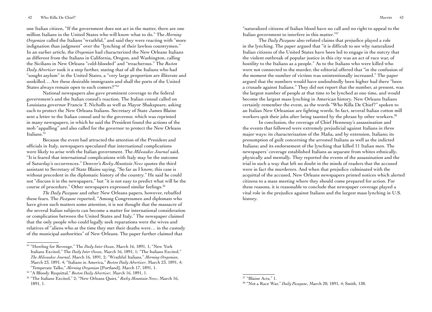one Italian citizen, "If the government does not act in the matter, there are one million Italians in the United States who will know what to do." The *Morning Oregonian* called the Italians "wrathful," and said they were reacting with "more indignation than judgment" over the "lynching of their lawless countrymen." In an earlier article, the *Oregonian* had characterized the New Orleans Italians as different from the Italians in California, Oregon, and Washington, calling the Sicilians in New Orleans "cold-blooded" and "treacherous." The *Boston Daily Advertiser* took it a step further, stating that of all the Italians who had "sought asylum" in the United States, a "very large proportion are illiterate and unskilled… Are these desirable immigrants and shall the ports of the United States always remain open to such comers?"34

National newspapers also gave prominent coverage to the federal government's and the Italian consul's reaction. The Italian consul called on Louisiana governor Francis T. Nicholls as well as Mayor Shakspeare, asking each to protect the New Orleans Italians. Secretary of State James Blaine sent a letter to the Italian consul and to the governor, which was reprinted in many newspapers, in which he said the President found the actions of the mob "appalling" and also called for the governor to protect the New Orleans Italians.<sup>35</sup>

Because the event had attracted the attention of the President and officials in Italy, newspapers speculated that international complications were likely to arise with the Italian government. The *Milwaukee Journal* said, "It is feared that international complications with Italy may be the outcome of Saturday's occurrences." Denver's *Rocky Mountain News* quotes the third assistant to Secretary of State Blaine saying, "So far as I know, this case is without precedent in the diplomatic history of the country." He said he could not "discuss it in the newspapers," but "it is not easy to predict what will be the course of procedure." Other newspapers expressed similar feelings.36

*The Daily Picayune* and other New Orleans papers, however, rebuffed these fears. The *Picayune* reported, "Among Congressmen and diplomats who have given such matters some attention, it is not thought that the massacre of the several Italian subjects can become a matter for international consideration or complication between the United States and Italy." The newspaper claimed that the only people who could legally seek reparations were the wives and relatives of "aliens who at the time they met their deaths were… in the custody of the municipal authorities" of New Orleans. The paper further claimed that

"naturalized citizens of Italian blood have no call and no right to appeal to the Italian government to interfere in this matter."37

The *Daily Picayune* also refuted claims that prejudice played a role in the lynching. The paper argued that "it is difficult to see why naturalized Italian citizens of the United States have been led to engage in the outcry that the violent outbreak of popular justice in this city was an act of race war, of hostility to the Italians as a people." As to the Italians who were killed who were not connected to the murder, the editorial offered that "in the confusion of the moment the number of victims was unintentionally increased." The paper argued that the numbers would have undoubtedly been higher had there "been a crusade against Italians." They did not report that the number, at present, was the largest number of people at that time to be lynched at one time, and would become the largest mass lynching in American history. New Orleans Italians certainly remember the event, as the words "Who Killa De Chief?" spoken to an Italian New Orleanian are fighting words. In fact, several Italian cotton mill workers quit their jobs after being taunted by the phrase by other workers.<sup>38</sup>

In conclusion, the coverage of Chief Hennessy's assassination and the events that followed were extremely prejudicial against Italians in three major ways: its characterization of the Mafia, and by extension, Italians; its presumption of guilt concerning the arrested Italians as well as the indicted Italians; and its endorsement of the lynching that killed 11 Italian men. The newspapers' coverage established Italians as separate from whites ethnically, physically and mentally. They reported the events of the assassination and the trial in such a way that left no doubt in the minds of readers that the accused were in fact the murderers. And when that prejudice culminated with the acquittal of the accused, New Orleans newspapers printed notices which alerted citizens to a mass meeting where they should come prepared for action. For these reasons, it is reasonable to conclude that newspaper coverage played a vital role in the prejudice against Italians and the largest mass lynching in U.S. history.

<sup>34</sup> "Howling for Revenge," The *Daily Inter Ocean*, March 16, 1891, 1; "New York Italians Excited," The *Daily Inter Ocean*, March 16, 1891, 1; "The Italians Excited," *The Milwaukee Journal*, March 16, 1891, 2; "Wrathful Italians," *Morning Oregonian*, March 23, 1891, 4; "Italians in America," *Boston Daily Advertiser*, March 23, 1891, 4; "Temperate Talks," *Morning Oregonian* [Portland], March 17, 1891, 1.

<sup>35 &</sup>quot;A Bloody Requittal," *Boston Daily Advertiser*, March 16, 1891, 1.

<sup>36</sup> "The Italians Excited," 2; "New Orleans Quiet," *Rocky Mountain News*, March 16, 1891, 1.

<sup>&</sup>lt;sup>37</sup> "Blaine Acts," 1.

<sup>38</sup> "Not a Race War," *Daily Picayune*, March 20, 1891, 4; Smith, 138.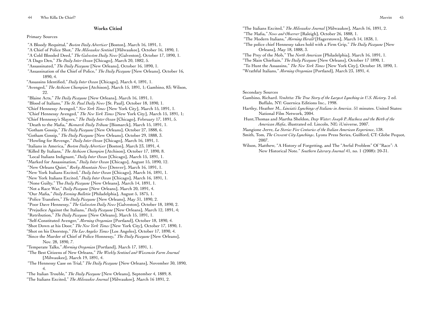#### **Works Citied**

#### Primary Sources

 "A Bloody Requittal," *Boston Daily Advertiser* [Boston], March 16, 1891, 1. "A Chief of Police Shot," *The Milwaukee Sentinel* [Milwaukee], October 16, 1890, 1. "A Cold Blooded Deed," *The Galveston Daily News* [Galveston], October 17, 1890, 1. "A Dago Den," *The Daily Inter Ocean* [Chicago], March 20, 1882, 5. "Assassinated," *The Daily Picayune* [New Orleans], October 16, 1890, 1. "Assassination of the Chief of Police," *The Daily Picayune* [New Orleans], October 16, 1890, 4. "Assassins Identified," *Daily Inter Ocean* [Chicago], March 4, 1891, 1. "Avenged," *The Atchison Champion* [Atchison], March 15, 1891, 1; Gambino, 83; Wilson, 22. "Blaine Acts," *The Daily Picayune* [New Orleans], March 16, 1891, 1. "Blood of Italians," *The St. Paul Daily News* [St. Paul], October 18, 1890, 1. "Chief Hennessy Avenged," *New York Times* [New York City], March 15, 1891, 1. "Chief Hennessy Avenged," *The New York Times* [New York City], March 15, 1891, 1; "Chief Hennessy's Slayers," *The Daily Inter Ocean* [Chicago], February 17, 1891, 5. "Death to the Mafia," *Bismarck Daily Tribune* [Bismarck], March 15, 1891, 1. "Gotham Gossip," *The Daily Picayune* [New Orleans], October 27, 1888, 6. "Gotham Gossip," *The Daily Picayune* [New Orleans], October 29, 1888, 3. "Howling for Revenge," *Daily Inter Ocean* [Chicago], March 16, 1891, 1. "Italians in America," *Boston Daily Advertiser* [Boston], March 23, 1891, 4. "Killed By Italians," *The Atchison Champion* [Atchison], October 17, 1890, 8. "Local Italians Indignant," *Daily Inter Ocean* [Chicago], March 15, 1891, 1. "Marked for Assassination," *Daily Inter Ocean* [Chicago], August 15, 1890, 12. "New Orleans Quiet," *Rocky Mountain News* [Denver], March 16, 1891, 1. "New York Italians Excited," *Daily Inter Ocean* [Chicago], March 16, 1891, 1. "New York Italians Excited," *Daily Inter Ocean* [Chicago], March 16, 1891, 1. "None Guilty," The *Daily Picayune* [New Orleans], March 14, 1891, 1. "Not a Race War," *Daily Picayune* [New Orleans], March 20, 1891, 4. "Our Mafia," *Daily Evening Bulletin* [Philadelphia], August 5, 1875, 1. "Police Transfers," *The Daily Picayune* [New Orleans], May 31, 1890, 2. "Poor Dave Hennessy," *The Galveston Daily News* [Galveston], October 18, 1890, 2. "Prejudice Against the Italians," *Daily Picayune* [New Orleans], March 12, 1891, 4; "Retribution," *The Daily Picayune* [New Orleans], March 15, 1891, 1. "Self-Constituted Avenger," *Morning Oregonian* [Portland], October 18, 1890, 4. "Shot Down at his Door," *The New York Times* [New York City], October 17, 1890, 1. "Shot on his Doorstep," *The Los Angeles Times* [Los Angeles], October 17, 1890, 4. "Since the Murder of Chief of Police Honnessy," *The Daily Picayune* [New Orleans], Nov. 28, 1890, 7. "Temperate Talks," *Morning Oregonian* [Portland], March 17, 1891, 1. "The Best Citizens of New Orleans," *The Weekly Sentinel and Wisconsin Farm Journal* [Milwaukee], March 19, 1891, 4. "The Hennessy Case on Trial," *The Daily Picayune* [New Orleans], November 30, 1890, 4. "The Italian Trouble," *The Daily Picayune* [New Orleans], September 4, 1889, 8. "The Italians Excited," *The Milwaukee Journal* [Milwaukee], March 16 1891, 2.

"The Italians Excited," *The Milwaukee Journal* [Milwaukee], March 16, 1891, 2. "The Mafia," *News and Observer* [Raleigh], October 26, 1888, 1. "The Modern Italians," *Morning Herald* [Hagerstown], March 14, 1838, 1. "The police chief Hennessy takes hold with a Firm Grip," *The Daily Picayune* [New Orleans], May 18, 1888, 3. "The Prey of the Mob," The *North American* [Philadelphia], March 16, 1891, 1. "The Slain Chieftain," *The Daily Picayune* [New Orleans], October 17 1890, 1. "To Hunt the Assassins," *The New York Times* [New York City], October 18, 1890, 1. "Wrathful Italians," *Morning Oregonian* [Portland], March 23, 1891, 4.

Secondary Sources

- Gambino, Richard. *Vendetta: The True Story of the Largest Lynching in U.S. History*. 2 ed. Buffalo, NY: Guernica Editions Inc., 1998.
- Hartley, Heather M., *Linciati: Lynchings of Italians in America*. 51 minutes. United States: National Film Network, 2004.
- Hunt,Thomas and Martha Sheldon, *Deep Water: Joseph P. Macheca and the Birth of the American Mafia*, illustrated ed. Lincoln, NE: iUniverse, 2007.
- Mangione Jerre, *La Storia: Five Centuries of the Italian American Experience*, 138.
- Smith, Tom, *The Crescent City Lynchings*, Lyons Press Series, Guilford, CT: Globe Pequot, 2007.
- Wilson, Matthew, "A History of Forgetting, and The "Awful Problem" Of "Race": A New Historical Note." *Southern Literary Journal* 41, no. 1 (2008): 20-31.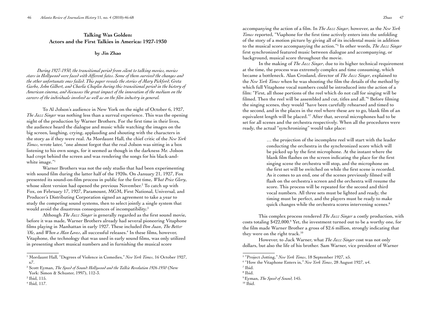# **Talking Was Golden: Actors and the First Talkies in America: 1927-1930**

**by Jin Zhao**

*During 1927-1930, the transitional period from silent to talking movies, movies stars in Hollywood were faced with different fates. Some of them survived the changes and the other unfortunate ones failed. This paper reveals the stories of Mary Pickford, Greta Garbo, John Gilbert, and Charlie Chaplin during this transitional period in the history of American cinema, and discusses the great impact of the innovation of the medium on the careers of the individuals involved as well as on the film industry in general.*

To Al Jolson's audience in New York on the night of October 6, 1927, *The Jazz Singer* was nothing less than a surreal experience. This was the opening night of the production by Warner Brothers. For the first time in their lives, the audience heard the dialogue and music while watching the images on the big screen, laughing, crying, applauding and shouting with the characters in the story as if they were real. As Mordaunt Hall, the chief critic of the *New York Times*, wrote later, "one almost forgot that the real Jolson was sitting in a box listening to his own songs, for it seemed as though in the darkness Mr. Jolson had crept behind the screen and was rendering the songs for his black-andwhite image."1

Warner Brothers was not the only studio that had been experimenting with sound film during the latter half of the 1920s. On January 21, 1927, Fox presented its sound-on-film process in public for the first time, *What Price Glory*, whose silent version had opened the previous November.<sup>2</sup> To catch up with Fox, on February 17, 1927, Paramount, MGM, First National, Universal, and Producer's Distributing Corporation signed an agreement to take a year to study the competing sound systems, then to select jointly a single system that would avoid the disastrous consequences of incompatibility.<sup>3</sup>

Although *The Jazz Singer* is generally regarded as the first sound movie, before it was made, Warner Brothers already had several pioneering Vitaphone films playing in Manhattan in early 1927. These included *Don Juan*, *The Better 'Ole*, and *When a Man Loves*, all successful releases.4 In these films, however, Vitaphone, the technology that was used in early sound films, was only utilized in presenting short musical numbers and in furnishing the musical score

4 Ibid, 117.

accompanying the action of a film. In *The Jazz Singer*, however, as the *New York Times* reported, "Viaphone for the first time actively enters into the unfolding of the story of a motion picture by giving all of its incidental music in addition to the musical score accompanying the action."5 In other words, *The Jazz Singer* first synchronized featured music between dialogue and accompanying, or background, musical score throughout the movie.

In the making of *The Jazz Singer*, due to its higher technical requirement at the time, the process was extremely complex and time consuming, which became a bottleneck. Alan Crosland, director of *The Jazz Singer*, explained to the *New York Times* when he was shooting the film the details of the method by which full Vitaphone vocal numbers could be introduced into the action of a film: "First, all those portions of the reel which do not call for singing will be filmed. Then the reel will be assembled and cut, titles and all."<sup>6</sup> Before filming the singing scenes, they would "have been carefully rehearsed and timed to the second, and in the places in the reel where these are to go, blank film of an equivalent length will be placed."7 After that, several microphones had to be set for all scenes and the orchestra respectively. When all the procedures were ready, the actual "synchronizing" would take place:

> … the projection of the incomplete reel will start with the leader conducting the orchestra in the synchronized score which will be picked up by the first microphone. At the instant where the blank film flashes on the screen indicating the place for the first singing scene the orchestra will stop, and the microphone on the first set will be switched on while the first scene is recorded. As it comes to an end, one of the scenes previously filmed will flash on the orchestra's screen and the orchestra will resume the score. This process will be repeated for the second and third vocal numbers. All three sets must be lighted and ready, the timing must be perfect, and the players must be ready to make quick changes while the orchestra scores intervening scenes.<sup>8</sup>

This complex process rendered *The Jazz Singer* a costly production, with costs totaling \$422,000.9 Yet, the investment turned out to be a worthy one, for the film made Warner Brother a gross of \$2.6 million, strongly indicating that they were on the right track.<sup>10</sup>

However, to Jack Warner, what *The Jazz Singer* cost was not only dollars, but also the life of his brother. Sam Warner, vice president of Warner

<sup>&</sup>lt;sup>1</sup> Mordaunt Hall, "Degrees of Violence in Comedies," New York Times, 16 October 1927, x7.

<sup>2</sup> Scott Eyman, *The Speed of Sound: Hollywood and the Talkie Revolution 1926-1930* (New York: Simon & Schuster, 1997), 112-3.

<sup>3</sup> Ibid, 115.

<sup>5</sup> "Project Jotting," *New York Times*, 18 September 1927, x5.

<sup>6</sup> "How the Vitaphone Enters in," *New York Times*, 28 August 1927, x4.

<sup>7</sup> Ibid.

<sup>8</sup> Ibid.

<sup>9</sup> Eyman, *The Speed of Sound,* 145.

 $10$  Ibid.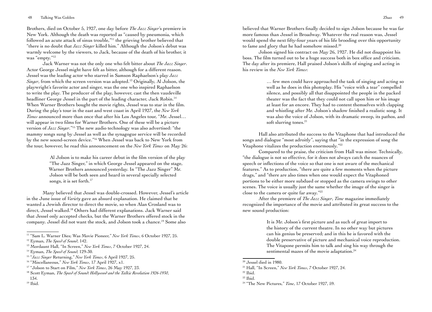Brothers, died on October 5, 1927, one day before *The Jazz Singer*'s premiere in New York. Although the death was reported as "caused by pneumonia, which followed an acute attack of sinus trouble,"11 the grieving brother believed that "there is no doubt that *Jazz Singer* killed him." Although the Jolson's debut was warmly welcome by the viewers, to Jack, because of the death of his brother, it was "empty."12

Jack Warner was not the only one who felt bitter about *The Jazz Singer*. Actor George Jessel might have felt as bitter, although for a different reason. Jessel was the leading actor who starred in Samson Raphaelson's play *Jazz Singer*, from which the screen version was adopted.<sup>13</sup> Originally, Al Jolson, the playwright's favorite actor and singer, was the one who inspired Raphaelson to write the play. The producer of the play, however, cast the then vaudeville headliner George Jessel in the part of the leading character, Jack Robin.<sup>14</sup> When Warner Brothers bought the movie rights, Jessel was to star in the film. During the play's tour in the east and west coast in April 1927, the *New York Times* announced more than once that after his Los Angeles tour, "Mr. Jessel… will appear in two films for Warner Brothers. One of these will be a picture version of *Jazz Singer*."15 The new audio technology was also advertised: "the mammy songs sung by Jessel as well as the synagogue service will be recorded by the new sound-screen device."16 When Jessel was back to New York from the tour, however, he read this announcement on the *New York Times* on May 26:

> Al Jolson is to make his career debut in the film version of the play "The Jazz Singer," in which George Jessel appeared on the stage, Warner Brothers announced yesterday. In "The Jazz Singer" Mr. Jolson will be both seen and heard in several specially selected songs, it is set forth.<sup>17</sup>

Many believed that Jessel was double-crossed. However, Jessel's article in the June issue of *Variety* gave an absurd explanation. He claimed that he wanted a Jewish director to direct the movie, so when Alan Crosland was to direct, Jessel walked.18 Others had different explanations. Jack Warner said that Jessel only accepted checks, but the Warner Brothers offered stock in the company. Jessel did not want the stock, and Jolson took a chance.19 Some also

 $19$  Ibid.

believed that Warner Brothers finally decided to sign Jolson because he was far more famous than Jessel in Broadway. Whatever the real reason was, Jessel would spend the next fifty-four years of his life brooding over this opportunity to fame and glory that he had somehow missed.<sup>20</sup>

Jolson signed his contract on May 26, 1927. He did not disappoint his boss. The film turned out to be a huge success both in box office and criticism. The day after its premiere, Hall praised Jolson's skills of singing and acting in his review in the *New York Times*:

> … few men could have approached the task of singing and acting so well as he does in this photoplay. His "voice with a tear" compelled silence, and possibly all that disappointed the people in the packed theater was the fact that they could not call upon him or his image at least for an encore. They had to content themselves with clapping and whistling after Mr. Jolson's shadow finished a realistic song. It was also the voice of Jolson, with its dramatic sweep, its pathos, and soft slurring tones.<sup>21</sup>

Hall also attributed the success to the Vitaphone that had introduced the songs and dialogue "most adroitly", saying that "in the expression of song the Vitaphone vitalizes the production enormously."<sup>22</sup>

Compared to the praise, the criticism from Hall was minor. Technically, "the dialogue is not so effective, for it does not always catch the nuances of speech or inflections of the voice so that one is not aware of the mechanical features." As to production, "there are quite a few moments when the picture drags," and "there are also times when one would expect the Vitaphoned portions to be either more subdued or stopped as the camera swings to other scenes. The voice is usually just the same whether the image of the singer is close to the camera or quite far away."23

After the premiere of *The Jazz Singer*, *Time* magazine immediately recognized the importance of the movie and attributed its great success to the new sound production:

> It is Mr. Jolson's first picture and as such of great import to the history of the current theatre. In no other way but pictures can his genius be preserved; and in this he is favored with the double preservative of picture and mechanical voice reproduction. The Vitapone permits him to talk and sing his way through the sentimental mazes of the movie adaptation.<sup>24</sup>

<sup>11 &</sup>quot;Sam L. Warner Dies; Was Movie Pioneer," *New York Times*, 6 October 1927, 25.

<sup>12</sup> Eyman, *The Speed of Sound*, 142.

<sup>13</sup> Mordaunt Hall, "In Screen," *New York Times*, 7 October 1927, 24.

<sup>14</sup> Eyman, *The Speed of Sound,* 129-30.

<sup>15 &</sup>quot;*Jazz Singer* Returning," *New York Times*, 6 April 1927, 25.

<sup>16 &</sup>quot;Miscellaneous," *New York Times*, 17 April 1927, x1.

<sup>17 &</sup>quot;Jolson to Start on Film," *New York Times*, 26 May 1927, 23.

<sup>18</sup> Scott Eyman, *The Speed of Sound: Hollywood and the Talkie Revolution 1926-1930*, 134.

<sup>20</sup> Jessel died in 1980.

<sup>21</sup> Hall, "In Screen," *New York Times*, 7 October 1927, 24.

 $22$  Ibid.

 $23$  Ibid.

<sup>&</sup>lt;sup>24</sup> "The New Pictures," *Time*, 17 October 1927, 59.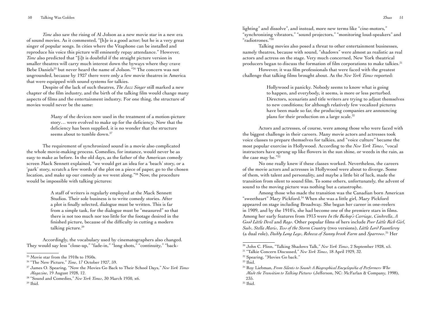*Time* also saw the rising of Al Jolson as a new movie star in a new era of sound movies. As it commented, "[h]e is a good actor; but he is a very great singer of popular songs. In cities where the Vitaphone can be installed and reproduce his voice this picture will eminently repay attendance." However, *Time* also predicted that "[i]t is doubtful if the straight picture version in smaller theatres will carry much interest down the byways where they crave Bebe Daniels<sup>25</sup> but never heard the name of Jolson."<sup>26</sup> The concern was not ungrounded, because by 1927 there were only a few movie theatres in America that were equipped with sound systems for talkies.

Despite of the lack of such theatres, *The Jazz Singer* still marked a new chapter of the film industry, and the birth of the talking film would change many aspects of films and the entertainment industry. For one thing, the structure of movies would never be the same:

> Many of the devices now used in the treatment of a motion-picture story… were evolved to make up for the deficiency. Now that the deficiency has been supplied, it is no wonder that the structure seems about to tumble down.<sup>27</sup>

The requirement of synchronized sound in a movie also complicated the whole movie-making process. Comedies, for instance, would never be as easy to make as before. In the old days, as the father of the American comedy screen Mack Sennett explained, "we would get an idea for a 'beach' story, or a 'park' story, scratch a few words of the plot on a piece of paper, go to the chosen location, and make up our comedy as we went along."28 Now, the procedure would be impossible with talking pictures:

> A staff of writers is regularly employed at the Mack Sennett Studios. Their sole business is to write comedy stories. After a plot is finally selected, dialogue must be written. This is far from a simple task, for the dialogue must be "measured" so that there is not too much nor too little for the footage desired in the finished picture, because of the difficulty in cutting a modern talking picture.<sup>29</sup>

Accordingly, the vocabulary used by cinematographers also changed. They would say less "close-up," "fade-in," "long shots," "continuity," "back-

 $29$  Ibid.

lighting" and dissolve", and instead, more new terms like "cine-motors," "synchronizing vibrators," "sound projectors," "monitoring loud-speakers" and "radiotrones."30

Talking movies also posed a threat to other entertainment businesses, namely theatres, because with sound, "shadows" were almost as realistic as real actors and actress on the stage. Very much concerned, New York theatrical producers began to discuss the formation of film corporations to make talkies.<sup>31</sup>

However, it was film professionals that were faced with the greatest challenge that talking films brought about. As the *New York Times* reported:

> Hollywood is panicky. Nobody seems to know what is going to happen, and everybody, it seems, is more or less perturbed. Directors, scenarists and title writers are trying to adjust themselves to new conditions; for although relatively few vocalized pictures have been made so far, the producing companies are announcing plans for their production on a large scale.<sup>32</sup>

Actors and actresses, of course, were among those who were faced with the biggest challenge in their careers. Many movie actors and actresses took voice classes to prepare themselves for talkies, and "voice culture" became the most popular exercise in Hollywood. According to the *New York Times*, "vocal instructors have sprung up like flowers in the sun shine, or weeds in the rain, as the case may be."33

No one really knew if these classes worked. Nevertheless, the careers of the movie actors and actresses in Hollywood were about to diverge. Some of them, with talent and personality, and maybe a little bit of luck, made the transition from silent to sound film. To some others, unfortunately, the advent of sound to the moving picture was nothing but a catastrophe.

Among those who made the transition was the Canadian born American "sweetheart" Mary Pickford.34 When she was a little girl, Mary Pickford appeared on stage including Broadway. She began her career in one-reelers in 1909, and by the 1910's, she had become one of the premiere stars in films. Among her early features from 1913 were *In the Bishop's Carriage*, *Cinderella*, *A Good Little Devil* and *Rags*. Other popular films of hers include *Poor Little Rich Girl*, *Suds*, *Stella Maris*, *Tess of the Storm Country* (two versions), *Little Lord Fauntleroy* (a dual role), *Daddy Long Legs*, *Rebecca of Sunny brook Farm* and *Sparrows*. 35 Her

 $25$  Movie star from the 1910s to 1950s.

<sup>26 &</sup>quot;The New Picture," *Time*, 17 October 1927, 59.

<sup>27</sup> James O. Spearing, "Now the Movies Go Back to Their School Days," *New York Times Magazine*, 19 August 1928, 12.

<sup>28 &</sup>quot;Sound and Comedies," *New York Times*, 30 March 1930, x6.

<sup>30</sup> John C. Flinn, "Talking Shadows Talk," *New York Times*, 2 September 1928, x5.

<sup>31 &</sup>quot;Talkie Concern Discussed," *New York Times*, 18 April 1929, 32.

<sup>32</sup> Spearing, "Movies Go back."

<sup>33</sup> Ibid.

<sup>34</sup> Roy Liebman, *From Silents to Sound: A Biographical Encyclopedia of Performers Who Made the Transition to Talking Pictures* (Jefferson, NC: McFarlan & Company, 1998), 235.

<sup>35</sup> Ibid.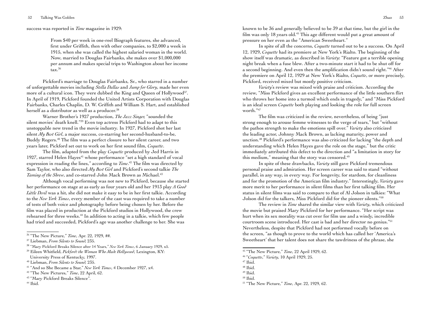success was reported in *Time* magazine in 1929:

From \$40 per week in one-reel Biograph features, she advanced, first under Griffith, then with other companies, to \$2,000 a week in 1915, when she was called the highest salaried woman in the world. Now, married to Douglas Fairbanks, she makes over \$1,000,000 per annum and makes special trips to Washington about her income tax.<sup>36</sup>

Pickford's marriage to Douglas Fairbanks, Sr., who starred in a number of unforgettable movies including *Stella Dallas* and *Jump for Glory*, made her even more of a cultural icon. They were dubbed the King and Queen of Hollywood<sup>37</sup>. In April of 1919, Pickford founded the United Artists Corporation with Douglas Fairbanks, Charles Chaplin, D. W. Griffith and William S. Hart, and established herself as a distributor as well as a producer.<sup>38</sup>

Warner Brother's 1927 production, *The Jazz Singer,* "sounded the silent movies' death knell."39 Even top actress Pickford had to adapt to this unstoppable new trend in the movie industry. In 1927, Pickford shot her last silent *My Best Girl*, a major success, co-starring her second-husband-to-be, Buddy Rogers.40 The film was a perfect closure to her silent career, and two years later, Pickford set out to work on her first sound film, *Coquette*.

The film, adapted from the play *Coquette* produced by Jed Harris in 1927, starred Helen Hayes<sup>41</sup> whose performance "set a high standard of vocal expression in reading the lines," according to *Time*. <sup>42</sup> The film was directed by Sam Taylor, who also directed *My Best Girl* and Pickford's second talkie *The Taming of the Shrew*, and co-starred John Mack Brown as Michael.<sup>43</sup>

Although vocal performing was not new to Pickford, because she started her performance on stage at as early as four years old and her 1913 play *A Good Little Devil* was a hit, she did not make it easy to be in her first talkie. According to the *New York Times*, every member of the cast was required to take a number of tests of both voice and photography before being chosen by her. Before the film was placed in production at the Pickford studios in Hollywood, the crew rehearsed for three weeks.<sup>44</sup> In addition to acting in a talkie, which few people had tried and succeeded, Pickford's age was another challenge to her. She was

known to be 36 and generally believed to be 39 at that time, but the girl in the film was only 18 years old.45 This age different would put a great amount of pressure on her even as the "American Sweetheart."

In spite of all the concerns, *Coquette* turned out to be a success. On April 12, 1929, *Coquette* had its premiere at New York's Rialto. The beginning of the show itself was dramatic, as described in *Variety*: "Feature got a terrible opening night break when a fuse blew. After a two-minute start it had to be shut off for a second beginning. And even then the amplification didn't sound right."46 After the premiere on April 12, 1929 at New York's Rialto, *Coquette*, or more precisely, Pickford, received mixed but mostly positive criticism.

*Variety*'s review was mixed with praise and criticism. According the review, "Miss Pickford gives an excellent performance of the little southern flirt who throws her home into a turmoil which ends in tragedy," and "Miss Pickford is an ideal screen *Coquette* both playing and looking the role for full screen worth."47

The film was criticized in the review, nevertheless, of being "just strong enough to arouse femme witnesses to the verge of tears," but "without the pathos strength to make the emotions spill over." *Variety* also criticized the leading actor, Johnny Mack Brown, as lacking maturity, power and unction.48 Pickford's performance was also criticized for lacking "the depth and understanding which Helen Hayes gave the role on the stage," but the critic immediately attributed this defect to the direction and "a limitation in story for this medium," meaning that the story was censored.<sup>49</sup>

In spite of these drawbacks, *Variety* still gave Pickford tremendous personal praise and admiration. Her screen career was said to stand "without parallel, in any way, in every way. For longevity, for stardom, for cleanliness and for the promotion of the American film industry." Interestingly, *Variety* gave more merit to her performance in silent films than her first talking film. Her status in silent films was said to compare to that of Al Jolson in talkies: "What Jolson did for the talkers, Miss Pickford did for the pioneer silents."50

The review in *Time* shared the similar view with *Variety*, which criticized the movie but praised Mary Pickford for her performance. "Her script was hurt when its sex morality was cut over for film use and a windy, incredible courtroom scene introduced. Her cast is bad and her director no genius."51 Nevertheless, despite that Pickford had not performed vocally before on the screen, "as though to prove to the world which has called her 'America's Sweetheart' that her talent does not share the tawdriness of the phrase, she

<sup>36 &</sup>quot;The New Picture," *Time*, Apr. 22, 1929, ##.

<sup>37</sup> Liebman, *From Silents to Sound,* 235.

<sup>38</sup> "Mary Pickford Breaks Silence after 14 Years," *New York Times*, 6 January 1929, x5.

<sup>39</sup> Eileen Whitfield, *Pickford: the Woman Who Made Hollywood*, Lexington, KY:

University Press of Kentucky, 1997.

<sup>40</sup> Liebman, *From Silents to Sound,* 235.

<sup>41 &</sup>quot;And so She Became a Star," *New York Times*, 4 December 1927, x4.

<sup>42 &</sup>quot;The New Pictures," *Time*, 22 April, 62.

<sup>43 &</sup>quot;Mary Pickford Breaks Silence".

 $44$  Ibid.

<sup>45 &</sup>quot;The New Picture," *Time*, 22 April 1929, 62.

<sup>46 &</sup>quot;*Coquette*," *Variety*, 10 April 1929, 25.

 $47$  Ibid.

<sup>48</sup> Ibid.

 $49$  Ibid.

 $50$  Ibid.

<sup>51 &</sup>quot;The New Picture," *Time*, Apr. 22, 1929, 62.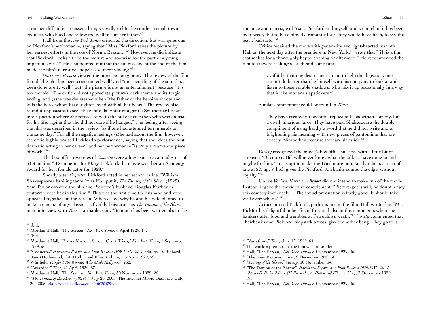turns her difficulties to assets, brings vividly to life the southern small town coquette who liked one fellow too well to suit her father."52

Hall from the *New York Times* criticized the direction, but was generous on Pickford's performance, saying that "Miss Pickford saves the picture by her earnest efforts in the role of Norma Beasant."53 However, he did indicate that Pickford "looks a trifle too mature and too wise for the part of a young impetuous girl."54 He also pointed out that the court scene at the end of the film made the film's narrative "hopelessly unconvincing."<sup>55</sup>

*Harrison's Reports* viewed the movie as too gloomy. The review of the film found "the plot has been constructed well" and "the recording of the sound has been done pretty well," but "the picture is not an entertainment" because "it is too morbid." The critic did not appreciate picture's dark theme and its tragic ending, and (s)he was devastated when "the father of the heroine shoots and kills the hero, whom his daughter loved with all her heart." The review also found it unpleasant to see "the gentle daughter of a gentle Southerner be put into a position where she refuses to go to the aid of her father, who was on trial for his life, saying that she did not care if he hanged." The feeling after seeing the film was described in the review "as if one had attended ten funerals on the same day." For all the negative feelings (s)he had about the film, however, the critic highly praised Pickford's performance, saying that she "does the best dramatic acting in her career," and her performance "is truly a marvelous piece of work."56

The box office revenues of *Coquette* were a huge success: a total gross of \$1.4 million.<sup>57</sup> Even better for Mary Pickford, the movie won her an Academy Award for best female actor for 1929.<sup>58</sup>

Shortly after *Coquette*, Pickford acted in her second talkie, "William Shakespeare's broiling farce,"59 as Hall put it, *The Taming of the Shrew* (1929). Sam Taylor directed the film and Pickford's husband Douglas Fairbanks costarred with her in this film.<sup>60</sup> This was the first time the husband and wife appeared together on the screen. When asked why he and his wife planned to make a cinema of any classic "as frankly boisterous as *The Taming of the Shrew*" in an interview with *Time*, Fairbanks said, "So much has been written about the

- <sup>57</sup> Whitfield, *Pickford: the Woman Who Made Hollywood*, 262.
- 58 "Awarded," *Time*, 21 April 1930, 57.

60 "*The Taming of the Shrew* (1929)." July 20, 2005. The Internet Movie Database, July 20, 2005, <<http://www.imdb.com/title/tt0020479/>>.

romance and marriage of Mary Pickford and myself, and so much of it has been oversweet, that to have filmed a romantic love story would have been, to say the least, bad taste."61

Critics received the move with generosity and light-hearted warmth. Hall on the next day after the premiere in New York, $62$  wrote that "[i]t is a film that makes for a thoroughly happy evening or afternoon." He recommended the film to viewers seeking a laugh and some fun:

> … if it be that one desires merriment to help the digestion, one cannot do better than he himself with his company to look at and listen to these voluble shadows, who mix it up occasionally in a way that is like modern slapstickers.<sup>63</sup>

Similar commentary could be found in *Time*:

They have created no pedantic replica of Elizabethan comedy, but a vivid, hilarious farce. They have paid Shakespeare the double compliment of using hardly a word that he did not write and of brightening his meaning with new pieces of pantomime that are exactly Elizabethan because they are slapstick.<sup>64</sup>

*Variety* recognized the movie's box office success, with a little bit of sarcasm: "Of course, Bill will never know what the talkers have done to and maybe for him. This is apt to make the Bard more popular than he has been of late at \$2, up. Which gives the Pickford-Fairbanks combo the edge, without royalty."65

Unlike *Variety*, *Harrison's Report* did not intend to make fun of the movie. Instead, it gave the movie pure complement: "Picture-goers will, no doubt, enjoy this comedy immensely… The sound production is fairly good. It should take well everywhere."66

Critics praised Pickford's performance in the film. Hall wrote that "Miss Pickford is delightful in her fits of fury and also in those moments when she hankers after food and trembles at Petruchio's wrath."67 *Variety* commented that "Fairbanks and Pickford, slapstick artists, give it another bang. They go to it

 $52$  Ibid.

<sup>53</sup> Mordaunt Hall, "The Screen," *New York Times*, 6 April 1929, 14.

<sup>54</sup> Ibid.

<sup>55</sup> Mordaunt Hall, "Errors Made in Screen Court Trials," *New York Times*, 1 September 1929, x4.

<sup>56 &</sup>quot;Coquette," *Harrison's Reports and Film Reviews 1929-1931, Vol. 4*, edit. by D. Richard Baer (Hollywood, CA: Hollywood Film Archive), 13 April 1929, 59.

<sup>59</sup> Mordaunt Hall, "The Screen," *New York Times*, 30 November 1929, 26.

<sup>61 &</sup>quot;Variations," *Time*, Jun. 17, 1929, 64.

<sup>62</sup> The world's premiere of the film was in London.

<sup>63</sup> Hall, "The Screen," *New York Times*, 30 November 1929, 26.

<sup>64 &</sup>quot;The New Pictures," *Time*, 9 December 1929, 60.

<sup>65 &</sup>quot;*Taming of the Shrew*," *Variety*, 30 November, 34.

<sup>66 &</sup>quot;The Taming of the Shrew", *Harrison's Reports and Film Reviews 1929-1931, Vol. 4, edit. by D. Richard Baer (Hollywood, CA: Hollywood Film Archive)*, 7 December 1929, 195.

<sup>67</sup> Hall, "The Screen," *New York Times*, 30 November 1929, 26.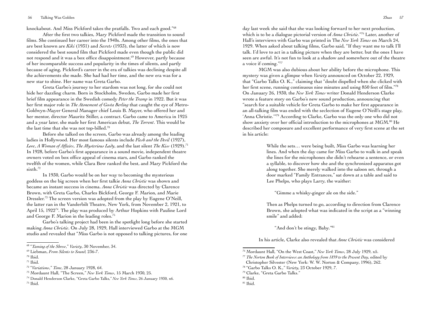knockabout. And Miss Pickford takes the pratfalls. Two and each good."68

After the first two talkies, Mary Pickford made the transition to sound films. She continued her career into the 1940s. Among other films, the ones that are best known are *Kiki* (1931) and *Secrets* (1933), the latter of which is now considered the best sound film that Pickford made even though the public did not respond and it was a box office disappointment.<sup>69</sup> However, partly because of her incomparable success and popularity in the times of silents, and partly because of aging, Pickford's career in the era of talkies was declining despite all the achievements she made. She had had her time, and the new era was for a new star to shine. Her name was Greta Garbo.

Greta Garbo's journey to her stardom was not long, for she could not hide her dazzling charm. Born in Stockholm, Sweden, Garbo made her first brief film appearance in the Swedish comedy *Peter the Tramp* in 1922. But it was her first major role in *The Atonement of Gosta Berling* that caught the eye of Metro-Goldwyn-Mayer General Manager chief Louis B. Mayer, who offered her and her mentor, director Mauritz Stiller, a contract. Garbo came to America in 1925 and a year later, she made her first American debut, *The Torrent*. This would be the last time that she was not top-billed.70

Before she talked on the screen, Garbo was already among the leading ladies in Hollywood. Her most famous silents include *Flesh and the Devil* (1927), *Love*, *A Woman of Affairs*, *The Mysterious Lady*, and the last silent *The Kiss* (1929).71 In 1928, before Garbo's first appearance in a sound movie, independent theatre owners voted on box office appeal of cinema stars, and Garbo ranked the twelfth of the women, while Clara Bow ranked the best, and Mary Pickford the sixth.<sup>72</sup>

In 1930, Garbo would be on her way to becoming the mysterious goddess on the big screen when her first talkie *Anna Christie* was shown and became an instant success in cinema. *Anna Christie* was directed by Clarence Brown, with Greta Garbo, Charles Bickford, George F. Marion, and Marie Dressler.<sup>73</sup> The screen version was adopted from the play by Eugene O'Neill, the latter ran in the Vanderbilt Theatre, New York, from November 2, 1921, to April 15, 192274. The play was produced by Arthur Hopkins with Pauline Lord and George F. Marion in the leading roles.75

Garbo's talking project had been in the spotlight long before she started making *Anna Christie*. On July 28, 1929, Hall interviewed Garbo at the MGM studio and revealed that "Miss Garbo is not opposed to talking pictures, for one day last week she said that she was looking forward to her next production, which is to be a dialogue pictorial version of *Anna Christie*."<sup>76</sup> Later, another of Hall's interviews with Garbo was printed in The *New York Times* on March 24, 1929. When asked about talking films, Garbo said, "If they want me to talk I'll talk. I'd love to act in a talking picture when they are better, but the ones I have seen are awful. It's not fun to look at a shadow and somewhere out of the theatre a voice if coming."77

MGM was also dubious about her ability before the microphone. This mystery was given a glimpse when *Variety* announced on October 22, 1929, that "Garbo Talks O. K.," claiming that "doubt dispelled when she clicked with her first scene, running continuous nine minutes and using 850 feet of film."78 On January 26, 1930, the *New York Times* writer Donald Henderson Clarke wrote a feature story on Garbo's new sound production, announcing that "search for a suitable vehicle for Greta Garbo to make her first appearance in an all-talking film was ended with the seclection of Eugene O'Neill's stage play, 'Anna Christie.'"79 According to Clarke, Garbo was the only one who did not show anxiety over her official introduction to the microphones at MGM.80 He described her composure and excellent performance of very first scene at the set in his article:

> While the sets… were being built, Miss Garbo was learning her lines. And when the day came for Miss Garbo to walk in and speak the lines for the microphones she didn't rehearse a sentence, or even a syllable, to discover how she and the synchronized apparatus got along together. She merely walked into the saloon set, through a door marked "Family Entrances," sat down at a table and said to Lee Phelps, who plays Larry, the waither:

"Gimme a whisky-ginger ale on the side."

Then as Phelps turned to go, according to direction from Clarence Brown, she adopted what was indicated in the script as a "winning smile" and added:

"And don't be stingy, Baby."81

In his article, Clarke also revealed that *Anne Christie* was considered

78 "Garbo Talks O. K.," *Variety*, 23 October 1929, 7.

<sup>68 &</sup>quot;*Taming of the Shrew*," *Variety*, 30 November, 34.

<sup>69</sup> Liebman, *From Silents to Sound,* 236-7.

 $70$  Ibid.

 $71$  Ibid.

<sup>72 &</sup>quot;*Variations*," *Time*, 28 January 1928, 64.

<sup>73</sup> Mordaunt Hall, "The Screen," *New York Times*, 15 March 1930, 25.

<sup>74</sup> Donald Henderson Clarke, "Greta Garbo Talks," *New York Times*, 26 January 1930, x6.  $75$  Ibid.

<sup>76</sup> Mordaunt Hall, "On the West Coast," *New York Times*, 28 July 1929, x5.

<sup>77</sup> *The Norton Book of Interviews: an Anthology from 1859 to the Present Day*, edited by Christopher Silvester (New York: W. W. Norton & Company, 1996), 262.

<sup>79</sup> Clarke, "Greta Garbo Talks."

<sup>80</sup> Ibid.

 $81$  Ibid.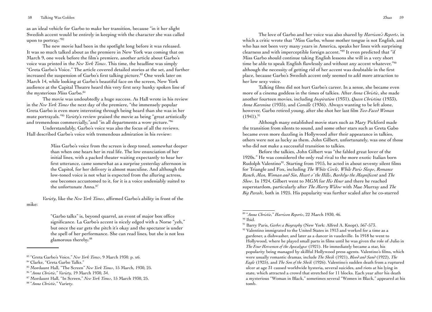58 Talking Was Golden Zhao 59

as an ideal vehicle for Garbo to make her transition, because "in it her slight Swedish accent would be entirely in keeping with the character she was called upon to portray."82

The new movie had been in the spotlight long before it was released. It was so much talked about as the premiere in New York was coming that on March 9, one week before the film's premiere, another article about Garbo's voice was printed in the *New York Times*. This time, the headline was simply "Greta Garbo's Voice." The article covered detailed stories at the set, and further increased the suspension of Garbo's first talking picture.<sup>83</sup> One week later on March 14, while looking at Garbo's beautiful face on the screen, New York audience at the Capital Theatre heard this very first sexy hunky spoken line of the mysterious Miss Garbo.<sup>84</sup>

The movie was undoubtedly a huge success. As Hall wrote in his review in the *New York Times* the next day of the premiere, "the immensely popular Greta Garbo is even more interesting through being heard than she was in her mute portrayals."85 *Variety*'s review praised the movie as being "great artistically and tremendous commercially," and "in all departments a wow picture." 86

Understandably, Garbo's voice was also the focus of all the reviews. Hall described Garbo's voice with tremendous admiration in his review:

> Miss Garbo's voice from the screen is deep toned, somewhat deeper than when one hears her in real life. The low enunciation of her initial lines, with a packed theater waiting expectantly to hear her first utterance, came somewhat as a surprise yesterday afternoon in the Capitol, for her delivery is almost masculine. And although the low-toned voice is not what is expected from the alluring actress, one becomes accustomed to it, for it is a voice undeniably suited to the unfortunate Anna.<sup>87</sup>

*Variety*, like the *New York Times*, affirmed Garbo's ability in front of the mike:

> "Garbo talks" is, beyond quarrel, an event of major box office significance. La Garbo's accent is nicely edged with a Norse "yeh," but once the ear gets the pitch it's okay and the spectator is under the spell of her performance. She can read lines, but she is not less glamorous thereby.88

The love of Garbo and her voice was also shared by *Harrison's Reports*, in which a critic wrote that "Miss Garbo, whose mother tongue is not English, and who has not been very many years in America, speaks her lines with surprising clearness and with imperceptible foreign accent."89 It even predicted that "if Miss Garbo should continue taking English lessons she will in a very short time be able to speak English flawlessly and without any accent whatever,"90 although the necessity of getting rid of her accent was doubtable in the first place, because Garbo's Swedish accent only seemed to add more attraction to her low sexy voice.

Talking films did not hurt Garbo's career. In a sense, she became even more of a cinema goddess in the times of talkies. After *Anna Christie*, she made another fourteen movies, including *Inspiration* (1931), *Queen Christina* (1933), *Anna Karenina* (1935), and *Camille* (1936). Always wanting to be left alone, however, Garbo retired young, after she shot her last film *Two-Faced Woman*  $(1941).^{91}$ 

Although many established movie stars such as Mary Pickford made the transition from silents to sound, and some other stars such as Greta Gabo became even more dazzling in Hollywood after their appearance in talkies, others were not as lucky as them. John Gilbert, unfortunately, was one of those who did not make a successful transition to talkies.

Before the talkies, John Gilbert was "the fabled great lover of the 1920s." He was considered the only real rival to the more exotic Italian born Rudolph Valentino<sup>92</sup>. Starting from 1915, he acted in about seventy silent films for Triangle and Fox, including *The White Circle*, *While Paris Sleeps*, *Romance Ranch*, *Man, Woman and Sin*, *Heart o' the Hills*, *Bardelys the Magnificent* and *The Show*. In 1924, Gilbert went to MGM for *His Hour* and there he reached superstardom, particularly after *The Marry Widow* with Mae Murray and *The Big Parade*, both in 1925. His popularity was further scaled after he co-starred

<sup>83 &</sup>quot;Greta Garbo's Voice," *New York Times*, 9 March 1930. p. x6.

<sup>84</sup> Clarke, "Greta Garbo Talks."

<sup>85</sup> Mordaunt Hall, "The Screen" *New York Times*, 15 March, 1930, 25.

<sup>86 &</sup>quot;*Anna Christie*," *Variety*, 19 March 1930, 34.

<sup>87</sup> Mordaunt Hall, "In Screen," *New York Times*, 15 March 1930, 25.

<sup>88 &</sup>quot;*Anna Christie*," Variety.

<sup>89 &</sup>quot;*Anna Christie*," *Harrison Reports*, 22 March 1930, 46.

 $90$  Ibid.

<sup>&</sup>lt;sup>91</sup> Barry Paris, *Garbo: a Biography* (New York: Alfred A. Knopt), 567-573.

<sup>&</sup>lt;sup>92</sup> Valentino immigrated to the United States in 1913 and worked for a time as a gardener, a dishwasher, and later as a dancer in vaudeville. In 1918 he went to Hollywood, where he played small parts in films until he was given the role of Julio in *The Four Horsemen of the Apocalypse* (1921). He immediately became a star, his popularity being managed by skillful Hollywood press agents. Valentino's films, which were usually romantic dramas, include *The Sheik* (1921), *Blood and Sand* (1922), *The Eagle* (1925), and *The Son of the Sheik* (1926). Valentino's sudden death from a ruptured ulcer at age 31 caused worldwide hysteria, several suicides, and riots at his lying in state, which attracted a crowd that stretched for 11 blocks. Each year after his death a mysterious "Woman in Black," sometimes several "Women in Black," appeared at his tomb.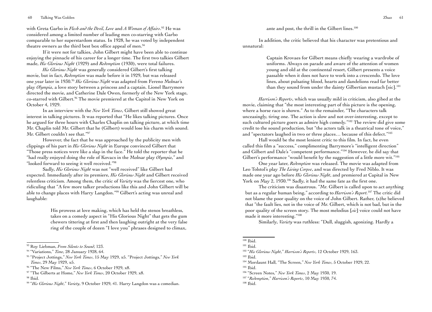with Greta Garbo in *Flesh and the Devil*, *Love* and *A Woman of Affairs*. 93 He was considered among a limited number of leading men co-starring with Garbo comparable to her superstardom status. In 1928, he was voted by independent theatre owners as the third best box office appeal of men.<sup>94</sup>

If it were not for talkies, John Gilbert might have been able to continue enjoying the pinnacle of his career for a longer time. The first two talkies Gilbert made, *His Glorious Night* (1929) and *Redemption* (1930), were total failures.

*His Glorious Night* was generally considered Gilbert's first talking movie, but in fact, *Redemption* was made before it in 1929, but was released one year later in 1930.95 *His Glorious Night* was adapted from Fereno Molnar's play *Olympia*, a love story between a princess and a captain. Lionel Barrymore directed the movie, and Catherine Dale Owen, formerly of the New York stage, co-starred with Gilbert.<sup>96</sup> The movie premiered at the Capitol in New York on October 4, 1929.

In an interview with the *New York Times*, Gilbert still showed great interest in talking pictures. It was reported that "He likes talking pictures. Once he argued for three hours with Charles Chaplin on talking picture, at which time Mr. Chaplin told Mr. Gilbert that he (Gilbert) would lose his charm with sound. Mr. Gilbert couldn't see that."97

However, the fact that he was approached by the publicity men with clippings of his part in *His Glorious Night* in Europe convinced Gilbert that "Those press notices were like a slap in the face." He told the reporter that he "had really enjoyed doing the role of Kovacs in the Molnar play *Olympia*," and "looked forward to seeing it well received."98

Sadly, *His Glorious Night* was not "well received" like Gilbert had expected. Immediately after its premiere, *His Glorious Night* and Gilbert received relentless criticism. Among them, the critic of *Variety* was the fiercest one, who ridiculing that "A few more talker productions like this and John Gilbert will be able to change places with Harry Langdon."99 Gilbert's acting was unreal and laughable:

> His prowess at love making, which has held the stenos breathless, takes on a comedy aspect in "His Glorious Night" that gets the gum chewers tittering at first and then laughing outright at the very false ring of the couple of dozen "I love you" phrases designed to climax,

ante and post, the thrill in the Gilbert lines.<sup>100</sup>

In addition, the critic believed that his character was pretentious and unnatural:

> Captain Krovaes for Gilbert means chiefly wearing a wardrobe of uniforms. Always on parade and aware of the attention of women young and old at the continental resort, Gilbert presents a voice passable when it does not have to work into a crescendo. The love lines, about pulsating blood, hearts and dandelions read far better than they sound from under the dainty Gilbertian mustach [sic].<sup>101</sup>

*Harrison's Reports*, which was usually mild in criticism, also gibed at the movie, claiming that "the most interesting part of this picture is the opening, where a horse race is shown." As to the remainder, "The characters talk unceasingly, tiring one. The action is slow and not over-interesting, except to such cultured picture goers as admire high comedy."<sup>102</sup> The review did give some credit to the sound production, but "the actors talk in a theatrical tone of voice," and "spectators laughed in two or three places… because of this defect."103

Hall would be the most lenient critic to this film. In fact, he even called this film a "success," complimenting Barrymore's "intelligent direction" and Gilbert and Dale's "competent performance."104 However, he did say that Gilbert's performance "would benefit by the suggestion of a little more wit."<sup>105</sup>

One year later, *Redemption* was released. The movie was adapted from Leo Tolstol's play *The Living Corpse*, and was directed by Fred Niblo. It was made one year ago before *His Glorious Night*, and premiered at Capital in New York on May 2, 1930.<sup>106</sup> Sadly, it had the same fate as the first one.

The criticism was disastrous. "Mr. Gilbert is called upon to act anything but as a regular human being," according to *Harrison's Report.*107 The critic did not blame the poor quality on the voice of John Gilbert. Rather, (s)he believed that "the fault lies, not in the voice of Mr. Gilbert, which is not bad, but in the poor quality of the screen story. The most melodius [*sic*] voice could not have made it more interesting."108

Similarly, *Variety* was ruthless: "Dull, sluggish, agonizing. Hardly a

105 Ibid.

<sup>93</sup> Roy Liebman, *From Silents to Sound,* 123.

<sup>94 &</sup>quot;Variations," *Time*, 28 January 1928, 64.

<sup>95 &</sup>quot;Project Jottings," *New York Times*, 15 May 1929, x5. "Project Jottings," *New York Times*, 29 May 1929, x5.

<sup>96 &</sup>quot;The New Films," *New York Times*, 6 October 1929, x8.

<sup>97 &</sup>quot;The Gilberts at Home," *New York Times*, 20 October 1929, x8.

<sup>98</sup> Ibid.

<sup>99 &</sup>quot;*His Glorious Night*," *Variety*, 9 October 1929, 41. Harry Langdon was a comedian.

 $100$  Ibid.

<sup>&</sup>lt;sup>101</sup> Ibid.

<sup>102 &</sup>quot;*His Glorious Night*," *Harrison's Reports*, 12 October 1929, 163.

<sup>103</sup> Ibid.

<sup>104</sup> Mordaunt Hall, "The Screen," *New York Times*, 5 October 1929, 22.

<sup>106 &</sup>quot;Screen Notes," *New York Times*, 2 May 1930, 19.

<sup>107 &</sup>quot;*Redemption*," *Harrison's Reports*, 10 May 1930, 74.

<sup>108</sup> Ibid.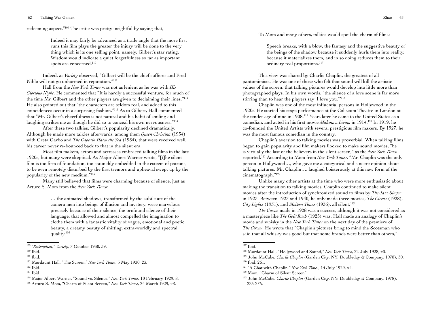redeeming aspect."109 The critic was pretty insightful by saying that,

Indeed it may fairly be advanced as a trade angle that the more first runs this film plays the greater the injury will be done to the very thing which is its one selling point, namely, Gilbert's star rating. Wisdom would indicate a quiet forgetfulness so far as important spots are concerned.<sup>110</sup>

Indeed, as *Variety* observed, "Gilbert will be the chief sufferer and Fred Niblo will not go unharmed in reputation."111

Hall from the *New York Times* was not as lenient as he was with *His Glorious Night*. He commented that "It is hardly a successful venture, for much of the time Mr. Gilbert and the other players are given to declaiming their lines."112 He also pointed out that "the characters are seldom real, and added to this coincidences occur in a surprising fashion."113 As to Gilbert, Hall commented that "Mr. Gilbert's cheerfulness is not natural and his habit of smiling and laughing strikes me as though he did so to conceal his own nervousness."<sup>114</sup>

After these two talkies, Gilbert's popularity declined dramatically. Although he made more talkies afterwards, among them *Queen Christina* (1934) with Greta Garbo and *The Captain Hates the Sea* (1934), that were received well, his career never re-bounced back to that in the silent era.

Most film makers, actors and actresses embraced talking films in the late 1920s, but many were skeptical. As Major Albert Warner wrote, "[t]he silent film is too firm of foundation, too staunchly embedded in the esteem of patrons, to be even remotely disturbed by the first tremors and upheaval swept up by the popularity of the new medium."115

Many still believed that films were charming because of silence, just as Arturo S. Mom from the *New York Times*:

> … the animated shadows, transformed by the subtle art of the camera men into beings of illusion and mystery, were marvelous precisely because of their silence, the profound silence of their language, that allowed and almost compelled the imagination to clothe them with a fantastic vitality of vague, emotional and poetic beauty, a dreamy beauty of shifting, extra-worldly and spectral quality.116

To Mom and many others, talkies would spoil the charm of films:

Speech breaks, with a blow, the fantasy and the suggestive beauty of the beings of the shadow because it suddenly hurls them into reality, because it materializes them, and in so doing reduces them to their ordinary real proportions.<sup>117</sup>

This view was shared by Charlie Chaplin, the greatest of all pantomimists. He was one of those who felt that sound will kill the artistic values of the screen, that talking pictures would develop into little more than photographed plays. In his own words, "the silence of a love scene is far more stirring than to hear the players say 'I love you.'"118

Chaplin was one of the most influential persons in Hollywood in the 1920s. He started his stage performance at the Coliseum Theatre in London at the tender age of nine in 1908.119 Years later he came to the United States as a comedian, and acted in his first movie *Making a Living* in 1914.120 In 1919, he co-founded the United Artists with several prestigious film makers. By 1927, he was the most famous comedian in the country.

Chaplin's aversion to talking movies was proverbial. When talking films began to gain popularity and film makers flocked to make sound movies, "he is virtually the last of the believers in the silent screen," as the *New York Times* reported.121 According to Mom from *New York Times*, "Mr. Chaplin was the only person in Hollywood…, who gave me a categorical and sincere opinion about talking pictures. Mr. Chaplin…, laughed boisterously at this new form of the cinematograph."122

Unlike many other artists at the time who were more enthusiastic about making the transition to talking movies, Chaplin continued to make silent movies after the introduction of synchronized sound to films by *The Jazz Singer*  in 1927. Between 1927 and 1940, he only made three movies, *The Circus* (1928), *City Lights* (1931), and *Modern Times* (1936), all silent.123

*The Circus* made in 1928 was a success, although it was not considered as a masterpiece like *The Gold Rush* (1925) was. Hall made an analogy of Chaplin's movie and whisky in the *New York Times* on the next day of the premiere of *The Circus*. He wrote that "Chaplin's pictures bring to mind the Scotsman who said that all whisky was good but that some brands were better than others,"

<sup>109 &</sup>quot;*Redemption*," *Variety*, 7 October 1930, 39.

<sup>&</sup>lt;sup>110</sup> Ibid.

 $111$  Ibid.

<sup>112</sup> Mordaunt Hall, "The Screen," *New York Times*, 3 May 1930, 23.

<sup>113</sup> Ibid.

<sup>114</sup> Ibid.

<sup>115</sup> Major Albert Warner, "Sound vs. Silence," *New York Times*, 10 February 1929, 8.

<sup>116</sup> Arturo S. Mom, "Charm of Silent Screen," *New York Times*, 24 March 1929, x8.

<sup>117</sup> Ibid.

<sup>118</sup> Mordaunt Hall, "Hollywood and Sound," *New York Times*, 22 July 1928, x3.

<sup>119</sup> John McCabe, *Charlie Chaplin* (Garden City, NY: Doubleday & Company, 1978), 30. 120 Ibid, 261.

<sup>121 &</sup>quot;A Chat with Chaplin," *New York Times*, 14 July 1929, x4.

<sup>122</sup> Mom, "Charm of Silent Screen".

<sup>123</sup> John McCabe, *Charlie Chaplin* (Garden City, NY: Doubleday & Company, 1978), 275-276.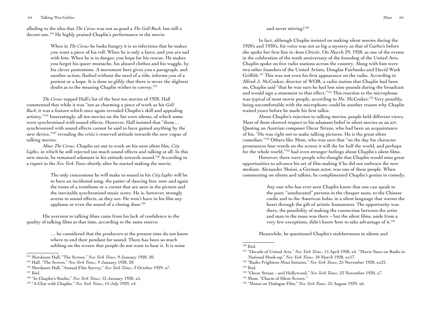alluding to the idea that *The Circus* was not as good a *The Gold Rush*, but still a decent one.124 He highly praised Chaplin's performance in the movie:

> When in *The Circus* he looks hungry it is so infectious that he makes you want a piece of his roll. When he is only a farce, and you are sad with him. When he is in danger, you hope for his rescue. He makes you forget his queer mustache, his absurd clothes and his waggle, by his clever pantomime. A movement here gives you a paragraph, and another action, flashed without the need of a title, informs you of a portent or a hope. It is done so glibly that there is never the slightest doubt as to the meaning Chaplin wishes to convey.125

*The Circus* topped Hall's list of the best ten movies of 1928. Hall commented that while it was "not as charming a piece of work as his *Gold Rush*, it was a feature which once again revealed Chaplin's skill and appealing artistry."126 Interestingly, all ten movies on the list were silents, of which some were synchronized with sound effects. However, Hall insisted that "those… synchronized with sound effects cannot be said to have gained anything by the new device,"127 revealing the critic's reserved attitude towards the new vogue of talking movies.

After *The Circus*, Chaplin set out to work on his next silent film, *City Lights*, in which he still rejected too much sound effects and talking at all. In this new movie, he remained adamant in his attitude towards sound.128 According to a report in the *New York Times* shortly after he started making the movie,

> The only concessions he will make to sound in his *City Lights* will be to have an incidental song, the patter of dancing feet, now and again the tones of a trombone or a cornet that are seen in the picture and the inevitable synchronized music score. He is, however, strongly averse to sound effects, as they are. He won't have in his film any applause or even the sound of a closing door.<sup>129</sup>

His aversion to talking films came from his lack of confidence in the quality of talking films at that time, according to the same source:

> … he considered that the producers at the present time do not know where to end their pendant for sound. There has been so much sobbing on the screen that people do not want to hear it. It is noise

128 "In Chaplin's Studio," *New York Times*, 12 January 1930, x5.

# and never stirring!<sup>130</sup>

In fact, although Chaplin insisted on making silent movies during the 1920's and 1930's, his voice was not as big a mystery as that of Garbo's before she spoke her first line in *Anna Christie*. On March 29, 1928, as one of the events in the celebration of the tenth anniversary of the founding of the United Arts, Chaplin spoke on five radio stations across the country. Along with him were two other founders of the United Artists, Douglas Fairbanks and David Wark Griffith.<sup>131</sup> This was not even his first appearance on the radio. According to Alfred J. McCosker, director of WOR, a radio station that Chaplin had been on, Chaplin said "that he was sure he had lost nine pounds during the broadcast and would sign a statement to that effect."<sup>132</sup> This reaction to the microphone was typical of most movie people, according to Mr. McCosker.<sup>133</sup> Very possibly, being uncomfortable with the microphone could be another reason why Chaplin waited years before he made his first talkie.

About Chaplin's rejection to talking movies, people held different views. Most of them showed respect to his adamant belief in silent movies as an art. Quoting an Austrian composer Oscar Straus, who had been an acquaintance of his, "He was right not to make talking pictures. He is the great silent comedian."134 Others like Mom, who was sure that "on the day his character pronounces four words on the screen it will die for half the world, and perhaps for the whole world,"135 had even stronger feelings about Chaplin's silent films.

However, there were people who thought that Chaplin would miss great opportunities to advance his art of film-making if he did not embrace the new medium. Alexander Moissi, a German actor, was one of these people. When commenting on silents and talkies, he complimented Chaplin's genius in comedy:

> Any one who has ever seen Chaplin know that one can speak to the poor, "uneducated" persons in the cheaper seats, to the Chinese coolie and to the American hobo, in a silent language that warms the heart through the gift of artistic humanness. The opportunity was there, the possibility of making the connection between the artist and man in the mass was there – but the silent films, aside from a very few exceptions, didn't know how to take advantage of it.136

Meanwhile, he questioned Chaplin's stubbornness in silents and

<sup>124</sup> Mordaunt Hall, "The Screen," *New York Times*, 9 January 1928, 20.

<sup>125</sup> Hall, "The Screen," *New York Times*, 9 January 1928, 20.

<sup>126</sup> Mordaunt Hall, "Annual Film Survey," *New York Times*, 3 October 1929, x7. 127 Ibid.

<sup>129 &</sup>quot;A Chat with Chaplin," *New York Times*, 14 July 1929, x4.

<sup>130</sup> Ibid.

<sup>131 &</sup>quot;Decade of United Arts," *New York Times*, 15 April 1928, x5. "Movie Stars on Radio in National Hook-up," *New York Times*, 18 March 1928, xx17.

<sup>132 &</sup>quot;Radio Frightens Most Initiates," *New York Times*, 25 November 1928, xx22. 133 Ibid.

<sup>134 &</sup>quot;Oscar Straus – and Hollywood," *New York Times*, 23 November 1930, x7.

<sup>135</sup> Mom, "Charm of Silent Screen."

<sup>136 &</sup>quot;Moissi on Dialogue Film," *New York Times*, 25 August 1929, x6.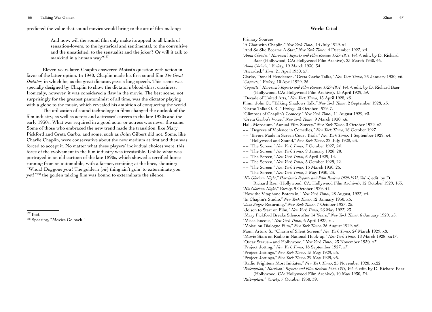predicted the value that sound movies would bring to the art of film-making:

And now, will the sound film only make its appeal to all kinds of sensation-lovers, to the hysterical and sentimental, to the convulsive and the unsatisfied, to the sensualist and the joker? Or will it talk to mankind in a human way?137

Eleven years later, Chaplin answered Moissi's question with action in favor of the latter option. In 1940, Chaplin made his first sound film *The Great Dictator*, in which he, as the great dictator, gave a long speech. This scene was specially designed by Chaplin to show the dictator's blood-thirst craziness. Ironically, however, it was considered a flaw in the movie. The best scene, not surprisingly for the greatest pantomimist of all time, was the dictator playing with a globe to the music, which revealed his ambition of conquering the world.

The utilization of sound technology in films changed the outlook of the film industry, as well as actors and actresses' careers in the late 1920s and the early 1930s. What was required in a good actor or actress was never the same. Some of those who embraced the new trend made the transition, like Mary Pickford and Greta Garbo, and some, such as John Gilbert did not. Some, like Charlie Chaplin, were conservative about the new medium at first and then was forced to accept it. No matter what these players' individual choices were, this force of the evolvement in the film industry was irresistible. Unlike what was portrayed in an old cartoon of the late 1890s, which showed a terrified horse running from an automobile, with a farmer, straining at the lines, shouting: "Whoa! Doggone you! The goldern [*sic*] thing ain't goin' to exterminate you yet!"138 the golden talking film was bound to exterminate the silence.

137 Ibid.

<sup>138</sup> Spearing, "Movies Go back."

#### **Works Cited**

Primary Sources "A Chat with Chaplin," *New York Times*, 14 July 1929, x4. "And So She Became A Star," *New York Times*, 4 December 1927, x4. "*Anna Christie*," *Harrison's Reports and Film Reviews 1929-1931, Vol. 4*, edit. by D. Richard Baer (Hollywood, CA: Hollywood Film Archive), 23 March 1930, 46. "*Anna Christie*," *Variety*, 19 March 1930, 34. "Awarded," *Time*, 21 April 1930, 57. Clarke, Donald Henderson, "Greta Garbo Talks," *New York Times*, 26 January 1930, x6. "*Coquette*," *Variety*, 10 April 1929, 25. "*Coquette*," *Harrison's Reports and Film Reviews 1929-1931, Vol. 4*, edit. by D. Richard Baer (Hollywood, CA: Hollywood Film Archive), 13 April 1929, 59. "Decade of United Arts," *New York Times*, 15 April 1928, x5. Flinn, John C., "Talking Shadows Talk," *New York Times*, 2 September 1928, x5. "Garbo Talks O. K.," *Variety*, 23 October 1929, 7. "Glimpses of Chaplin's Comedy," *New York Times*, 11 August 1929, x3. "Greta Garbo's Voice," *New York Times*, 9 March 1930, x6. Hall, Mordaunt, "Annual Film Survey," *New York Times*, 3 October 1929, x7. ---- "Degrees of Violence in Comedies," *New York Times*, 16 October 1927. ---- "Errors Made in Screen Court Trials," *New York Times*, 1 September 1929, x4. ---- "Hollywood and Sound," *New York Times*, 22 July 1928, x3. ---- "The Screen," *New York Times*, 7 October 1927, 24. ---- "The Screen," *New York Times*, 9 January 1928, 20. ---- "The Screen," *New York Times*, 6 April 1929, 14. ---- "The Screen," *New York Times*, 5 October 1929, 22. ---- "The Screen," *New York Times*, 15 March 1930, 25. ---- "The Screen," *New York Times*, 3 May 1930, 23. "*His Glorious Night*," *Harrison's Reports and Film Reviews 1929-1931, Vol. 4*, edit. by D. Richard Baer (Hollywood, CA: Hollywood Film Archive), 12 October 1929, 163. "*His Glorious Night*," *Variety*, 9 October 1929, 41. "How the Vitaphone Enters in," *New York Times*, 28 August, 1927, x4. "In Chaplin's Studio," *New York Times*, 12 January 1930, x5. "*Jazz Singer* Returning," *New York Times*, 7 October 1927, 25. "Jolson to Start on Film," *New York Times*, 26 May 1927, 23. "Mary Pickford Breaks Silence after 14 Years," *New York Times*, 6 January 1929, x5. "Miscellaneous," *New York Times*, 6 April 1927, x1. "Moissi on Dialogue Film," *New York Times*, 25 August 1929, x6. Mom, Arturo S,. "Charm of Silent Screen," *New York Times*, 24 March 1929, x8. "Movie Stars on Radio in National Hook-up," *New York Times*, 18 March 1928, xx17. "Oscar Straus – and Hollywood," *New York Times*, 23 November 1930, x7. "Project Jotting," *New York Times*, 18 September 1927, x7. "Project Jottings," *New York Times*, 15 May 1929, x5. "Project Jottings," *New York Times*, 29 May 1929, x5. "Radio Frightens Most Initiates," *New York Times*, 25 November 1928, xx22. "*Redemption*," *Harrison's Reports and Film Reviews 1929-1931, Vol. 4*, edit. by D. Richard Baer (Hollywood, CA: Hollywood Film Archive), 10 May 1930, 74. "*Redemption*," *Variety*, 7 October 1930, 39.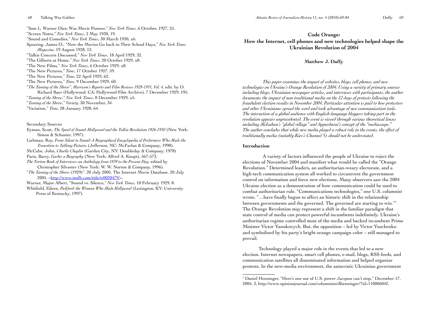"Sam L. Warner Dies; Was Movie Pioneer," *New York Times*, 6 October, 1927, 25. "Screen Notes," *New York Times*, 2 May 1930, 19. "Sound and Comedies," *New York Times*, 30 March 1930, x6. Spearing, James O., "Now the Movies Go back to Their School Days," *New York Times Magazine*, 19 August 1928, 12. "Talkie Concern Discussed," *New York Times*, 18 April 1929, 32. "The Gilberts at Home," *New York Times*, 20 October 1929, x8. "The New Films," *New York Times*, 6 October 1929, x8. "The New Pictures," *Time*, 17 October 1927, 59. "The New Pictures," *Time*, 22 April 1929, 62. "The New Pictures," *Time*, 9 December 1929, 60. "*The Taming of the Shrew*", *Harrison's Reports and Film Reviews 1929-1931, Vol. 4*, edit. by D. Richard Baer (Hollywood, CA: Hollywood Film Archive)*,* 7 December 1929, 195. "*Taming of the Shrew*," *New York Times*, 8 December 1929, x5. "*Taming of the Shrew*," *Variety*, 30 November, 34. "Variation," *Time*, 28 January 1928, 64.

Secondary Sources

- Eyman, Scott, *The Speed of Sound: Hollywood and the Talkie Revolution 1926-1930* (New York: Simon & Schuster, 1997).
- Liebman, Roy, *From Silent to Sound: A Biographical Encyclopedia of Performers Who Made the Transition to Talking Pictures* (Jefferson, NC: McFarlan & Company, 1998).
- McCabe, John, *Charlie Chaplin* (Garden City, NY: Doubleday & Company, 1978)

Paris, Barry, *Garbo: a Biography* (New York: Alfred A. Knopt), 567-573.

*The Norton Book of Interviews: an Anthology from 1859 to the Present Day*, edited by Christopher Silvester (New York: W. W. Norton & Company, 1996).

"*The Taming of the Shrew* (1929)". 20 July 2005. The Internet Movie Database. 20 July 2005. <<http://www.imdb.com/title/tt0020479/>>.

Warner, Major Albert, "Sound vs. Silence," *New York Times*, 10 February 1929, 8.

Whitfield, Eileen, *Pickford: the Woman Who Made Hollywood* (Lexington, KY: University Press of Kentucky, 1997).

# **Code Orange: How the Internet, cell phones and new technologies helped shape the Ukrainian Revolution of 2004**

#### **Matthew J. Duffy**

*This paper examines the impact of websites, blogs, cell phones, and new technologies on Ukraine's Orange Revolution of 2004. Using a variety of primary sources including blogs, Ukrainian newspaper articles, and interviews with participants, the author documents the impact of non-traditional media on the 12 days of protests following the fraudulent election results in November 2004. Particular attention is paid to how protesters and other Ukrainians spread the word and took advantage of new communication tools. The interaction of a global audience with English-language bloggers taking part in the revolution appears unprecedented. The event is viewed through various theoretical lenses including McLuhan's "global village" and Appurdarai's concept of the "mediascape." The author concludes that while new media played a robust role in the events, the effect of traditionally media (notably Kiev's Channel 5) should not be understated.* 

#### **Introduction**

A variety of factors influenced the people of Ukraine to reject the elections of November 2004 and manifest what would be called the "Orange Revolution." Determined leaders, an authoritarian-weary electorate, and a high-tech communication system all worked to circumvent the government control on information and force new elections. Many observers saw the 2004 Ukraine election as a demonstration of how communication could be used to combat authoritarian rule. "Communications technologies," one U.S. columnist wrote, "…have finally begun to affect an historic shift in the relationship between governments and the governed. The governed are starting to win."1 The Orange Revolution may represent a shift in the familiar paradigm that state control of media can protect powerful incumbents indefinitely. Ukraine's authoritarian regime controlled most of the media and backed incumbent Prime Minister Victor Yanukovych. But, the opposition – led by Victor Yuschenko and symbolized by his party's bright orange campaign color – still managed to prevail.

Technology played a major role in the events that led to a new election. Internet newspapers, smart cell phones, e-mail, blogs, RSS feeds, and communication satellites all disseminated information and helped organize protests. In the new-media environment, the autocratic Ukrainian government

<sup>&</sup>lt;sup>1</sup> Daniel Henninger, "Here's one use of U.S. power Jacques can't stop," December 17, 2004, 3, http://www.opinionjournal.com/columnists/dhenninger/?id=110006042.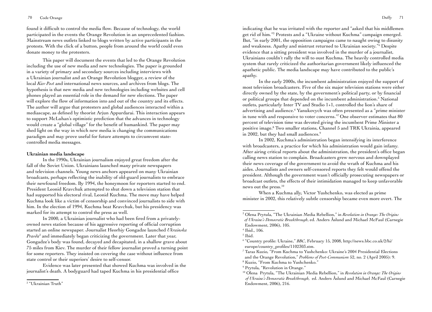#### 70 Code Orange Duffy 71

found it difficult to control the media flow. Because of technology, the world participated in the events the Orange Revolution in an unprecedented fashion. Mainstream news outlets linked to blogs written by active participants in the protests. With the click of a button, people from around the world could even donate money to the protesters.

This paper will document the events that led to the Orange Revolution including the use of new media and new technologies. The paper is grounded in a variety of primary and secondary sources including interviews with a Ukrainian journalist and an Orange Revolution blogger, a review of the local *Kiev Post* and international news sources, and archives from blogs. The hypothesis is that new media and new technologies including websites and cell phones played an essential role in the demand for new elections. The paper will explore the flow of information into and out of the country and its effects. The author will argue that protesters and global audiences interacted within a mediascape, as defined by theorist Arjun Appurdarai. This interaction appears to support McLuhan's optimistic prediction that the advances in technology would create a "global village" for the benefit of humankind. The paper may shed light on the way in which new media is changing the communications paradigm and may prove useful for future attempts to circumvent statecontrolled media messages.

#### **Ukrainian media landscape**

In the 1990s, Ukrainian journalism enjoyed great freedom after the fall of the Soviet Union. Ukrainians launched many private newspapers and television channels. Young news anchors appeared on many Ukrainian broadcasts, perhaps reflecting the inability of old-guard journalists to embrace their newfound freedom. By 1994, the honeymoon for reporters started to end. President Leonid Kravchuk attempted to shut down a television station that had supported his electoral rival, Leonid Kuchma. The move may have helped Kuchma look like a victim of censorship and convinced journalists to side with him. In the election of 1994, Kuchma beat Kravchuk, but his presidency was marked for its attempt to control the press as well.

In 2000, a Ukrainian journalist who had been fired from a privatelyowned news station because of his aggressive reporting of official corruption started an online newspaper. Journalist Heorhiy Gongadze launched *Ukrainska Pravda*<sup>2</sup> and immediately began criticizing the government. Later that year, Gongadze's body was found, decayed and decapitated, in a shallow grave about 75 miles from Kiev. The murder of their fellow journalist proved a turning point for some reporters. They insisted on covering the case without influence from state control or their superiors' desire to self-censor.

Evidence was later presented that showed Kuchma was involved in the journalist's death. A bodyguard had taped Kuchma in his presidential office

indicating that he was irritated with the reporter and "asked that his middlemen get rid of him."3 Protests and a "Ukraine without Kuchma" campaign emerged. But, "in early 2001, the opposition campaigns came to naught owing to disunity and weakness. Apathy and mistrust returned to Ukrainian society."4 Despite evidence that a sitting president was involved in the murder of a journalist, Ukrainians couldn't rally the will to oust Kuchma. The heavily controlled media system that rarely criticized the authoritarian government likely influenced the apathetic public. The media landscape may have contributed to the public's apathy.

In the early 2000s, the incumbent administration enjoyed the support of most television broadcasters. Five of the six major television stations were either directly owned by the state, by the government's political party, or by financial or political groups that depended on the incumbent administration.<sup>5</sup> National outlets, particularly Inter TV and Studio 1+1, controlled the lion's share of advertising and audience.<sup>6</sup> Yanukovych was often presented as a "prime minister in tune with and responsive to voter concerns."7 One observer estimates that 80 percent of television time was devoted giving the incumbent Prime Minister a positive image.8 Two smaller stations, Channel 5 and TRK Ukrainia, appeared in 2002, but they had small audiences.<sup>9</sup>

In 2002, Kuchma's administration began intensifying its interference with broadcasters, a practice for which his administration would gain infamy. After airing critical reports about the administration, the president's office began calling news station to complain. Broadcasters grew nervous and downplayed their news coverage of the government to avoid the wrath of Kuchma and his aides. Journalists and owners self-censored reports they felt would offend the president. Although the government wasn't officially prosecuting newspapers or broadcast outlets, the effects of their intimidation managed to keep unfavorable news out the press.<sup>10</sup>

When a Kuchma ally, Victor Yushchenko, was elected as prime minister in 2002, this relatively subtle censorship became even more overt. The

8 Kuzio, "From Kuchma to Yushchenko."

<sup>2</sup> "Ukrainian Truth"

<sup>3</sup> Olena Prytula, "The Ukrainian Media Rebellion," in *Revolution in Orange: The Origins of Ukraine's Democratic Breakthrough*, ed. Anders Åslund and Michael McFaul (Carnegie Endowment, 2006), 105.

<sup>4</sup> Ibid., 106.

<sup>5</sup> Ibid.

<sup>6</sup> "Country profile: Ukraine," *BBC*, February 15, 2008, http://news.bbc.co.uk/2/hi/ europe/country\_profiles/1102303.stm.

<sup>7</sup> Taras Kuzio, "From Kuchma to Yushchenko: Ukraine's 2004 Presidential Elections and the Orange Revolution," *Problems of Post-Communism* 52, no. 2 (April 2005): 9.

<sup>&</sup>lt;sup>9</sup> Prytula, "Revolution in Orange."

<sup>10</sup> Olena Prytula, "The Ukrainian Media Rebellion," in *Revolution in Orange: The Origins of Ukraine's Democratic Breakthrough*, ed. Anders Åslund and Michael McFaul (Carnegie Endowment, 2006), 216.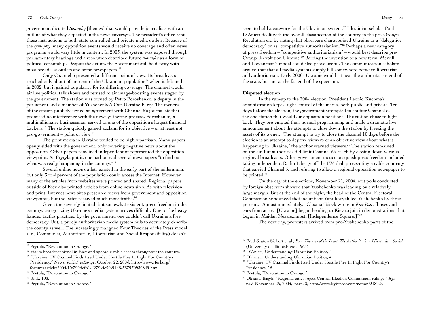government dictated *tymnyky* [themes] that would provide journalists with an outline of what they expected in the news coverage. The president's office sent these instructions to both state-controlled and private media outlets. Because of the *tymnyky*, many opposition events would receive no coverage and often news programs would vary little in content. In 2003, the system was exposed through parliamentary hearings and a resolution described future *tymnyky* as a form of political censorship. Despite the action, the government still held sway with most broadcast outlets and some newspapers.<sup>11</sup>

Only Channel 5 presented a different point of view. Its broadcasts reached only about 30 percent of the Ukrainian population<sup>12</sup> when it debuted in 2002, but it gained popularity for its differing coverage. The channel would air live political talk shows and refused to air image-boosting events staged by the government. The station was owned by Petro Poroshenko, a deputy in the parliament and a member of Yushchenko's Our Ukraine Party. The owners of the station publicly signed an agreement with Channel 5's journalists that promised no interference with the news-gathering process. Poroshenko, a multimillionaire businessman, served as one of the opposition's largest financial backers.13 The station quickly gained acclaim for its objective – or at least not pro-government – point of view. $14$ 

The print media in Ukraine tended to be highly partisan. Many papers openly sided with the government, only covering negative news about the opposition. Other papers remained independent or represented the opposition viewpoint. As Prytyla put it, one had to read several newspapers "to find out what was really happening in the country.<sup>"15</sup>

Several online news outlets existed in the early part of the millennium, but only 3 to 4 percent of the population could access the Internet. However, many of the articles from websites were printed and shared. Regional papers outside of Kiev also printed articles from online news sites. As with television and print, Internet news sites presented views from government and opposition viewpoints, but the latter received much more traffic.<sup>16</sup>

Given the severely limited, but somewhat existent, press freedom in the country, categorizing Ukraine's media system proves difficult. Due to the heavyhanded tactics practiced by the government, one couldn't call Ukraine a free democracy. But, a purely authoritarian media system fails to accurately describe the county as well. The increasingly maligned Four Theories of the Press model (i.e., Communist, Authoritarian, Libertarian and Social Responsibility) doesn't

seem to hold a category for the Ukrainian system.<sup>17</sup> Ukrainian scholar Paul D'Anieri dealt with the overall classification of the country in the pre-Orange Revolution era by noting that observers characterized Ukraine as a "delegative democracy" or as "competitive authoritarianism."18 Perhaps a new category of press freedom – "competitive authoritarianism" – would best describe pre-Orange Revolution Ukraine.19 Barring the invention of a new term, Merrill and Lowenstein's model could also prove useful. The communication scholars argued that that all media systems simply fall somewhere between libertarian and authoritarian. Early 2000s Ukraine would sit near the authoritarian end of the scale, but not at the far end of the spectrum.

## **Disputed election**

In the run-up to the 2004 election, President Leonid Kuchma's administration kept a tight control of the media, both public and private. Ten days before the election, the government attempted to shutter Channel 5, the one station that would air opposition positions. The station chose to fight back. They pre-empted their normal programming and made a dramatic live announcement about the attempts to close down the station by freezing the assets of its owner. "The attempt to try to close the channel 10 days before the election is an attempt to deprive viewers of an objective view about what is happening in Ukraine," the anchor warned viewers.<sup>20</sup> The station remained on the air, but authorities did limit Channel 5's reach by closing down various regional broadcasts. Other government tactics to squash press freedom included taking independent Radio Liberty off the FM dial, prosecuting a cable company that carried Channel 5, and refusing to allow a regional opposition newspaper to be printed.<sup>21</sup>

On the day of the elections, November 21, 2004, exit polls conducted by foreign observers showed that Yushchenko was leading by a relatively large margin. But at the end of the night, the head of the Central Electoral Commission announced that incumbent Yanukovych led Yushchenko by three percent. "Almost immediately," Oksana Tsisyk wrote in *Kiev Post*, "buses and cars from across [Ukraine] began heading to Kiev to join in demonstrations that began in Maidan Nezalezhnosti [Independence Square.]"<sup>22</sup>

The next day, protesters arrived from pro-Yushchenko parts of the

<sup>&</sup>lt;sup>11</sup> Prytula, "Revolution in Orange."

<sup>&</sup>lt;sup>12</sup> Via its broadcast signal in Kiev and sporadic cable access throughout the country.

<sup>&</sup>lt;sup>13</sup> "Ukraine: TV Channel Finds Itself Under Hostile Fire In Fight For Country's Presidency," News, *RadioFreeEurope*, October 22, 2004, http://www.rferl.org/ featuresarticle/2004/10/790dcfb1-4279-4c90-9145-357970930849.html.

<sup>&</sup>lt;sup>14</sup> Prytula, "Revolution in Orange."

<sup>15</sup> Ibid., 108.

<sup>&</sup>lt;sup>16</sup> Prytula, "Revolution in Orange."

<sup>17</sup> Fred Seaton Siebert et al., *Four Theories of the Press: The Authoritarian, Libertarian, Social* (University of IllinoisPress, 1963)

<sup>&</sup>lt;sup>18</sup> D'Anieri, Understanding Ukrainian Politics, 4

<sup>&</sup>lt;sup>19</sup> D'Anieri, Understanding Ukrainian Politics, 4

<sup>&</sup>lt;sup>20</sup> "Ukraine: TV Channel Finds Itself Under Hostile Fire In Fight For Country's Presidency," 5.

<sup>&</sup>lt;sup>21</sup> Prytula, "Revolution in Orange."

<sup>&</sup>lt;sup>22</sup> Oksana Tsisyk, "Regional cities reject Central Election Commission rulings," Kyiv

*Post*, November 25, 2004, para. 3, http://www.kyivpost.com/nation/21892/.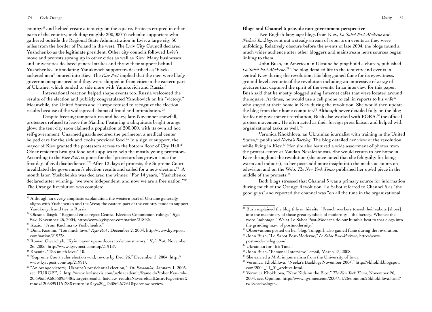#### 74 Code Orange Duffy 75

country23 and helped create a tent city on the square. Protests erupted in other parts of the country, including roughly 200,000 Yuschenko supporters who gathered outside the Regional State Administration in Lviv, a large city 50 miles from the border of Poland in the west. The Lviv City Council declared Yushchenko as the legitimate president. Other city councils followed Lviv's move and protests sprang up in other cities as well as Kiev. Many businesses and universities declared general strikes and threw their support behind Yushchenko. Intimidating Yanukovich supporters described as "blackjacketed men" poured into Kiev. The *Kiev Post* implied that the men were likely government sponsored and they were shipped in from cities in the eastern part of Ukraine, which tended to side more with Yanukovich and Russia.24

International reaction helped shape events too. Russia welcomed the results of the election and publicly congratulated Yanukovich on his "victory." Meanwhile, the United States and Europe refused to recognize the election results because of the widespread claims of fraud and intimidation. 25

Despite freezing temperatures and heavy, late-November snowfall, protesters refused to leave the Maidin. Featuring a ubiquitous bright orange glow, the tent city soon claimed a population of 200,000, with its own ad hoc self-government. Unarmed guards secured the perimeter, a medical center helped care for the sick and cooks provided food.<sup>26</sup> In a sign of support, the mayor of Kiev granted the protesters access to the bottom floor of City Hall.<sup>27</sup> Older residents brought food and supplies to help the mostly young protestors. According to the *Kiev Post*, support for the "protestors has grown since the first day of civil disobedience."28 After 12 days of protests, the Supreme Court invalidated the government's election results and called for a new election.<sup>29</sup> A month later, Yushchenko was declared the winner. "For 14 years," Yushchenko declared after winning, "we were independent, and now we are a free nation."<sup>30</sup> The Orange Revolution was complete.

- 24 Oksana Tsisyk, "Regional cities reject Central Election Commission rulings," *Kyiv Post*, November 25, 2004, http://www.kyivpost.com/nation/21892/.
- 25 Kuzio, "From Kuchma to Yushchenko."
- 26 Dima Kozmin, "Too much love," *Kyiv Post* , December 2, 2004, http://www.kyivpost. com/nation/21975/.
- 27 Roman Olearchyk, "Kyiv mayor opens doors to demonstrators," *Kyiv Post*, November 26, 2006, http://www.kyivpost.com/top/21918/.
- 28 Kozmin, "Too much love," 10.
- <sup>29</sup> "Supreme Court rules election void; revote by Dec. 26," December 3, 2004, http:// www.kyivpost.com/top/21991/.
- 30 "An orange victory; Ukraine's presidential election," *The Economist*, January 1, 2005, sec. EUROPE, 2, http://www.lexisnexis.com/us/lnacademic/frame.do?tokenKey=rsh- 20.695559.5835095448&target=results\_listview\_resultsNav&reloadEntirePage=true& rand=1206899115128&returnToKey=20\_T3386267761&parent=docview.

#### **Blogs and Channel 5 provide non-government perspective**

Two English-language blogs from Kiev, *La Sabot Post-Moderne* and *Neeka's Backlog*, sent out a steady stream of reports on events as they were unfolding. Relatively obscure before the events of late 2004, the blogs found a much wider audience after other bloggers and mainstream news sources began linking to them.

John Bush, an American in Ukraine helping build a church, published *La Sabot Post-Moderne*. 31 The blog detailed life in the tent city and events in central Kiev during the revolution. His blog gained fame for its eyewitness, ground-level accounts of the revolution including an impressive of array of pictures that captured the spirit of the events. In an interview for this paper, Bush said that he mostly blogged using Internet cafes that were located around the square. At times, he would use a cell phone to call in reports to his wife<sup>32</sup> who stayed at their home in Kiev during the revolution. She would then update the blog from their home computer.<sup>33</sup> Although never detailed fully on the blog for fear of government retribution, Bush also worked with PORA,<sup>34</sup> the official protest movement. He often acted as their foreign press liaison and helped with organizational tasks as well. 35

Veronica Khokhlova, an Ukrainian journalist with training in the United States,<sup>36</sup> published *Neeka's Backlog*. The blog detailed her view of the revolution while living in Kiev.<sup>37</sup> Her site also featured a wide assortment of photos from the protest center at Maidan Nezalezhnosti. She would return to her home in Kiev throughout the revolution (she once noted that she felt guilty for being warm and indoors), so her posts add more insight into the media accounts on television and on the Web. *The New York Times* published her op/ed piece in the middle of the protests.38

Both blogs stressed that Channel 5 was a primary source for information during much of the Orange Revolution. La Sabot referred to Channel 5 as "the good guys" and reported the channel was "on all the time in the organizational

<sup>&</sup>lt;sup>23</sup> Although an overly simplistic explanation, the western part of Ukraine generally aligns with Yushchenko and the West; the eastern part of the country tends to support Yanukovych and ties to Russia.

<sup>&</sup>lt;sup>31</sup> Bush explained the blog title on his site: "French workers tossed their sabots [shoes] into the machinery of those great symbols of modernity – the factory. Whence the word "sabotage." We at Le Sabot Post-Moderne do our humble best to toss clogs into the grinding maw of postmodernity."

<sup>&</sup>lt;sup>32</sup> Observations posted on her blog, Tulipgirl, also gained fame during the revolution.

<sup>33</sup> John Bush, "Le Sabot Post-Moderne," *Le Sabot Post-Moderne*, http://www. postmodernclog.com/.

<sup>34</sup> Ukrainian for "It's Time."

<sup>35</sup> John Bush, "Personal Interview," email, March 17, 2008.

<sup>36</sup> She earned a M.A. in journalism from the University of Iowa.

<sup>37</sup> Veronica Khokhlova, "Neeka's Backlog: November 2004," http://vkhokhl.blogspot. com/2004\_11\_01\_archive.html.

<sup>38</sup> Veronica Khokhlova, "New Kids on the Bloc," *The New York Times*, November 26, 2004, sec. Opinion, http://www.nytimes.com/2004/11/26/opinion/26khokhlova.html?\_ r=1&oref=slogin.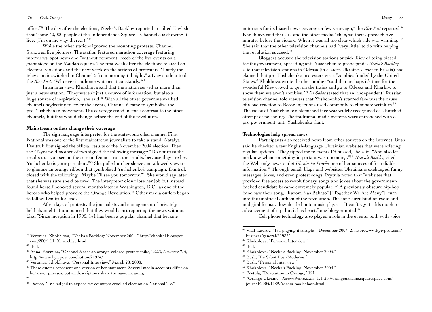office."39 The day after the elections, Neeka's Backlog reported in stilted English that "some 40,000 people at the Independence Square – Channel 5 is showing it live. (I'm on my way there...)."40

While the other stations ignored the mounting protests, Channel 5 showed live pictures. The station featured marathon coverage featuring interviews, spot news and "without comment" feeds of the live events on a giant stage on the Maidan square. The first week after the elections focused on electoral violations and the next week on the actions of protesters. "Lately the television is switched to Channel 5 from morning till night," a Kiev student told the *Kiev Post*. "Whoever is at home watches it constantly."<sup>41</sup>

In an interview, Khokhlova said that the station served as more than just a news station. "They weren't just a source of information, but also a huge source of inspiration," she said.<sup>42</sup> With all the other government-allied channels neglecting to cover the events, Channel 5 came to symbolize the pro-Yushchenko movement. The coverage stood in stark contrast to the other channels, but that would change before the end of the revolution.

## **Mainstream outlets change their coverage**

The sign language interpreter for the state-controlled channel First National was one of the first mainstream journalists to take a stand. Natalya Dmitruk first signed the official results of the November 2004 election. Then the 47-year-old mother of two signed the following message: "Do not trust the results that you see on the screen. Do not trust the results, because they are lies. Yushchenko is your president."43 She pulled up her sleeve and allowed viewers to glimpse an orange ribbon that symbolized Yushchenko's campaign. Dmitruk closed with the following: "Maybe I'll see you tomorrow."44 She would say later that she was sure she'd be fired. The interpreter didn't lose her job but instead found herself honored several months later in Washington, D.C., as one of the heroes who helped provoke the Orange Revolution.<sup>45</sup> Other media outlets began to follow Dmitruk's lead.

After days of protests, the journalists and management of privately held channel 1+1 announced that they would start reporting the news without bias. "Since inception in 1995, 1+1 has been a popular channel that became

<sup>39</sup> Veronica Khokhlova, "Neeka's Backlog: November 2004," http://vkhokhl.blogspot. com/2004\_11\_01\_archive.html.

notorious for its biased news coverage a few years ago," the *Kiev Post* reported.46 Khokhlova said that 1+1 and the other media "changed their approach five minutes before the victory. When it was all too clear which side was winning."47 She said that the other television channels had "very little" to do with helping the revolution succeed.<sup>48</sup>

Bloggers accused the television stations outside Kiev of being biased for the government, spreading anti-Yuschchenko propaganda. *Neeka's Backlog* said that television stations in Odessa (in eastern Ukraine, closer to Russia) had claimed that pro-Yushchenko protesters were "zombies funded by the United States." Khokhova wrote that her mother "said that perhaps it's time for the wonderful Kiev crowd to get on the trains and go to Odessa and Kharkiv, to show them we aren't zombies."49 *La Sabot* stated that an "independent" Russian television channel told viewers that Yushchenko's scarred face was the cause of a bad reaction to Botox injections used commonly to eliminate wrinkles.<sup>50</sup> The cause of Yushchenko's blemished face was widely recognized as a botched attempt at poisoning. The traditional media systems were entrenched with a pro-government, anti-Yushchenko slant.

#### **Technologies help spread news**

Participants also received news from other sources on the Internet. Bush said he checked a few English-language Ukrainian websites that were offering regular updates. "They tipped me to events I'd missed," he said. "And also let me know when something important was upcoming."51 *Neeka's Backlog* cited the Web-only news outlet *Ukrainska Pravda* one of her sources of for reliable information.52 Through email, blogs and websites, Ukrainians exchanged funny messages, jokes, and even protest songs. Prytula noted that "websites that provided free access to revolutionary songs and jokes about the governmentbacked candidate became extremely popular."53 A previously obscure hip-hop band saw their song, "Razom Nas Bahato" ["Together We Are Many"], turn into the unofficial anthem of the revolution. The song circulated on radio and in digital format, downloaded onto music players. "I can't say it adds much to advancement of rap, but it has heart," one blogger noted.<sup>54</sup>

Cell phone technology also played a role in the events, both with voice

 $40$  Ibid.

<sup>41</sup> Anna Kozmina, "Channel 5 sees an orange-colored protest spike," *2004, December 2*, 4, http://www.kyivpost.com/nation/21974/.

<sup>42</sup> Veronica Khokhlova, "Personal Interview," March 28, 2008.

 $43$  These quotes represent one version of her statement. Several media accounts differ on her exact phrases, but all descriptions share the same meaning.

<sup>44</sup>

<sup>45</sup> Davies, "I risked jail to expose my country's crooked election on National TV."

<sup>46</sup> Vlad Lavrov, "1+1 playing it straight," December 2004, 2, http://www.kyivpost.com/ business/general/21982/.

<sup>47</sup> Khokhlova, "Personal Interview."

<sup>48</sup> Ibid.

<sup>49</sup> Khokhlova, "Neeka's Backlog: November 2004."

<sup>50</sup> Bush, "Le Sabot Post-Moderne."

<sup>51</sup> Bush, "Personal Interview."

<sup>52</sup> Khokhlova, "Neeka's Backlog: November 2004."

<sup>53</sup> Prytula, "Revolution in Orange," 121.

<sup>54 &</sup>quot;Orange Ukraine," *Razom Nas Bahato*, 1, http://orangeukraine.squarespace.com/ journal/2004/11/29/razom-nas-bahato.html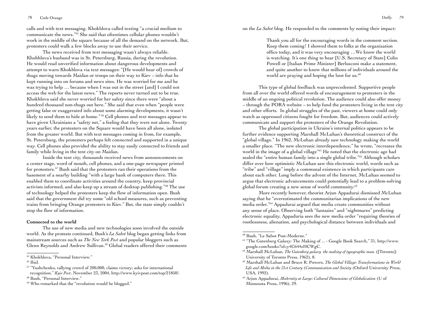calls and with text messaging. Khokhlova called texting "a crucial medium to communicate the news."55 She said that oftentimes cellular phones wouldn't work in the middle of the square because of all the demand on the network. But, protesters could walk a few blocks away to use their service.

The news received from text messaging wasn't always reliable. Khohhlova's husband was in St. Petersburg, Russia, during the revolution. He would read unverified information about dangerous developments and attempt to warn Khokhlova via text messages: "[He would hear of] crowds of thugs moving towards Maidan or troops on their way to Kiev – info that he kept running into on forums and news sites. He was worried for me and he was trying to help … because when I was out in the street [and] I could not access the web for the latest news." The reports never turned out to be true. Khokhlova said she never worried for her safety since there were "about a hundred thousand non-thugs out here." She said that even when "people were getting false or exaggerated info about some alarming developments, it wasn't likely to send them to hide at home." 56 Cell phones and text messages appear to have given Ukrainians a "safety net," a feeling that they were not alone. Twenty years earlier, the protesters on the Square would have been all alone, isolated from the greater world. But with text messages coming in from, for example, St. Petersburg, the protesters perhaps felt connected and supported in a unique way. Cell phones also provided the ability to stay easily connected to friends and family while living in the tent city on Maidan.

Inside the tent city, thousands received news from announcements on a center stage, word of mouth, cell phones, and a one-page newspaper printed for protesters.<sup>57</sup> Bush said that the protesters ran their operations from the basement of a nearby building "with a large bank of computers there. This enabled them to coordinate activities around the country, keep provincial activists informed, and also keep up a stream of desktop publishing."58 The use of technology helped the protesters keep the flow of information open. Bush said that the government did try some "old school measures, such as preventing trains from bringing Orange protesters to Kiev." But, the state simply couldn't stop the flow of information.

#### **Connected to the world**

The use of new media and new technologies soon involved the outside world. As the protests continued, Bush's *La Sabot* blog began getting links from mainstream sources such as *The New York Post* and popular bloggers such as Glenn Reynolds and Andrew Sullivan.<sup>59</sup> Global readers offered their comments on the *La Sabot* blog. He responded to the comments by noting their impact:

Thank you all for the encouraging words in the comment section. Keep them coming! I showed them to folks at the organization office today, and it was very encouraging …We know the world is watching. It's one thing to hear [U.S. Secretary of State] Colin Powell or [Italian Prime Minister] Berlusconi make a statement, and quite another to know that millions of individuals around the world are praying and hoping the best for us.<sup>60</sup>

This type of global feedback was unprecedented. Supportive people from all over the world offered words of encouragement to protesters in the middle of an ongoing political revolution. The audience could also offer money – through the PORA website – to help fund the protesters living in the tent city and other efforts. In global struggles of the past, viewers at home could only watch as oppressed citizens fought for freedom. But, audiences could actively communicate and support the protesters of the Orange Revolution.

The global participation in Ukraine's internal politics appears to be further evidence supporting Marshall McLuhan's theoretical construct of the "global village." In 1962, McLuhan already saw technology making the world a smaller place. "The new electronic interdependence," he wrote, "recreates the world in the image of a global village"61 He noted that the electronic age had sealed the "entire human family into a single global tribe."62 Although scholars differ over how optimistic McLuhan saw this electronic world, words such as "tribe" and "village" imply a communal existence in which participants care about each other. Long before the advent of the Internet, McLuhan seemed to argue that electronic advancements could potentially lead to a problem-solving global forum creating a new sense of world community.63

More recently however, theorist Arjun Appadurai dismissed McLuhan saying that he "overestimated the communitarian implications of the new media order."64 Appadurai argued that media create communities without any sense of place. Observing both "fantasies" and "nightmares" predicting electronic equality, Appaduria sees the new media order "requiring theories of rootlessness, alienation, and psychological distance between individuals and

60 Bush, "Le Sabot Post-Moderne."

<sup>55</sup> Khokhlova, "Personal Interview."

<sup>56</sup> Ibid.

<sup>&</sup>lt;sup>57</sup> "Yushchenko, rallying crowd of 200,000, claims victory; asks for international recognition," *Kyiv Post*, November 23, 2004, http://www.kyivpost.com/top/21850/. 58 Bush, "Personal Interview."

<sup>&</sup>lt;sup>59</sup> Who remarked that the "revolution would be blogged."

<sup>61</sup> "The Gutenberg Galaxy: The Making of ... - Google Book Search," 31, http://www. google.com/books?id=y4C644zHCWgC.

<sup>62</sup> Marshall McLuhan, *The Gutenberg galaxy the making of typographic man.* ([Toronto]: University of Toronto Press, 1962), 8.

<sup>63</sup> Marshall McLuhan and Bruce R. Powers, *The Global Village: Transformations in World Life and Media in the 21st Century (Communication and Society* (Oxford University Press, USA, 1992).

<sup>64</sup> Arjun Appadurai, *Modernity at Large: Cultural Dimensions of Globalization* (U of Minnesota Press, 1996), 29.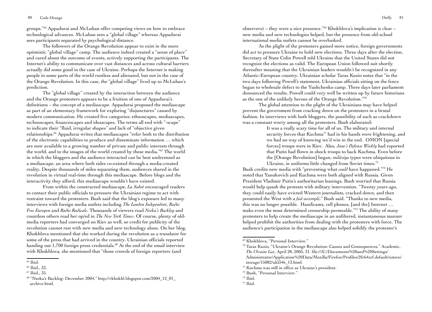80 Code Orange Duffy 81

groups."65 Appadurai and McLuhan offer competing views on how to embrace technological advances. McLuhan sees a "global village" whereas Appadurai sees participants separated by psychological distance.

The followers of the Orange Revolution appear to exist in the more optimistic "global village" camp. The audience indeed created a "sense of place" and cared about the outcome of events, actively supporting the participants. The Internet's ability to communicate over vast distances and across cultural barriers actually did some good in the case of Ukraine. Perhaps the Internet is making people in some parts of the world rootless and alienated, but not in the case of the Orange Revolution. In this case, the "global village" lived up to McLuhan's prediction.

The "global village" created by the interaction between the audience and the Orange protesters appears to be a fruition of one of Appadurai's definitions – the concept of a mediascape. Appadurai proposed the mediascape as part of an elementary framework for exploring "disjunctures" caused by modern communication. He created five categories: ethnoscapes, mediascapes, technoscapes, financescapes and ideascapes. The terms all end with "-scape" to indicate their "fluid, irregular shapes" and lack of "objective given relationships.66 Appadurai writes that mediascapes "refer both to the distribution of the electronic capabilities to produce and disseminate information … which are now available to a growing number of private and public interests through the world, and to the images of the world created by these media."67 The world in which the bloggers and the audience interacted can be best understood as a mediascape, an area where both sides co-existed through a media-created reality. Despite thousands of miles separating them, audiences shared in the revolution in virtual real-time through this mediascape. Before blogs and the interactivity they afford, this mediascape wouldn't have existed.

From within the constructed mediascape, *La Sabot* encouraged readers to contact their public officials to pressure the Ukrainian regime to act with restraint toward the protesters. Bush said that the blog's exposure led to many interviews with foreign media outlets including *The London Independent*, *Radio Free Europen* and *Radio Radicale*. Thousands of viewers read *Neeka's Backlog* and countless others read her op/ed in *The New York Times*. Of course, plenty of oldmedia reporters had converged on Kiev as well, so credit for publicity of the revolution cannot rest with new media and new technology alone. On her blog, Khokhlova mentioned that she worked during the revolution as a translator for some of the press that had arrived in the country. Ukrainian officials reported handing out 1,700 foreign press credentials.<sup>68</sup> At the end of the email interview with Khokhlova, she mentioned that "those crowds of foreign reporters (and

observers) – they were a nice presence."69 Khokhlova's implication is clear – new media and new technologies helped, but the presence from old-school international media outlets cannot be overlooked.

As the plight of the protesters gained more notice, foreign governments did act to pressure Ukraine to hold new elections. Three days after the election, Secretary of State Colin Powell told Ukraine that the United States did not recognize the elections as valid. The European Union followed suit shortly thereafter meaning that the Ukrainian leaders wouldn't be recognized in any Atlantic-European country. Ukrainian scholar Taras Kuzio notes that "in the two days following Powell's statement, Ukrainian officials sitting on the fence began to wholesale defect to the Yushchenko camp. Three days later parliament denounced the results. Powell could very well be written up by future historians as the one of the unlikely heroes of the Orange Revolution."70

The global attention to the plight of the Ukrainians may have helped prevent the government from cracking down on the protesters in a brutal fashion. In interviews with both bloggers, the possibility of such as crackdown was a constant worry among all the protesters. Bush elaborated:

> It was a really scary time for all of us. The military and internal security forces that Kuchma<sup>71</sup> had in his hands were frightening, and we had no way of knowing we'd win in the end. OMON [special forces] troops were in Kiev. Also, *Jane's Defense Weekly* had reported that Putin had flown in shock troops to back Kuchma. Even before the [Orange Revolution] began, *militsiya* types were ubiquitous in Ukraine, in uniforms little changed from Soviet times.<sup>72</sup>

Bush credits new media with "preventing what *could* have happened."73 He noted that Yanukovich and Kuchma were both aligned with Russia. Given President Vladimir Putin's authoritarian leanings, Bush worried that Russia would help quash the protests with military intervention. "Twenty years ago, they could easily have evicted Western journalists, cracked down, and then presented the West with a *fait accompli*," Bush said. "Thanks to new media, this was no longer possible. Handicams, cell phones, [and the] Internet … make even the most determined censorship permeable."74 The ability of many protesters to help create the mediascape in an unfiltered, instantaneous manner helped prohibit the authorities from dealing with the protesters with force. The audience's participation in the mediascape also helped solidify the protester's

<sup>65</sup> Ibid.

<sup>66</sup> Ibid., 33.

<sup>67</sup> Ibid., 35.

<sup>68</sup> "Neeka's Backlog: December 2004," http://vkhokhl.blogspot.com/2004\_12\_01\_ archive.html.

<sup>69</sup> Khokhlova, "Personal Interview."

<sup>70</sup> Taras Kuzio, "Ukraine's Orange Revolution: Causes and Consequences," Academic, *The Ukraine List*, April 28, 2005, 31. file:///C:/Documents%20and%20Settings/ Administrator/Application%20Data/Mozilla/Firefox/Profiles/2fr64xrf.default/zotero/ storage/15082/ukl346\_13.html.

<sup>71</sup> Kuchma was still in office as Ukraine's president.

<sup>72</sup> Bush, "Personal Interview."

<sup>73</sup> Ibid.

<sup>74</sup> Ibid.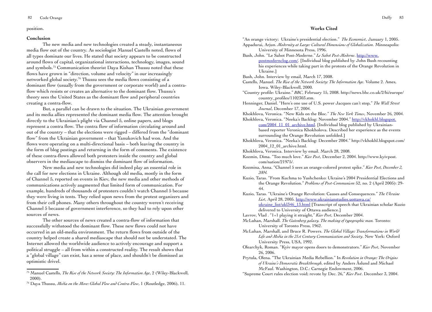#### position.

#### **Conclusion**

The new media and new technologies created a steady, instantaneous media flow out of the country. As sociologist Manuel Castells noted, flows of all types dominate our lives. He stated that society appears to be constructed around flows of capital, organizational interactions, technology, images, sound and symbols.75 Communication theorist Daya Kishan Thussu noted that these flows have grown in "direction, volume and velocity" in our increasingly networked global society.76 Thussu sees the media flows consisting of a dominant flow (usually from the government or corporate world) and a contraflow which resists or creates an alternative to the dominant flow. Thussu's theory sees the United States as the dominant flow and peripheral countries creating a contra-flow.

But, a parallel can be drawn to the situation. The Ukrainian government and its media allies represented the dominant media flow. The attention brought directly to the Ukrainian's plight via Channel 5, online papers, and blogs represent a contra flow. The contra flow of information circulating around and out of the country – that the elections were rigged – differed from the "dominant flow" from the Ukrainian government – that Yanukovich had won. And the flows were operating on a multi-directional basis – both leaving the country in the form of blog postings and returning in the form of comments. The existence of these contra-flows allowed both protesters inside the country and global observers in the mediascape to dismiss the dominant flow of information.

New media and new technologies did indeed play an essential role in the call for new elections in Ukraine. Although old media, mostly in the form of Channel 5, reported on events in Kiev, the new media and other methods of communications actively augmented that limited form of communication. For example, hundreds of thousands of protesters couldn't watch Channel 5 because they were living in tents. They relied upon news from the protest organizers and from their cell phones. Many others throughout the country weren't receiving Channel 5 because of government interference, so they had to rely upon other sources of news.

The other sources of news created a contra-flow of information that successfully withstood the dominant flow. These new flows could not have occurred in an old-media environment. The return flows from outside of the country helped create a shared mediascape that should not be understated. The Internet allowed the worldwide audience to actively encourage and support a political struggle – all from within a constructed reality. The result shows that a "global village" can exist, has a sense of place, and shouldn't be dismissed as optimistic drivel.

#### **Works Cited**

"An orange victory; Ukraine's presidential election." *The Economist*, January 1, 2005. Appadurai, Arjun. *Modernity at Large: Cultural Dimensions of Globalization*. Minneapolis: University of Minnesota Press, 1996. Bush, John. "Le Sabot Post-Moderne." *Le Sabot Post-Moderne*. [http://www.](http://www.postmodernclog.com/) [postmodernclog.com/](http://www.postmodernclog.com/). [Individual blog published by John Bush recounting his experiences while taking part in the protests of the Orange Revolution in Ukraine.] Bush, John. Interview by email, March 17, 2008. Castells, Manuel. *The Rise of the Network Society: The Information Age*. Volume 2. Ames, Iowa. Wiley-Blackwell, 2000. "Country profile: Ukraine." *BBC*, February 15, 2008. http://news.bbc.co.uk/2/hi/europe/ country\_profiles/1102303.stm. Henninger, Daniel. "Here's one use of U.S. power Jacques can't stop," *The Wall Street Journal*, December 17, 2004. Khokhlova, Veronica. "New Kids on the Bloc." *The New York Times*, November 26, 2004. Khokhlova, Veronica. "Neeka's Backlog: November 2004." [http://vkhokhl.blogspot.](http://vkhokhl.blogspot.com/2004_11_01_archive.html) [com/2004\\_11\\_01\\_archive.html](http://vkhokhl.blogspot.com/2004_11_01_archive.html). [Individual blog published by Ukrainianbased reporter Veronica Khokholova. Described her experience as the events surrounding the Orange Revolution unfolded.] Khokhlova, Veronica. "Neeka's Backlog: December 2004." http://vkhokhl.blogspot.com/ 2004\_12\_01\_archive.html. Khokhlova, Veronica. Interview by email. March 28, 2008. Kozmin, Dima. "Too much love." *Kiev Post*, December 2, 2004. http://www.kyivpost. com/nation/21975/. Kozmina, Anna. "Channel 5 sees an orange-colored protest spike." *Kiev Post, December 2, 2004.*  Kuzio, Taras. "From Kuchma to Yushchenko: Ukraine's 2004 Presidential Elections and the Orange Revolution." *Problems of Post-Communism* 52, no. 2 (April 2005): 29- 44. Kuzio, Taras. "Ukraine's Orange Revolution: Causes and Consequences." *The Ukraine List*, April 28, 2005. [http://www.ukrainianstudies.uottawa.ca/](http://www.ukrainianstudies.uottawa.ca/ukraine_list/ukl346_13.html) [ukraine\\_list/ukl346\\_13.html](http://www.ukrainianstudies.uottawa.ca/ukraine_list/ukl346_13.html) [Transcript of speech that Ukrainian scholar Kuzio delivered to University of Ottawa audience.] Lavrov, Vlad . "1+1 playing it straight," *Kiev Post*, December 2004. McLuhan, Marshall. *The Gutenberg galaxy. The making of typographic man.* Toronto: University of Toronto Press, 1962. McLuhan, Marshall, and Bruce R. Powers. *The Global Village: Transformations in World Life and Media in the 21st Century Communication and Society*. New York: Oxford University Press, USA, 1992. Olearchyk, Roman. "Kyiv mayor opens doors to demonstrators." *Kiev Post*, November 26, 2006. Prytula, Olena. "The Ukrainian Media Rebellion." In *Revolution in Orange: The Origins of Ukraine's Democratic Breakthrough*, edited by Anders Åslund and Michael McFaul. Washington, D.C.: Carnegie Endowment, 2006. "Supreme Court rules election void; revote by Dec. 26," *Kiev Post*. December 3, 2004.

<sup>75</sup> Manuel Castells, *The Rise of the Network Society: The Information Age*, 2 (Wiley-Blackwell, 2000).

<sup>76</sup> Daya Thussu, *Media on the Move: Global Flow and Contra-Flow*, 1 (Routledge, 2006), 11.